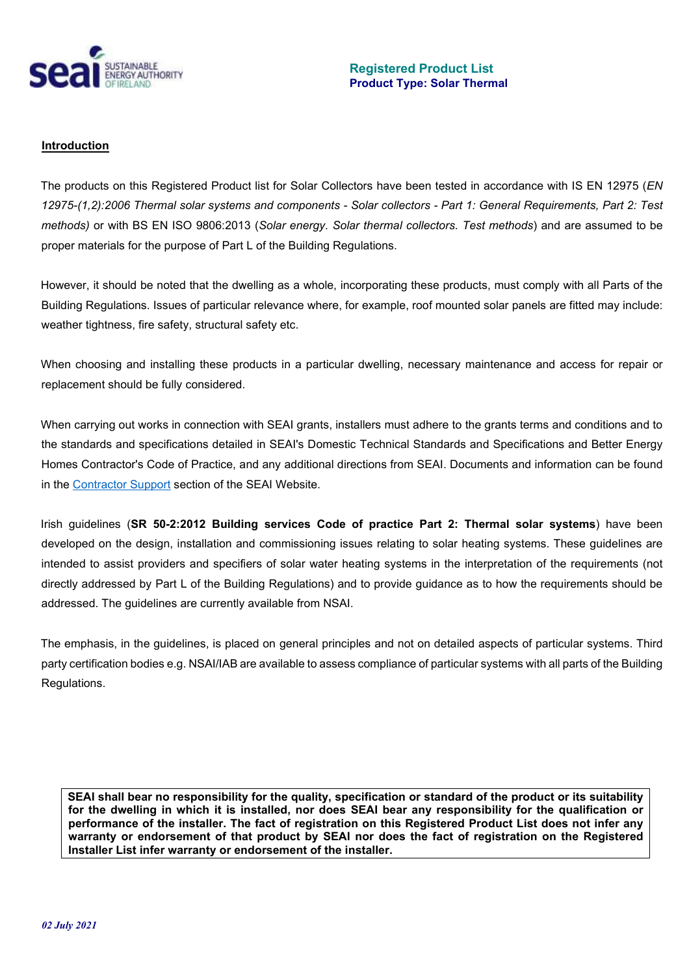

#### **Introduction**

The products on this Registered Product list for Solar Collectors have been tested in accordance with IS EN 12975 (*EN 12975-(1,2):2006 Thermal solar systems and components - Solar collectors - Part 1: General Requirements, Part 2: Test methods)* or with BS EN ISO 9806:2013 (*Solar energy. Solar thermal collectors. Test methods*) and are assumed to be proper materials for the purpose of Part L of the Building Regulations.

However, it should be noted that the dwelling as a whole, incorporating these products, must comply with all Parts of the Building Regulations. Issues of particular relevance where, for example, roof mounted solar panels are fitted may include: weather tightness, fire safety, structural safety etc.

When choosing and installing these products in a particular dwelling, necessary maintenance and access for repair or replacement should be fully considered.

When carrying out works in connection with SEAI grants, installers must adhere to the grants terms and conditions and to the standards and specifications detailed in SEAI's Domestic Technical Standards and Specifications and Better Energy Homes Contractor's Code of Practice, and any additional directions from SEAI. Documents and information can be found in the [Contractor Support](https://www.seai.ie/energy-in-business/contractor-supports/) section of the SEAI Website.

Irish guidelines (**SR 50-2:2012 Building services Code of practice Part 2: Thermal solar systems**) have been developed on the design, installation and commissioning issues relating to solar heating systems. These guidelines are intended to assist providers and specifiers of solar water heating systems in the interpretation of the requirements (not directly addressed by Part L of the Building Regulations) and to provide guidance as to how the requirements should be addressed. The guidelines are currently available from NSAI.

The emphasis, in the guidelines, is placed on general principles and not on detailed aspects of particular systems. Third party certification bodies e.g. NSAI/IAB are available to assess compliance of particular systems with all parts of the Building Regulations.

**SEAI shall bear no responsibility for the quality, specification or standard of the product or its suitability for the dwelling in which it is installed, nor does SEAI bear any responsibility for the qualification or performance of the installer. The fact of registration on this Registered Product List does not infer any warranty or endorsement of that product by SEAI nor does the fact of registration on the Registered Installer List infer warranty or endorsement of the installer.**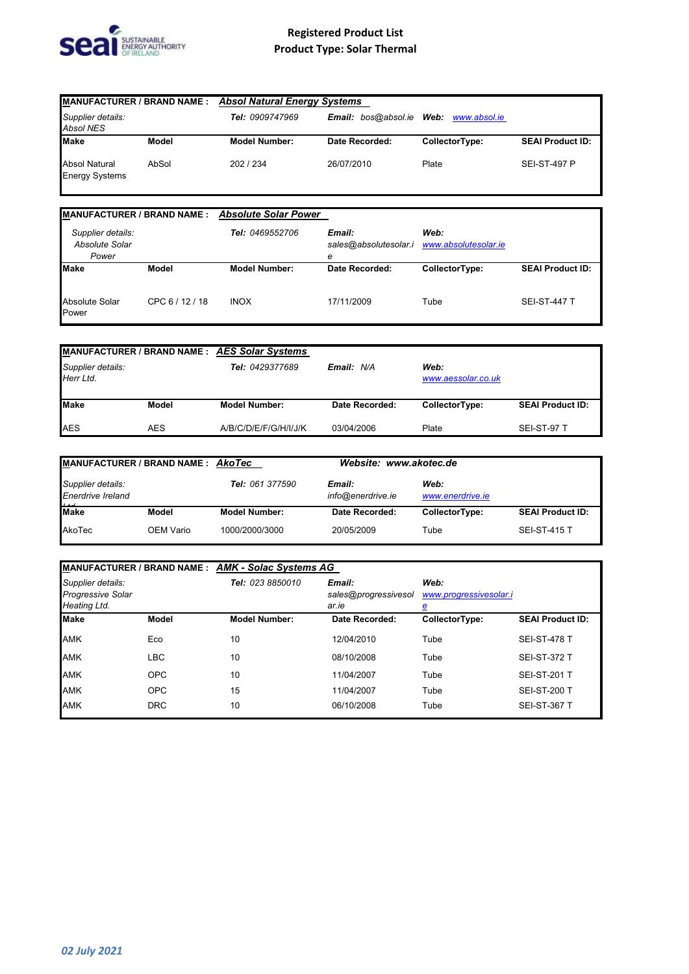

| <b>MANUFACTURER / BRAND NAME:</b>             |       | <b>Absol Natural Energy Systems</b> |                                 |                |                         |
|-----------------------------------------------|-------|-------------------------------------|---------------------------------|----------------|-------------------------|
| Supplier details:<br><b>Absol NES</b>         |       | Tel: 0909747969                     | <b>Email:</b> bos@absol.ie Web: | www.absol.ie   |                         |
| <b>Make</b>                                   | Model | <b>Model Number:</b>                | Date Recorded:                  | CollectorType: | <b>SEAI Product ID:</b> |
| <b>Absol Natural</b><br><b>Energy Systems</b> | AbSol | 202 / 234                           | 26/07/2010                      | Plate          | <b>SEI-ST-497 P</b>     |

| <b>MANUFACTURER / BRAND NAME:</b>            |              | <b>Absolute Solar Power</b> |                                      |                              |                         |
|----------------------------------------------|--------------|-----------------------------|--------------------------------------|------------------------------|-------------------------|
| Supplier details:<br>Absolute Solar<br>Power |              | Tel: 0469552706             | Email:<br>sales@absolutesolar.i<br>е | Web:<br>www.absolutesolar.ie |                         |
| <b>Make</b>                                  | <b>Model</b> | <b>Model Number:</b>        | Date Recorded:                       | CollectorType:               | <b>SEAI Product ID:</b> |
| Absolute Solar<br>Power                      | CPC 6/12/18  | <b>INOX</b>                 | 17/11/2009                           | Tube                         | <b>SEI-ST-447 T</b>     |

|                                |            | <b>MANUFACTURER / BRAND NAME: AES Solar Systems</b> |                |                            |                         |
|--------------------------------|------------|-----------------------------------------------------|----------------|----------------------------|-------------------------|
| Supplier details:<br>Herr Ltd. |            | Tel: 0429377689                                     | Email: N/A     | Web:<br>www.aessolar.co.uk |                         |
| <b>Make</b>                    | Model      | <b>Model Number:</b>                                | Date Recorded: | CollectorType:             | <b>SEAI Product ID:</b> |
| <b>AES</b>                     | <b>AES</b> | A/B/C/D/E/F/G/H/I/J/K                               | 03/04/2006     | Plate                      | SEI-ST-97 T             |

| MANUFACTURER / BRAND NAME : AkoTec     |           | Website: www.akotec.de |                             |                          |                         |
|----------------------------------------|-----------|------------------------|-----------------------------|--------------------------|-------------------------|
| Supplier details:<br>Enerdrive Ireland |           | Tel: 061 377590        | Email:<br>info@enerdrive.ie | Web:<br>www.enerdrive.ie |                         |
| <b>Make</b>                            | Model     | <b>Model Number:</b>   | Date Recorded:              | CollectorType:           | <b>SEAI Product ID:</b> |
| AkoTec                                 | OEM Vario | 1000/2000/3000         | 20/05/2009                  | Tube                     | <b>SEI-ST-415 T</b>     |

| MANUFACTURER / BRAND NAME : AMK - Solac Systems AG            |              |                                                                  |                |                                |                         |
|---------------------------------------------------------------|--------------|------------------------------------------------------------------|----------------|--------------------------------|-------------------------|
| Supplier details:<br><b>Progressive Solar</b><br>Heating Ltd. |              | Tel: 023 8850010<br>Email:<br>sales@progressivesol<br>ar.ie<br>₫ |                | Web:<br>www.progressivesolar.i |                         |
| <b>Make</b>                                                   | <b>Model</b> | <b>Model Number:</b>                                             | Date Recorded: | CollectorType:                 | <b>SEAI Product ID:</b> |
| <b>AMK</b>                                                    | Eco          | 10                                                               | 12/04/2010     | Tube                           | <b>SEI-ST-478 T</b>     |
| <b>AMK</b>                                                    | <b>LBC</b>   | 10                                                               | 08/10/2008     | Tube                           | <b>SEI-ST-372 T</b>     |
| <b>AMK</b>                                                    | <b>OPC</b>   | 10                                                               | 11/04/2007     | Tube                           | <b>SEI-ST-201 T</b>     |
| <b>AMK</b>                                                    | <b>OPC</b>   | 15                                                               | 11/04/2007     | Tube                           | <b>SEI-ST-200 T</b>     |
| <b>AMK</b>                                                    | <b>DRC</b>   | 10                                                               | 06/10/2008     | Tube                           | <b>SEI-ST-367 T</b>     |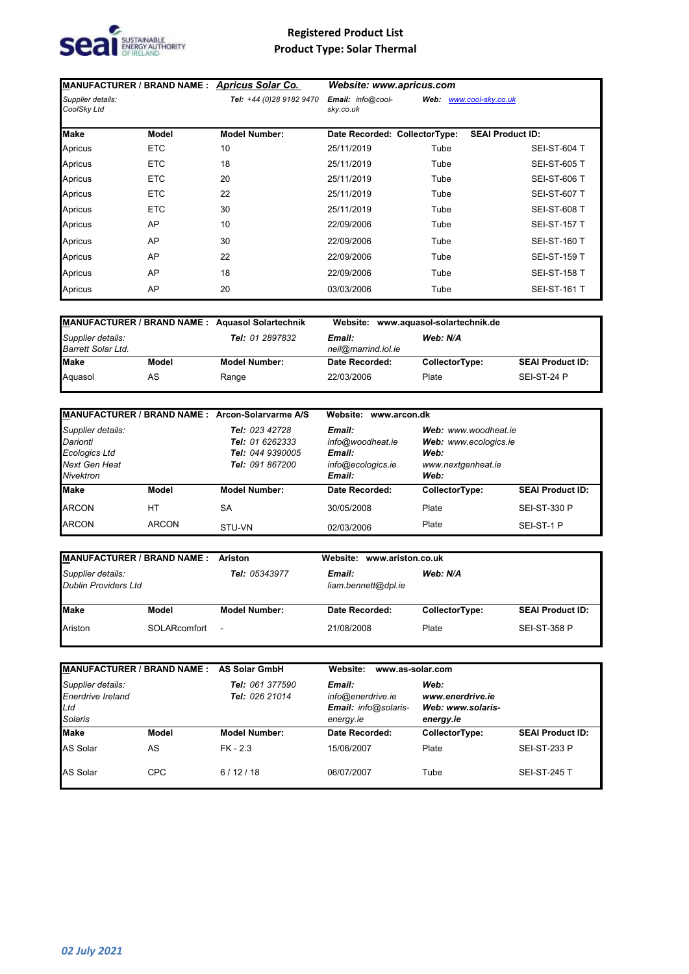

|                                  |              | MANUFACTURER / BRAND NAME : Apricus Solar Co. | Website: www.apricus.com       |      |                         |
|----------------------------------|--------------|-----------------------------------------------|--------------------------------|------|-------------------------|
| Supplier details:<br>CoolSky Ltd |              | Tel: +44 (0)28 9182 9470                      | Email: info@cool-<br>sky.co.uk | Web: | www.cool-sky.co.uk      |
| <b>Make</b>                      | <b>Model</b> | <b>Model Number:</b>                          | Date Recorded: CollectorType:  |      | <b>SEAI Product ID:</b> |
| Apricus                          | <b>ETC</b>   | 10                                            | 25/11/2019                     | Tube | <b>SEI-ST-604 T</b>     |
| Apricus                          | <b>ETC</b>   | 18                                            | 25/11/2019                     | Tube | <b>SEI-ST-605 T</b>     |
| Apricus                          | <b>ETC</b>   | 20                                            | 25/11/2019                     | Tube | <b>SEI-ST-606 T</b>     |
| Apricus                          | <b>ETC</b>   | 22                                            | 25/11/2019                     | Tube | <b>SEI-ST-607 T</b>     |
| Apricus                          | <b>ETC</b>   | 30                                            | 25/11/2019                     | Tube | <b>SEI-ST-608 T</b>     |
| Apricus                          | AP           | 10                                            | 22/09/2006                     | Tube | <b>SEI-ST-157 T</b>     |
| Apricus                          | AP           | 30                                            | 22/09/2006                     | Tube | <b>SEI-ST-160 T</b>     |
| Apricus                          | AP           | 22                                            | 22/09/2006                     | Tube | <b>SEI-ST-159 T</b>     |
| Apricus                          | AP           | 18                                            | 22/09/2006                     | Tube | <b>SEI-ST-158 T</b>     |
| Apricus                          | AP           | 20                                            | 03/03/2006                     | Tube | <b>SEI-ST-161 T</b>     |

| MANUFACTURER / BRAND NAME: Aquasol Solartechnik<br>Supplier details:<br><b>Barrett Solar Ltd.</b> |       |                                                         | Website:       | www.aquasol-solartechnik.de |                         |
|---------------------------------------------------------------------------------------------------|-------|---------------------------------------------------------|----------------|-----------------------------|-------------------------|
|                                                                                                   |       | <b>Tel:</b> 01 2897832<br>Email:<br>neil@marrind.iol.ie |                | Web: N/A                    |                         |
| Make                                                                                              | Model | <b>Model Number:</b>                                    | Date Recorded: | CollectorType:              | <b>SEAI Product ID:</b> |
| Aquasol                                                                                           | AS    | Range                                                   | 22/03/2006     | Plate                       | SEI-ST-24 P             |

|                                                                                            |              | MANUFACTURER / BRAND NAME : Arcon-Solarvarme A/S                                       | www.arcon.dk<br>Website:                                            |                                                                                     |                         |
|--------------------------------------------------------------------------------------------|--------------|----------------------------------------------------------------------------------------|---------------------------------------------------------------------|-------------------------------------------------------------------------------------|-------------------------|
| Supplier details:<br>Darionti<br><b>Ecologics Ltd</b><br><b>Next Gen Heat</b><br>Nivektron |              | Tel: 023 42728<br><b>Tel:</b> 01 6262333<br>Tel: 044 9390005<br><b>Tel: 091 867200</b> | Email:<br>info@woodheat.ie<br>Email:<br>info@ecologics.ie<br>Email: | Web: www.woodheat.ie<br>Web: www.ecologics.ie<br>Web:<br>www.nextgenheat.ie<br>Web: |                         |
| <b>Make</b>                                                                                | Model        | <b>Model Number:</b>                                                                   | Date Recorded:                                                      | CollectorType:                                                                      | <b>SEAI Product ID:</b> |
| <b>ARCON</b>                                                                               | НT           | SA                                                                                     | 30/05/2008                                                          | Plate                                                                               | <b>SEI-ST-330 P</b>     |
| <b>ARCON</b>                                                                               | <b>ARCON</b> | STU-VN                                                                                 | 02/03/2006                                                          | Plate                                                                               | SEI-ST-1 P              |

| MANUFACTURER / BRAND NAME : Ariston<br>Supplier details:<br><b>Dublin Providers Ltd</b> |              |                                                |                | Website: www.ariston.co.uk |                         |  |
|-----------------------------------------------------------------------------------------|--------------|------------------------------------------------|----------------|----------------------------|-------------------------|--|
|                                                                                         |              | Tel: 05343977<br>Email:<br>liam.bennett@dpl.ie |                | Web: N/A                   |                         |  |
| <b>Make</b>                                                                             | Model        | <b>Model Number:</b>                           | Date Recorded: | CollectorType:             | <b>SEAI Product ID:</b> |  |
| Ariston                                                                                 | SOLARcomfort | $\blacksquare$                                 | 21/08/2008     | Plate                      | <b>SEI-ST-358 P</b>     |  |

| MANUFACTURER / BRAND NAME : AS Solar GmbH                |              |                                   | www.as-solar.com<br>Website:                                     |                                                            |                         |
|----------------------------------------------------------|--------------|-----------------------------------|------------------------------------------------------------------|------------------------------------------------------------|-------------------------|
| Supplier details:<br>Enerdrive Ireland<br>Ltd<br>Solaris |              | Tel: 061 377590<br>Tel: 026 21014 | Email:<br>info@enerdrive.ie<br>Email: info@solaris-<br>energy.ie | Web:<br>www.enerdrive.ie<br>Web: www.solaris-<br>energy.ie |                         |
| <b>Make</b>                                              | <b>Model</b> | <b>Model Number:</b>              | Date Recorded:                                                   | CollectorType:                                             | <b>SEAI Product ID:</b> |
| <b>AS Solar</b>                                          | AS           | $FK - 2.3$                        | 15/06/2007                                                       | Plate                                                      | <b>SEI-ST-233 P</b>     |
| <b>AS Solar</b>                                          | <b>CPC</b>   | 6/12/18                           | 06/07/2007                                                       | Tube                                                       | <b>SEI-ST-245 T</b>     |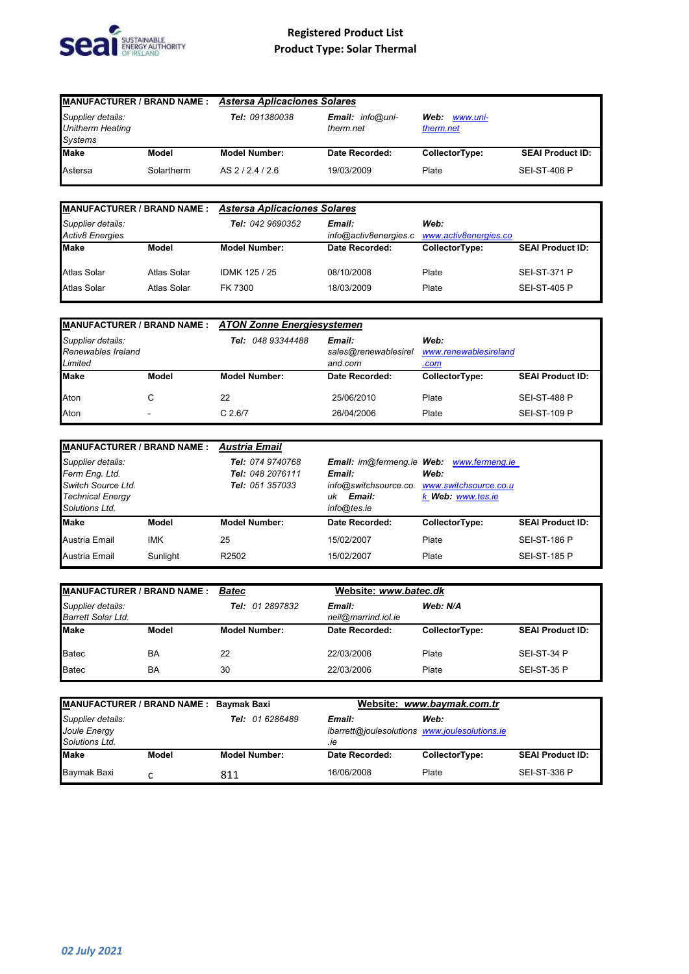

| <b>MANUFACTURER / BRAND NAME:</b><br>Supplier details:<br><b>Unitherm Heating</b><br>Systems |            | <b>Astersa Aplicaciones Solares</b>                    |                            |                |                         |
|----------------------------------------------------------------------------------------------|------------|--------------------------------------------------------|----------------------------|----------------|-------------------------|
|                                                                                              |            | Email: info@uni-<br><b>Tel: 091380038</b><br>therm.net | Web: www.uni-<br>therm.net |                |                         |
| <b>Make</b>                                                                                  | Model      | <b>Model Number:</b>                                   | Date Recorded:             | CollectorType: | <b>SEAI Product ID:</b> |
| Astersa                                                                                      | Solartherm | AS 2/2.4/2.6                                           | 19/03/2009                 | Plate          | <b>SEI-ST-406 P</b>     |

| <b>MANUFACTURER / BRAND NAME:</b>           |             | <b>Astersa Aplicaciones Solares</b> |                                                                  |                |                         |
|---------------------------------------------|-------------|-------------------------------------|------------------------------------------------------------------|----------------|-------------------------|
| Supplier details:<br><b>Activ8 Energies</b> |             | Tel: 042 9690352                    | Email:<br>Web:<br>info@activ8energies.c<br>www.activ8energies.co |                |                         |
| <b>Make</b>                                 | Model       | <b>Model Number:</b>                | Date Recorded:                                                   | CollectorType: | <b>SEAI Product ID:</b> |
| <b>Atlas Solar</b>                          | Atlas Solar | IDMK 125 / 25                       | 08/10/2008                                                       | Plate          | <b>SEI-ST-371 P</b>     |
| <b>Atlas Solar</b>                          | Atlas Solar | FK 7300                             | 18/03/2009                                                       | Plate          | <b>SEI-ST-405 P</b>     |

| <b>MANUFACTURER / BRAND NAME: ATON Zonne Energiesystemen</b> |                          |                                                                                   |                |                       |                         |
|--------------------------------------------------------------|--------------------------|-----------------------------------------------------------------------------------|----------------|-----------------------|-------------------------|
| Supplier details:<br>Renewables Ireland<br>Limited           |                          | Web:<br>048 93344488<br>Email:<br>Tel:<br>sales@renewablesirel<br>and.com<br>.com |                | www.renewablesireland |                         |
| <b>Make</b>                                                  | Model                    | <b>Model Number:</b>                                                              | Date Recorded: | CollectorType:        | <b>SEAI Product ID:</b> |
| Aton                                                         | С                        | 22                                                                                | 25/06/2010     | Plate                 | <b>SEI-ST-488 P</b>     |
| Aton                                                         | $\overline{\phantom{0}}$ | C.2.6/7                                                                           | 26/04/2006     | Plate                 | <b>SEI-ST-109 P</b>     |

| MANUFACTURER / BRAND NAME: Austria Email                                                               |              |                                                                |                                       |                                                                                                                             |                         |
|--------------------------------------------------------------------------------------------------------|--------------|----------------------------------------------------------------|---------------------------------------|-----------------------------------------------------------------------------------------------------------------------------|-------------------------|
| Supplier details:<br>Ferm Eng. Ltd.<br>Switch Source Ltd.<br><b>Technical Energy</b><br>Solutions Ltd. |              | Tel: 074 9740768<br>Tel: 048 2076111<br><b>Tel: 051 357033</b> | Email:<br>Email:<br>uk<br>info@tes.ie | <b>Email:</b> im@fermeng.ie Web: www.fermeng.ie<br>Web:<br>info@switchsource.co. www.switchsource.co.u<br>k Web: www.tes.ie |                         |
| <b>Make</b>                                                                                            | <b>Model</b> | <b>Model Number:</b>                                           | Date Recorded:                        | CollectorType:                                                                                                              | <b>SEAI Product ID:</b> |
| Austria Email                                                                                          | <b>IMK</b>   | 25                                                             | 15/02/2007                            | Plate                                                                                                                       | <b>SEI-ST-186 P</b>     |
| Austria Email                                                                                          | Sunlight     | R <sub>2502</sub>                                              | 15/02/2007                            | Plate                                                                                                                       | <b>SEI-ST-185 P</b>     |

| <b>MANUFACTURER / BRAND NAME:</b>       |       | Website: www.batec.dk<br><b>Batec</b> |                               |                |                         |
|-----------------------------------------|-------|---------------------------------------|-------------------------------|----------------|-------------------------|
| Supplier details:<br>Barrett Solar Ltd. |       | Tel: 01 2897832                       | Email:<br>neil@marrind.iol.ie | Web: N/A       |                         |
| <b>Make</b>                             | Model | <b>Model Number:</b>                  | Date Recorded:                | CollectorType: | <b>SEAI Product ID:</b> |
| <b>Batec</b>                            | BA    | 22                                    | 22/03/2006                    | Plate          | SEI-ST-34 P             |
| <b>Batec</b>                            | BA    | 30                                    | 22/03/2006                    | Plate          | SEI-ST-35 P             |

| MANUFACTURER / BRAND NAME : Baymak Baxi             |       |                                                                                   |                | Website: www.baymak.com.tr |                         |
|-----------------------------------------------------|-------|-----------------------------------------------------------------------------------|----------------|----------------------------|-------------------------|
| Supplier details:<br>Joule Energy<br>Solutions Ltd. |       | Tel: 01 6286489<br>Email:<br>ibarrett@joulesolutions www.joulesolutions.ie<br>.ie |                | Web:                       |                         |
| <b>Make</b>                                         | Model | <b>Model Number:</b>                                                              | Date Recorded: | CollectorType:             | <b>SEAI Product ID:</b> |
| Baymak Baxi                                         | ◠     | 811                                                                               | 16/06/2008     | Plate                      | <b>SEI-ST-336 P</b>     |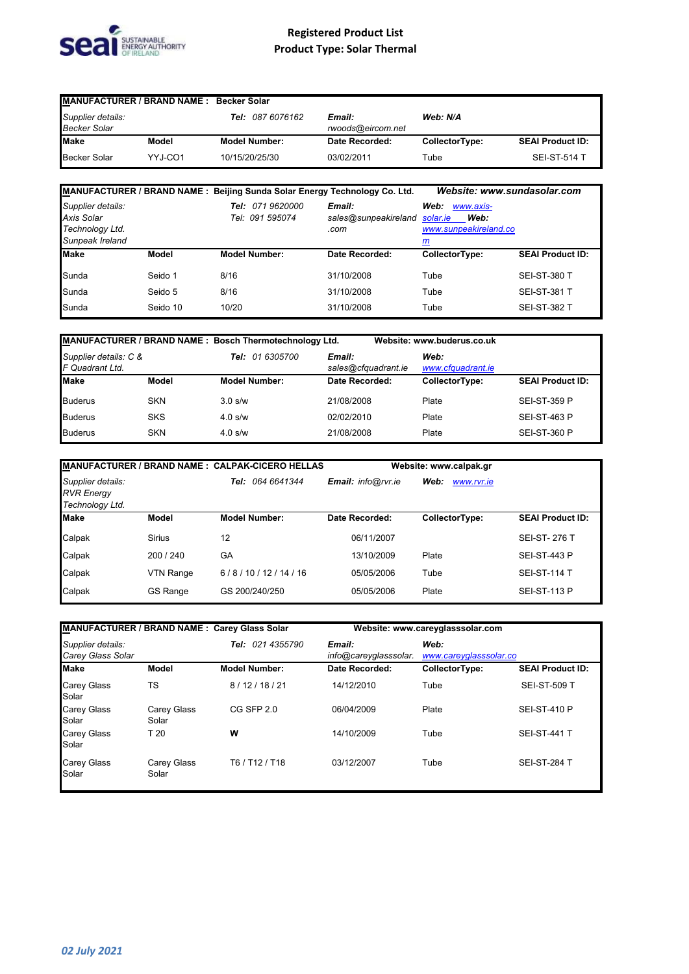

| <b>MANUFACTURER / BRAND NAME: Becker Solar</b> |         |                         |                             |                |                         |
|------------------------------------------------|---------|-------------------------|-----------------------------|----------------|-------------------------|
| Supplier details:<br><b>Becker Solar</b>       |         | <b>Tel: 087 6076162</b> | Email:<br>rwoods@eircom.net | Web: N/A       |                         |
| <b>Make</b>                                    | Model   | <b>Model Number:</b>    | Date Recorded:              | CollectorType: | <b>SEAI Product ID:</b> |
| Becker Solar                                   | YYJ-CO1 | 10/15/20/25/30          | 03/02/2011                  | Tube           | <b>SEI-ST-514 T</b>     |

|                                                                              |          | MANUFACTURER / BRAND NAME : Beijing Sunda Solar Energy Technology Co. Ltd. |                                        | Website: www.sundasolar.com                                         |                         |
|------------------------------------------------------------------------------|----------|----------------------------------------------------------------------------|----------------------------------------|---------------------------------------------------------------------|-------------------------|
| Supplier details:<br><b>Axis Solar</b><br>Technology Ltd.<br>Sunpeak Ireland |          | <i>071 9620000</i><br>Tel:<br>Tel: 091 595074                              | Email:<br>sales@sunpeakireland<br>.com | Web:<br>www.axis-<br>Web:<br>solar.ie<br>www.sunpeakireland.co<br>m |                         |
| <b>Make</b>                                                                  | Model    | <b>Model Number:</b>                                                       | Date Recorded:                         | CollectorType:                                                      | <b>SEAI Product ID:</b> |
| Sunda                                                                        | Seido 1  | 8/16                                                                       | 31/10/2008                             | Tube                                                                | <b>SEI-ST-380 T</b>     |
| Sunda                                                                        | Seido 5  | 8/16                                                                       | 31/10/2008                             | Tube                                                                | <b>SEI-ST-381 T</b>     |
| Sunda                                                                        | Seido 10 | 10/20                                                                      | 31/10/2008                             | Tube                                                                | <b>SEI-ST-382 T</b>     |

| MANUFACTURER / BRAND NAME : Bosch Thermotechnology Ltd. |            |                        |                               | Website: www.buderus.co.uk |                         |
|---------------------------------------------------------|------------|------------------------|-------------------------------|----------------------------|-------------------------|
| Supplier details: C &<br>F Quadrant Ltd.                |            | <b>Tel:</b> 01 6305700 | Email:<br>sales@cfquadrant.ie | Web:<br>www.cfguadrant.ie  |                         |
| <b>Make</b>                                             | Model      | <b>Model Number:</b>   | Date Recorded:                | CollectorType:             | <b>SEAI Product ID:</b> |
| <b>Buderus</b>                                          | <b>SKN</b> | $3.0$ s/w              | 21/08/2008                    | Plate                      | <b>SEI-ST-359 P</b>     |
| <b>Buderus</b>                                          | <b>SKS</b> | $4.0$ s/w              | 02/02/2010                    | Plate                      | <b>SEI-ST-463 P</b>     |
| <b>Buderus</b>                                          | <b>SKN</b> | $4.0$ s/w              | 21/08/2008                    | Plate                      | <b>SEI-ST-360 P</b>     |

|                                                           |                 | MANUFACTURER / BRAND NAME : CALPAK-CICERO HELLAS |                    | Website: www.calpak.gr |                         |
|-----------------------------------------------------------|-----------------|--------------------------------------------------|--------------------|------------------------|-------------------------|
| Supplier details:<br><b>RVR Energy</b><br>Technology Ltd. |                 | Tel: 064 6641344                                 | Email: info@rvr.ie | Web:<br>www.rvr.ie     |                         |
| <b>Make</b>                                               | <b>Model</b>    | <b>Model Number:</b>                             | Date Recorded:     | CollectorType:         | <b>SEAI Product ID:</b> |
| Calpak                                                    | <b>Sirius</b>   | 12                                               | 06/11/2007         |                        | <b>SEI-ST-276 T</b>     |
| Calpak                                                    | 200 / 240       | GA                                               | 13/10/2009         | Plate                  | <b>SEI-ST-443 P</b>     |
| Calpak                                                    | VTN Range       | 6/8/10/12/14/16                                  | 05/05/2006         | Tube                   | <b>SEI-ST-114 T</b>     |
| Calpak                                                    | <b>GS Range</b> | GS 200/240/250                                   | 05/05/2006         | Plate                  | <b>SEI-ST-113 P</b>     |

|                                               |                      | MANUFACTURER / BRAND NAME : Carey Glass Solar |                                 | Website: www.careyglasssolar.com |                         |
|-----------------------------------------------|----------------------|-----------------------------------------------|---------------------------------|----------------------------------|-------------------------|
| Supplier details:<br><b>Carey Glass Solar</b> |                      | Tel: 021 4355790                              | Email:<br>info@careyglasssolar. | Web:<br>www.careyglasssolar.co   |                         |
| <b>Make</b>                                   | <b>Model</b>         | <b>Model Number:</b>                          | Date Recorded:                  | CollectorType:                   | <b>SEAI Product ID:</b> |
| <b>Carey Glass</b><br>Solar                   | TS                   | 8/12/18/21                                    | 14/12/2010                      | Tube                             | <b>SEI-ST-509 T</b>     |
| <b>Carey Glass</b><br>Solar                   | Carey Glass<br>Solar | CG SFP 2.0                                    | 06/04/2009                      | Plate                            | <b>SEI-ST-410 P</b>     |
| <b>Carey Glass</b><br>Solar                   | T <sub>20</sub>      | w                                             | 14/10/2009                      | Tube                             | <b>SEI-ST-441 T</b>     |
| <b>Carey Glass</b><br>Solar                   | Carey Glass<br>Solar | T6 / T12 / T18                                | 03/12/2007                      | Tube                             | <b>SEI-ST-284 T</b>     |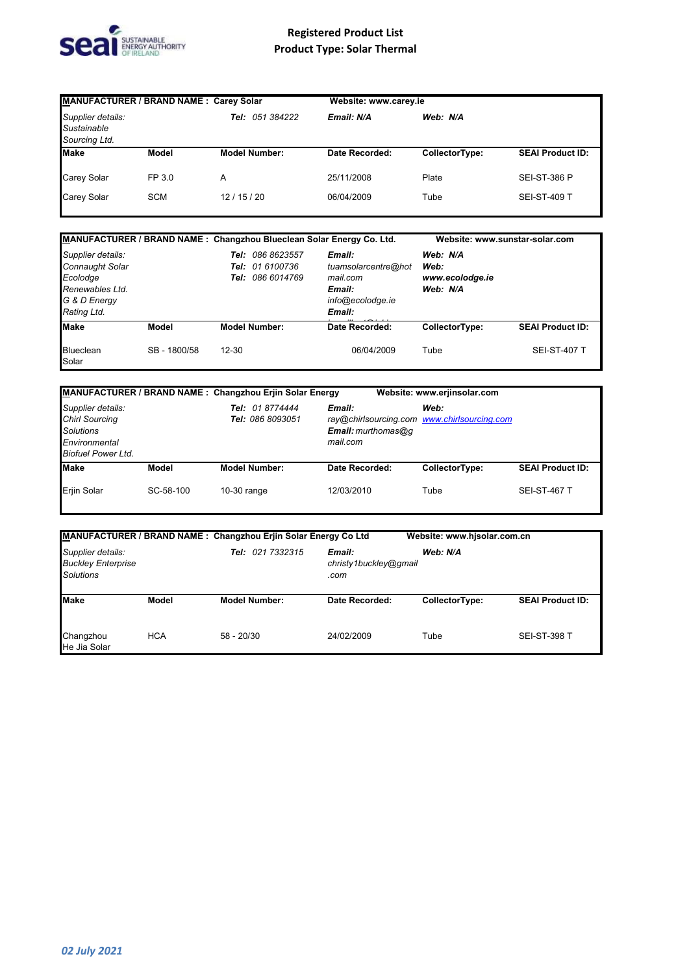

| MANUFACTURER / BRAND NAME : Carey Solar           |            |                        |                | Website: www.carey.ie |                         |  |  |
|---------------------------------------------------|------------|------------------------|----------------|-----------------------|-------------------------|--|--|
| Supplier details:<br>Sustainable<br>Sourcing Ltd. |            | <b>Tel: 051 384222</b> | Email: N/A     | Web: N/A              |                         |  |  |
| <b>Make</b>                                       | Model      | <b>Model Number:</b>   | Date Recorded: | CollectorType:        | <b>SEAI Product ID:</b> |  |  |
| <b>Carey Solar</b>                                | FP 3.0     | A                      | 25/11/2008     | Plate                 | <b>SEI-ST-386 P</b>     |  |  |
| <b>Carey Solar</b>                                | <b>SCM</b> | 12/15/20               | 06/04/2009     | Tube                  | <b>SEI-ST-409 T</b>     |  |  |

|                                                                                                    |              |           |                                                                  | MANUFACTURER / BRAND NAME : Changzhou Blueclean Solar Energy Co. Ltd.             | Website: www.sunstar-solar.com                  |                         |
|----------------------------------------------------------------------------------------------------|--------------|-----------|------------------------------------------------------------------|-----------------------------------------------------------------------------------|-------------------------------------------------|-------------------------|
| Supplier details:<br>Connaught Solar<br>Ecolodge<br>Renewables Ltd.<br>G & D Energy<br>Rating Ltd. |              | Tel:      | 086 8623557<br><b>Tel:</b> 01 6100736<br><b>Tel: 086 6014769</b> | Email:<br>tuamsolarcentre@hot<br>mail.com<br>Email:<br>info@ecolodge.ie<br>Email: | Web: N/A<br>Web:<br>www.ecolodge.ie<br>Web: N/A |                         |
| <b>Make</b>                                                                                        | <b>Model</b> |           | <b>Model Number:</b>                                             | <b>Date Recorded:</b>                                                             | CollectorType:                                  | <b>SEAI Product ID:</b> |
| Blueclean<br>Solar                                                                                 | SB-1800/58   | $12 - 30$ |                                                                  | 06/04/2009                                                                        | Tube                                            | <b>SEI-ST-407 T</b>     |

|                                                                                                              |           | MANUFACTURER / BRAND NAME : Changzhou Erjin Solar Energy |                                            | Website: www.erjinsolar.com                         |                         |
|--------------------------------------------------------------------------------------------------------------|-----------|----------------------------------------------------------|--------------------------------------------|-----------------------------------------------------|-------------------------|
| Supplier details:<br><b>Chirl Sourcing</b><br><b>Solutions</b><br>Environmental<br><b>Biofuel Power Ltd.</b> |           | Tel: 01 8774444<br><b>Tel: 086 8093051</b>               | Email:<br>$Email:$ murthomas@q<br>mail.com | Web:<br>ray@chirlsourcing.com www.chirlsourcing.com |                         |
| <b>Make</b>                                                                                                  | Model     | <b>Model Number:</b>                                     | Date Recorded:                             | CollectorType:                                      | <b>SEAI Product ID:</b> |
| <b>Eriin Solar</b>                                                                                           | SC-58-100 | $10-30$ range                                            | 12/03/2010                                 | Tube                                                | <b>SEI-ST-467 T</b>     |

|                                                                    |            | MANUFACTURER / BRAND NAME : Changzhou Erjin Solar Energy Co Ltd |                                         | Website: www.hisolar.com.cn |                         |
|--------------------------------------------------------------------|------------|-----------------------------------------------------------------|-----------------------------------------|-----------------------------|-------------------------|
| Supplier details:<br><b>Buckley Enterprise</b><br><b>Solutions</b> |            | Tel: 021 7332315                                                | Email:<br>christy1buckley@gmail<br>.com | Web: N/A                    |                         |
| <b>Make</b>                                                        | Model      | <b>Model Number:</b>                                            | Date Recorded:                          | CollectorType:              | <b>SEAI Product ID:</b> |
| Changzhou<br>He Jia Solar                                          | <b>HCA</b> | $58 - 20/30$                                                    | 24/02/2009                              | Tube                        | <b>SEI-ST-398 T</b>     |

I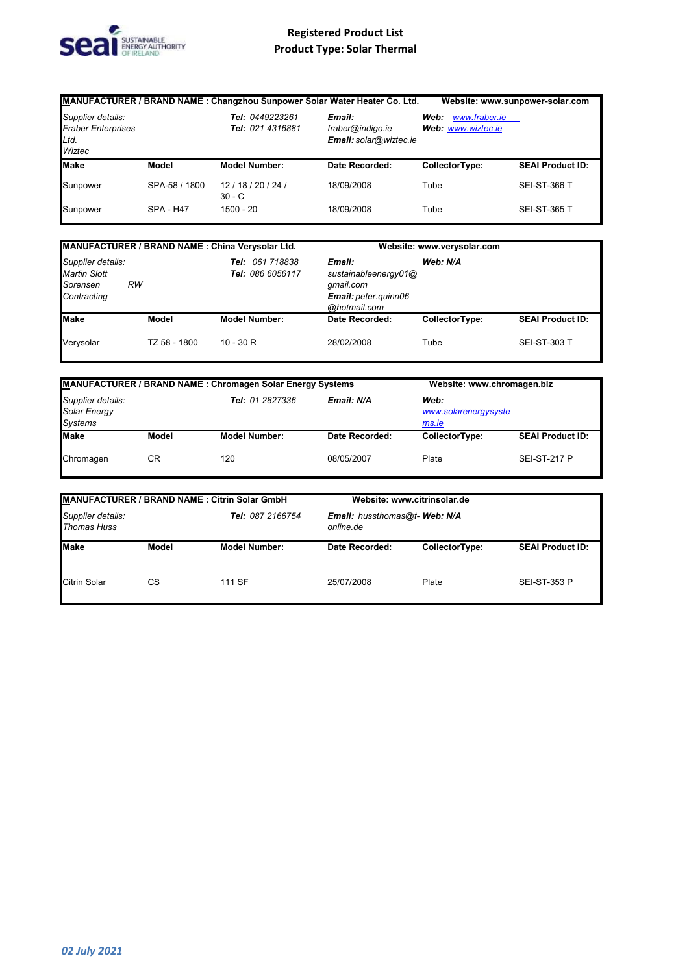

|                                                                  |                  |                                     | MANUFACTURER / BRAND NAME : Changzhou Sunpower Solar Water Heater Co. Ltd. |                                             | Website: www.sunpower-solar.com |
|------------------------------------------------------------------|------------------|-------------------------------------|----------------------------------------------------------------------------|---------------------------------------------|---------------------------------|
| Supplier details:<br><b>Fraber Enterprises</b><br>Ltd.<br>Wiztec |                  | Tel: 0449223261<br>Tel: 021 4316881 | Email:<br>fraber@indigo.ie<br>Email: solar@wiztec.ie                       | www.fraber.ie<br>Web:<br>Web: www.wiztec.ie |                                 |
| <b>Make</b>                                                      | <b>Model</b>     | <b>Model Number:</b>                | Date Recorded:                                                             | CollectorType:                              | <b>SEAI Product ID:</b>         |
| Sunpower                                                         | SPA-58 / 1800    | 12/18/20/24/<br>$30 - C$            | 18/09/2008                                                                 | Tube                                        | <b>SEI-ST-366 T</b>             |
| Sunpower                                                         | <b>SPA - H47</b> | 1500 - 20                           | 18/09/2008                                                                 | Tube                                        | <b>SEI-ST-365 T</b>             |

| MANUFACTURER / BRAND NAME : China Verysolar Ltd.                                                                        |              |                                                                                                 |                | Website: www.verysolar.com |                         |
|-------------------------------------------------------------------------------------------------------------------------|--------------|-------------------------------------------------------------------------------------------------|----------------|----------------------------|-------------------------|
| Supplier details:<br><b>Tel: 061 718838</b><br><b>Martin Slott</b><br>Tel: 086 6056117<br>RW<br>Sorensen<br>Contracting |              | Email:<br>Web: N/A<br>sustainableenergy01@<br>qmail.com<br>Email: peter.guinn06<br>@hotmail.com |                |                            |                         |
| <b>Make</b>                                                                                                             | Model        | <b>Model Number:</b>                                                                            | Date Recorded: | CollectorType:             | <b>SEAI Product ID:</b> |
| Verysolar                                                                                                               | TZ 58 - 1800 | $10 - 30 R$                                                                                     | 28/02/2008     | Tube                       | <b>SEI-ST-303 T</b>     |

| MANUFACTURER / BRAND NAME : Chromagen Solar Energy Systems             |       | Website: www.chromagen.biz |                                       |                |                         |
|------------------------------------------------------------------------|-------|----------------------------|---------------------------------------|----------------|-------------------------|
| Supplier details:<br>Tel: 01 2827336<br>Solar Energy<br><b>Systems</b> |       | Email: N/A                 | Web:<br>www.solarenergysyste<br>ms.ie |                |                         |
| <b>Make</b>                                                            | Model | <b>Model Number:</b>       | Date Recorded:                        | CollectorType: | <b>SEAI Product ID:</b> |
| Chromagen                                                              | СR    | 120                        | 08/05/2007                            | Plate          | <b>SEI-ST-217 P</b>     |

| MANUFACTURER / BRAND NAME : Citrin Solar GmbH               |       |                                            |                | Website: www.citrinsolar.de |                         |
|-------------------------------------------------------------|-------|--------------------------------------------|----------------|-----------------------------|-------------------------|
| Supplier details:<br>Tel: 087 2166754<br><b>Thomas Huss</b> |       | Email: hussthomas@t- Web: N/A<br>online.de |                |                             |                         |
| <b>Make</b>                                                 | Model | <b>Model Number:</b>                       | Date Recorded: | CollectorType:              | <b>SEAI Product ID:</b> |
| <b>Citrin Solar</b>                                         | СS    | 111 SF                                     | 25/07/2008     | Plate                       | <b>SEI-ST-353 P</b>     |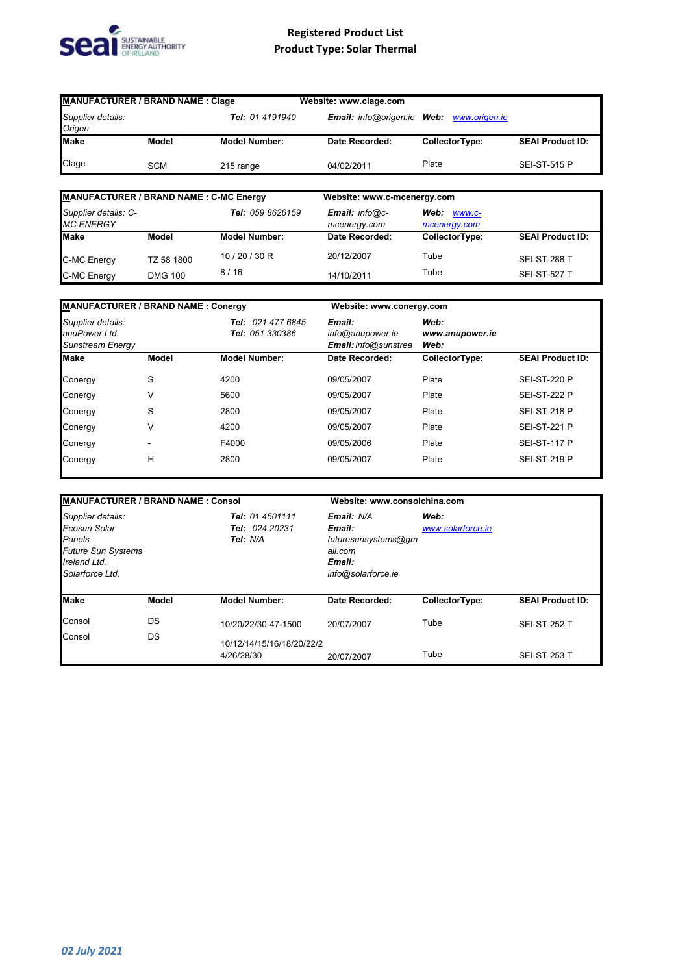

| <b>MANUFACTURER / BRAND NAME: Clage</b> |            |                      | Website: www.clage.com     |                |                         |
|-----------------------------------------|------------|----------------------|----------------------------|----------------|-------------------------|
| Supplier details:<br>Origen             |            | Tel: 01 4191940      | Email: info@origen.ie Web: | www.origen.ie  |                         |
| <b>Make</b>                             | Model      | <b>Model Number:</b> | Date Recorded:             | CollectorType: | <b>SEAI Product ID:</b> |
| Clage                                   | <b>SCM</b> | 215 range            | 04/02/2011                 | Plate          | <b>SEI-ST-515 P</b>     |

| <b>MANUFACTURER / BRAND NAME: C-MC Energy</b> |                              |                      | Website: www.c-mcenergy.com              |                                |                                            |
|-----------------------------------------------|------------------------------|----------------------|------------------------------------------|--------------------------------|--------------------------------------------|
| Supplier details: C-<br><b>MC ENERGY</b>      |                              | Tel: 059 8626159     | <b>Email:</b> $info@c$ -<br>mcenergy.com | Web:<br>WWW.C-<br>mcenergy.com |                                            |
| <b>Make</b>                                   | Model                        | <b>Model Number:</b> | Date Recorded:                           | CollectorType:                 | <b>SEAI Product ID:</b>                    |
| C-MC Energy<br>C-MC Energy                    | TZ 58 1800<br><b>DMG 100</b> | 10/20/30 R<br>8/16   | 20/12/2007<br>14/10/2011                 | Tube<br>Tube                   | <b>SEI-ST-288 T</b><br><b>SEI-ST-527 T</b> |

| <b>MANUFACTURER / BRAND NAME: Conergy</b>                     |       |                                      |                                                    | Website: www.conergy.com        |                         |  |  |
|---------------------------------------------------------------|-------|--------------------------------------|----------------------------------------------------|---------------------------------|-------------------------|--|--|
| Supplier details:<br>anuPower Ltd.<br><b>Sunstream Energy</b> |       | Tel: 021 477 6845<br>Tel: 051 330386 | Email:<br>info@anupower.ie<br>Email: info@sunstrea | Web:<br>www.anupower.ie<br>Web: |                         |  |  |
| <b>Make</b>                                                   | Model | <b>Model Number:</b>                 | Date Recorded:                                     | CollectorType:                  | <b>SEAI Product ID:</b> |  |  |
| Conergy                                                       | S     | 4200                                 | 09/05/2007                                         | Plate                           | <b>SEI-ST-220 P</b>     |  |  |
| Conergy                                                       | ٧     | 5600                                 | 09/05/2007                                         | Plate                           | <b>SEI-ST-222 P</b>     |  |  |
| Conergy                                                       | S     | 2800                                 | 09/05/2007                                         | Plate                           | <b>SEI-ST-218 P</b>     |  |  |
| Conergy                                                       | ٧     | 4200                                 | 09/05/2007                                         | Plate                           | <b>SEI-ST-221 P</b>     |  |  |
| Conergy                                                       |       | F4000                                | 09/05/2006                                         | Plate                           | <b>SEI-ST-117 P</b>     |  |  |
| Conergy                                                       | Н     | 2800                                 | 09/05/2007                                         | Plate                           | <b>SEI-ST-219 P</b>     |  |  |

| <b>MANUFACTURER / BRAND NAME: Consol</b>                                                                    |              |                                               | Website: www.consolchina.com                                                           |                           |                         |  |  |
|-------------------------------------------------------------------------------------------------------------|--------------|-----------------------------------------------|----------------------------------------------------------------------------------------|---------------------------|-------------------------|--|--|
| Supplier details:<br>Ecosun Solar<br>Panels<br><b>Future Sun Systems</b><br>Ireland Ltd.<br>Solarforce Ltd. |              | Tel: 01 4501111<br>Tel: 024 20231<br>Tel: N/A | Email: N/A<br>Email:<br>futuresunsystems@gm<br>ail.com<br>Email:<br>info@solarforce.ie | Web:<br>www.solarforce.ie |                         |  |  |
| <b>Make</b>                                                                                                 | <b>Model</b> | <b>Model Number:</b>                          | Date Recorded:                                                                         | CollectorType:            | <b>SEAI Product ID:</b> |  |  |
| Consol                                                                                                      | DS           | 10/20/22/30-47-1500                           | 20/07/2007                                                                             | Tube                      | <b>SEI-ST-252 T</b>     |  |  |
| Consol                                                                                                      | DS           | 10/12/14/15/16/18/20/22/2<br>4/26/28/30       | 20/07/2007                                                                             | Tube                      | <b>SEI-ST-253 T</b>     |  |  |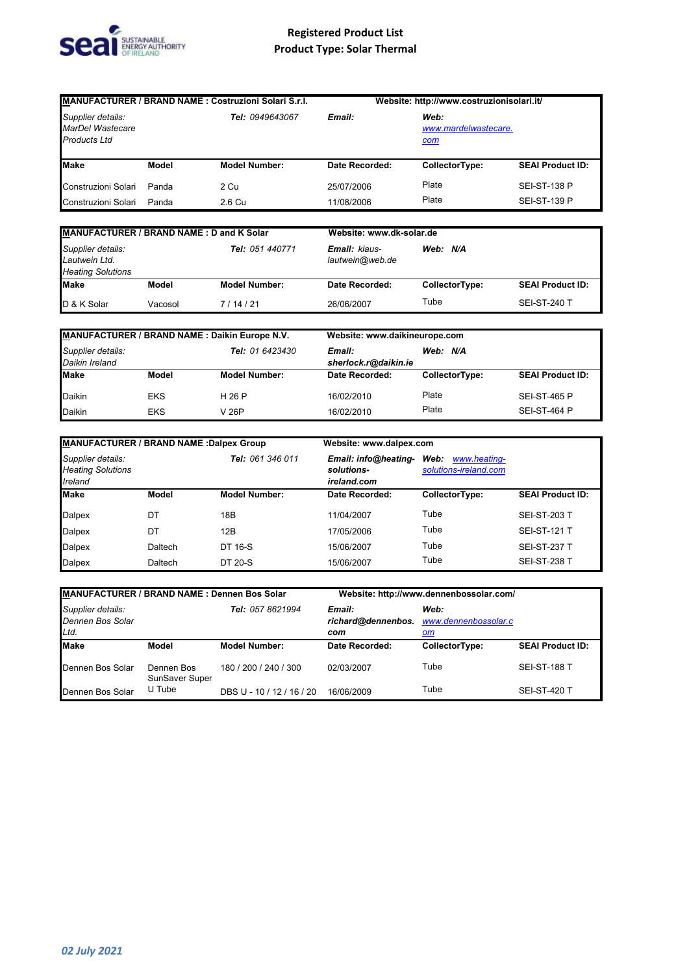

| <b>MANUFACTURER / BRAND NAME: Costruzioni Solari S.r.l.</b>    |                              |                           | Website: http://www.costruzionisolari.it/                           |                                            |                         |  |
|----------------------------------------------------------------|------------------------------|---------------------------|---------------------------------------------------------------------|--------------------------------------------|-------------------------|--|
| Supplier details:<br>MarDel Wastecare<br><b>Products Ltd</b>   |                              | Tel: 0949643067           | Email:                                                              | Web:<br>www.mardelwastecare.<br><u>com</u> |                         |  |
| <b>Make</b>                                                    | <b>Model</b>                 | <b>Model Number:</b>      | Date Recorded:                                                      | CollectorType:                             | <b>SEAI Product ID:</b> |  |
| Construzioni Solari                                            | Panda                        | 2 Cu                      | 25/07/2006                                                          | Plate                                      | <b>SEI-ST-138 P</b>     |  |
| Construzioni Solari                                            | Panda                        | 2.6 Cu                    | 11/08/2006                                                          | Plate                                      | <b>SEI-ST-139 P</b>     |  |
| MANUFACTURER / BRAND NAME: D and K Solar                       |                              |                           | Website: www.dk-solar.de                                            |                                            |                         |  |
| Supplier details:<br>Lautwein Ltd.<br><b>Heating Solutions</b> |                              | Tel: 051 440771           | Email: klaus-<br>lautwein@web.de                                    | Web: N/A                                   |                         |  |
| <b>Make</b>                                                    | Model                        | <b>Model Number:</b>      | Date Recorded:                                                      | CollectorType:                             | <b>SEAI Product ID:</b> |  |
| D & K Solar                                                    | Vacosol                      | 7/14/21                   | 26/06/2007                                                          | Tube                                       | <b>SEI-ST-240 T</b>     |  |
| MANUFACTURER / BRAND NAME : Daikin Europe N.V.                 |                              |                           | Website: www.daikineurope.com                                       |                                            |                         |  |
| Supplier details:<br>Daikin Ireland                            |                              | Tel: 01 6423430           | Email:<br>sherlock.r@daikin.ie                                      | Web: N/A                                   |                         |  |
| <b>Make</b>                                                    | <b>Model</b>                 | <b>Model Number:</b>      | Date Recorded:                                                      | CollectorType:                             | <b>SEAI Product ID:</b> |  |
| Daikin                                                         | <b>EKS</b>                   | H 26 P                    | 16/02/2010                                                          | Plate                                      | <b>SEI-ST-465 P</b>     |  |
| Daikin                                                         | <b>EKS</b>                   | V 26P                     | 16/02/2010                                                          | Plate                                      | SEI-ST-464 P            |  |
| <b>MANUFACTURER / BRAND NAME : Dalpex Group</b>                |                              |                           | Website: www.dalpex.com                                             |                                            |                         |  |
| Supplier details:<br><b>Heating Solutions</b><br>Ireland       |                              | Tel: 061 346 011          | Email: info@heating- Web: www.heating-<br>solutions-<br>ireland.com | solutions-ireland.com                      |                         |  |
| Make                                                           | Model                        | <b>Model Number:</b>      | Date Recorded:                                                      | CollectorType:                             | <b>SEAI Product ID:</b> |  |
| Dalpex                                                         | DT                           | 18B                       | 11/04/2007                                                          | Tube                                       | <b>SEI-ST-203 T</b>     |  |
| Dalpex                                                         | DT                           | 12B                       | 17/05/2006                                                          | Tube                                       | <b>SEI-ST-121 T</b>     |  |
| Dalpex                                                         | Daltech                      | DT 16-S                   | 15/06/2007                                                          | Tube                                       | <b>SEI-ST-237 T</b>     |  |
| Dalpex                                                         | Daltech                      | DT 20-S                   | 15/06/2007                                                          | Tube                                       | <b>SEI-ST-238 T</b>     |  |
| <b>MANUFACTURER / BRAND NAME: Dennen Bos Solar</b>             |                              |                           |                                                                     | Website: http://www.dennenbossolar.com/    |                         |  |
| Supplier details:<br>Dennen Bos Solar<br>Ltd.                  |                              | Tel: 057 8621994          | Email:<br>richard@dennenbos.<br>com                                 | Web:<br>www.dennenbossolar.c<br>om         |                         |  |
| <b>Make</b>                                                    | Model                        | <b>Model Number:</b>      | Date Recorded:                                                      | CollectorType:                             | <b>SEAI Product ID:</b> |  |
| Dennen Bos Solar                                               | Dennen Bos<br>SunSaver Super | 180 / 200 / 240 / 300     | 02/03/2007                                                          | Tube                                       | <b>SEI-ST-188 T</b>     |  |
| Dennen Bos Solar                                               | U Tube                       | DBS U - 10 / 12 / 16 / 20 | 16/06/2009                                                          | Tube                                       | <b>SEI-ST-420 T</b>     |  |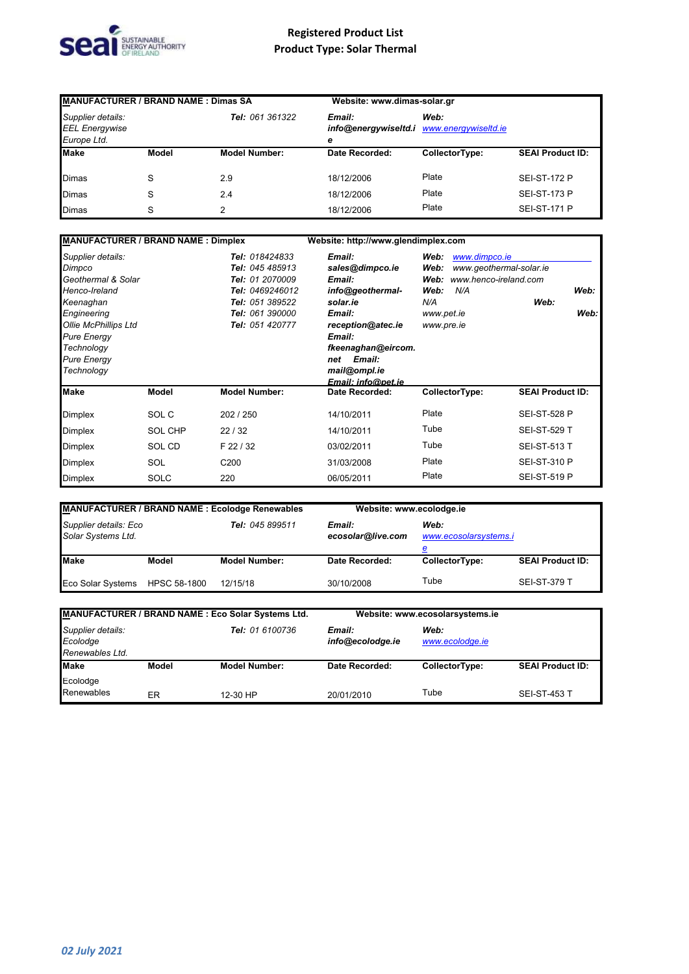

| <b>MANUFACTURER / BRAND NAME: Dimas SA</b>                |       |                        | Website: www.dimas-solar.gr |                                                   |                         |
|-----------------------------------------------------------|-------|------------------------|-----------------------------|---------------------------------------------------|-------------------------|
| Supplier details:<br><b>EEL Energywise</b><br>Europe Ltd. |       | <b>Tel: 061 361322</b> | Email:<br>е                 | Web:<br>info@energywiseltd.i www.energywiseltd.ie |                         |
| <b>Make</b>                                               | Model | <b>Model Number:</b>   | Date Recorded:              | CollectorType:                                    | <b>SEAI Product ID:</b> |
| <b>Dimas</b>                                              | S     | 2.9                    | 18/12/2006                  | Plate                                             | <b>SEI-ST-172 P</b>     |
| <b>Dimas</b>                                              | S     | 2.4                    | 18/12/2006                  | Plate                                             | <b>SEI-ST-173 P</b>     |
| <b>Dimas</b>                                              | S     | 2                      | 18/12/2006                  | Plate                                             | <b>SEI-ST-171 P</b>     |

| <b>MANUFACTURER / BRAND NAME: Dimplex</b>                                                                                                                                        |                |                                                                                                                                  | Website: http://www.glendimplex.com                                                                                                                 |                                                                                                                                             |                         |
|----------------------------------------------------------------------------------------------------------------------------------------------------------------------------------|----------------|----------------------------------------------------------------------------------------------------------------------------------|-----------------------------------------------------------------------------------------------------------------------------------------------------|---------------------------------------------------------------------------------------------------------------------------------------------|-------------------------|
| Supplier details:<br>Dimpco<br>Geothermal & Solar<br>Henco-Ireland<br>Keenaghan<br>Engineering<br>Ollie McPhillips Ltd<br><b>Pure Energy</b><br>Technology<br><b>Pure Energy</b> |                | Tel: 018424833<br>Tel: 045 485913<br>Tel: 01 2070009<br>Tel: 0469246012<br>Tel: 051 389522<br>Tel: 061 390000<br>Tel: 051 420777 | Email:<br>sales@dimpco.ie<br>Email:<br>info@geothermal-<br>solar.ie<br>Email:<br>reception@atec.ie<br>Email:<br>fkeenaghan@eircom.<br>Email:<br>net | Web:<br>www.dimpco.ie<br>Web:<br>www.geothermal-solar.ie<br>Web:<br>www.henco-ireland.com<br>Web:<br>N/A<br>N/A<br>www.pet.ie<br>www.pre.ie | Web:<br>Web:<br>Web:    |
| Technology                                                                                                                                                                       |                |                                                                                                                                  | mail@ompl.ie<br>Email: info@pet.ie                                                                                                                  |                                                                                                                                             |                         |
| Make                                                                                                                                                                             | <b>Model</b>   | <b>Model Number:</b>                                                                                                             | Date Recorded:                                                                                                                                      | CollectorType:                                                                                                                              | <b>SEAI Product ID:</b> |
| Dimplex                                                                                                                                                                          | SOL C          | 202 / 250                                                                                                                        | 14/10/2011                                                                                                                                          | Plate                                                                                                                                       | <b>SEI-ST-528 P</b>     |
| Dimplex                                                                                                                                                                          | <b>SOL CHP</b> | 22/32                                                                                                                            | 14/10/2011                                                                                                                                          | Tube                                                                                                                                        | <b>SEI-ST-529 T</b>     |
| Dimplex                                                                                                                                                                          | SOL CD         | F 22 / 32                                                                                                                        | 03/02/2011                                                                                                                                          | Tube                                                                                                                                        | <b>SEI-ST-513 T</b>     |
| Dimplex                                                                                                                                                                          | SOL            | C <sub>200</sub>                                                                                                                 | 31/03/2008                                                                                                                                          | Plate                                                                                                                                       | <b>SEI-ST-310 P</b>     |
| Dimplex                                                                                                                                                                          | <b>SOLC</b>    | 220                                                                                                                              | 06/05/2011                                                                                                                                          | Plate                                                                                                                                       | <b>SEI-ST-519 P</b>     |

| <b>MANUFACTURER / BRAND NAME: Ecolodge Renewables</b>          |              |                      | Website: www.ecolodge.ie    |                                    |                         |
|----------------------------------------------------------------|--------------|----------------------|-----------------------------|------------------------------------|-------------------------|
| Supplier details: Eco<br>Tel: 045 899511<br>Solar Systems Ltd. |              |                      | Email:<br>ecosolar@live.com | Web:<br>www.ecosolarsystems.i<br>е |                         |
| <b>Make</b>                                                    | Model        | <b>Model Number:</b> | Date Recorded:              | CollectorType:                     | <b>SEAI Product ID:</b> |
| <b>Eco Solar Systems</b>                                       | HPSC 58-1800 | 12/15/18             | 30/10/2008                  | Tube                               | <b>SEI-ST-379 T</b>     |

| MANUFACTURER / BRAND NAME : Eco Solar Systems Ltd.                  |       | Website: www.ecosolarsystems.ie |                         |                |                         |
|---------------------------------------------------------------------|-------|---------------------------------|-------------------------|----------------|-------------------------|
| Supplier details:<br>Tel: 01 6100736<br>Ecolodge<br>Renewables Ltd. |       | Email:<br>info@ecolodge.ie      | Web:<br>www.ecolodge.ie |                |                         |
| <b>Make</b>                                                         | Model | <b>Model Number:</b>            | Date Recorded:          | CollectorType: | <b>SEAI Product ID:</b> |
| Ecolodge<br>Renewables                                              | ER    | 12-30 HP                        | 20/01/2010              | Tube           | <b>SEI-ST-453 T</b>     |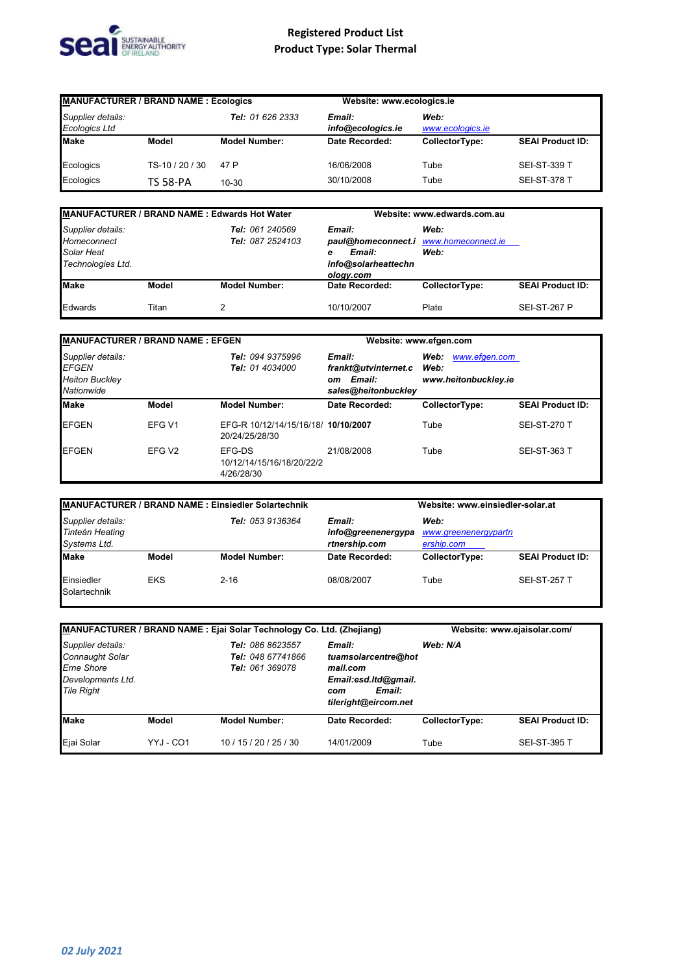

| <b>MANUFACTURER / BRAND NAME: Ecologics</b> |                 |                      | Website: www.ecologics.ie   |                          |                         |
|---------------------------------------------|-----------------|----------------------|-----------------------------|--------------------------|-------------------------|
| Supplier details:<br><b>Ecologics Ltd</b>   |                 | Tel: 01 626 2333     | Email:<br>info@ecologics.ie | Web:<br>www.ecologics.ie |                         |
| <b>Make</b>                                 | Model           | <b>Model Number:</b> | Date Recorded:              | CollectorType:           | <b>SEAI Product ID:</b> |
| Ecologics                                   | TS-10 / 20 / 30 | 47 P                 | 16/06/2008                  | Tube                     | <b>SEI-ST-339 T</b>     |
| Ecologics                                   | <b>TS 58-PA</b> | $10 - 30$            | 30/10/2008                  | Tube                     | <b>SEI-ST-378 T</b>     |

| MANUFACTURER / BRAND NAME: Edwards Hot Water                        |       |                                     |                                                                                                    | Website: www.edwards.com.au |                         |  |
|---------------------------------------------------------------------|-------|-------------------------------------|----------------------------------------------------------------------------------------------------|-----------------------------|-------------------------|--|
| Supplier details:<br>Homeconnect<br>Solar Heat<br>Technologies Ltd. |       | Tel: 061 240569<br>Tel: 087 2524103 | Email:<br>paul@homeconnect.i www.homeconnect.ie<br>Email:<br>е<br>info@solarheattechn<br>ology.com | Web:<br>Web:                |                         |  |
| <b>Make</b>                                                         | Model | <b>Model Number:</b>                | Date Recorded:                                                                                     | CollectorType:              | <b>SEAI Product ID:</b> |  |
| Edwards                                                             | Titan |                                     | 10/10/2007                                                                                         | Plate                       | <b>SEI-ST-267 P</b>     |  |

| <b>MANUFACTURER / BRAND NAME: EFGEN</b>                                  |                    |                                                       | Website: www.efgen.com                                                |                                                       |                         |
|--------------------------------------------------------------------------|--------------------|-------------------------------------------------------|-----------------------------------------------------------------------|-------------------------------------------------------|-------------------------|
| Supplier details:<br><b>EFGEN</b><br><b>Heiton Buckley</b><br>Nationwide |                    | Tel: 094 9375996<br>Tel: 01 4034000                   | Email:<br>frankt@utvinternet.c<br>Email:<br>om<br>sales@heitonbuckley | www.efgen.com<br>Web:<br>Web:<br>www.heitonbuckley.ie |                         |
| <b>Make</b>                                                              | Model              | <b>Model Number:</b>                                  | Date Recorded:                                                        | CollectorType:                                        | <b>SEAI Product ID:</b> |
| <b>EFGEN</b>                                                             | EFG V1             | EFG-R 10/12/14/15/16/18/ 10/10/2007<br>20/24/25/28/30 |                                                                       | Tube                                                  | <b>SEI-ST-270 T</b>     |
| <b>EFGEN</b>                                                             | EFG V <sub>2</sub> | EFG-DS<br>10/12/14/15/16/18/20/22/2<br>4/26/28/30     | 21/08/2008                                                            | Tube                                                  | <b>SEI-ST-363 T</b>     |

| <b>MANUFACTURER / BRAND NAME : Einsiedler Solartechnik</b>                      |            |                                                                                             | Website: www.einsiedler-solar.at |                |                         |
|---------------------------------------------------------------------------------|------------|---------------------------------------------------------------------------------------------|----------------------------------|----------------|-------------------------|
| Supplier details:<br>Tel: 053 9136364<br><b>Tinteán Heating</b><br>Systems Ltd. |            | Email:<br>Web:<br>info@greenenergypa<br>www.greenenergypartn<br>rtnership.com<br>ership.com |                                  |                |                         |
| <b>Make</b>                                                                     | Model      | <b>Model Number:</b>                                                                        | Date Recorded:                   | CollectorType: | <b>SEAI Product ID:</b> |
| Einsiedler<br>Solartechnik                                                      | <b>EKS</b> | $2 - 16$                                                                                    | 08/08/2007                       | Tube           | <b>SEI-ST-257 T</b>     |

| MANUFACTURER / BRAND NAME : Ejai Solar Technology Co. Ltd. (Zhejiang)                                      |           | Website: www.ejaisolar.com/                              |                                                                                                            |                |                         |
|------------------------------------------------------------------------------------------------------------|-----------|----------------------------------------------------------|------------------------------------------------------------------------------------------------------------|----------------|-------------------------|
| Supplier details:<br><b>Connaught Solar</b><br><b>Erne Shore</b><br>Developments Ltd.<br><b>Tile Right</b> |           | Tel: 086 8623557<br>Tel: 048 67741866<br>Tel: 061 369078 | Email:<br>tuamsolarcentre@hot<br>mail.com<br>Email:esd.ltd@gmail.<br>Email:<br>com<br>tileright@eircom.net | Web: N/A       |                         |
| <b>Make</b>                                                                                                | Model     | <b>Model Number:</b>                                     | Date Recorded:                                                                                             | CollectorType: | <b>SEAI Product ID:</b> |
| Ejai Solar                                                                                                 | YYJ - CO1 | 10/15/20/25/30                                           | 14/01/2009                                                                                                 | Tube           | <b>SEI-ST-395 T</b>     |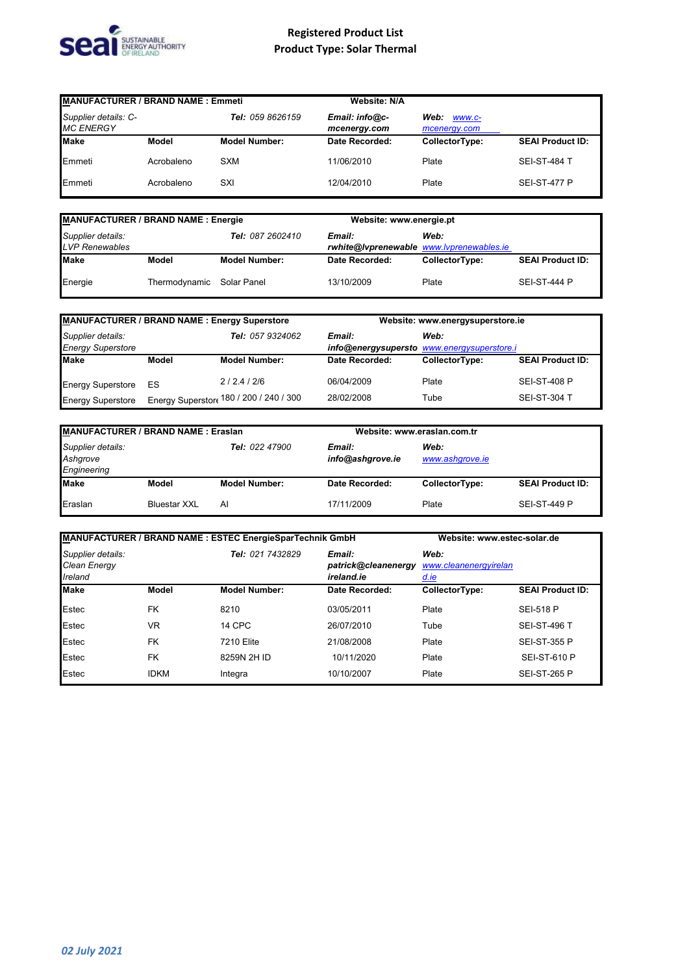

| <b>MANUFACTURER / BRAND NAME: Emmeti</b> |            |                      | <b>Website: N/A</b>            |                                |                         |
|------------------------------------------|------------|----------------------|--------------------------------|--------------------------------|-------------------------|
| Supplier details: C-<br><b>MC ENERGY</b> |            | Tel: 059 8626159     | Email: info@c-<br>mcenergy.com | Web:<br>WWW.C-<br>mcenergy.com |                         |
| <b>Make</b>                              | Model      | <b>Model Number:</b> | Date Recorded:                 | CollectorType:                 | <b>SEAI Product ID:</b> |
| Emmeti                                   | Acrobaleno | <b>SXM</b>           | 11/06/2010                     | Plate                          | <b>SEI-ST-484 T</b>     |
| Emmeti                                   | Acrobaleno | SXI                  | 12/04/2010                     | Plate                          | <b>SEI-ST-477 P</b>     |

| MANUFACTURER / BRAND NAME : Energie                                   |                           |                      | Website: www.energie.pt                            |                |                         |
|-----------------------------------------------------------------------|---------------------------|----------------------|----------------------------------------------------|----------------|-------------------------|
| Supplier details:<br><b>Tel: 087 2602410</b><br><b>LVP Renewables</b> |                           |                      | Email:<br>rwhite@lvprenewable_www.lvprenewables.ie | Web:           |                         |
| <b>Make</b>                                                           | Model                     | <b>Model Number:</b> | Date Recorded:                                     | CollectorType: | <b>SEAI Product ID:</b> |
| Energie                                                               | Thermodynamic Solar Panel |                      | 13/10/2009                                         | Plate          | <b>SEI-ST-444 P</b>     |

| <b>MANUFACTURER / BRAND NAME: Energy Superstore</b> |       |                                        | Website: www.energysuperstore.ie |                                                    |                         |
|-----------------------------------------------------|-------|----------------------------------------|----------------------------------|----------------------------------------------------|-------------------------|
| Supplier details:<br><b>Energy Superstore</b>       |       | Tel: 057 9324062                       | Email:                           | Web:<br>info@energysupersto www.energysuperstore.i |                         |
| <b>Make</b>                                         | Model | <b>Model Number:</b>                   | Date Recorded:                   | CollectorType:                                     | <b>SEAI Product ID:</b> |
| <b>Energy Superstore</b>                            | ES    | 2/2.4/2/6                              | 06/04/2009                       | Plate                                              | <b>SEI-ST-408 P</b>     |
| <b>Energy Superstore</b>                            |       | Energy Superstor 480 / 200 / 240 / 300 | 28/02/2008                       | Tube                                               | <b>SEI-ST-304 T</b>     |

| <b>MANUFACTURER / BRAND NAME: Eraslan</b>    |                     |                      |                            | Website: www.eraslan.com.tr |                         |  |
|----------------------------------------------|---------------------|----------------------|----------------------------|-----------------------------|-------------------------|--|
| Supplier details:<br>Ashgrove<br>Engineering |                     | Tel: 022 47900       | Email:<br>info@ashgrove.ie | Web:<br>www.ashgrove.ie     |                         |  |
| <b>Make</b>                                  | Model               | <b>Model Number:</b> | Date Recorded:             | CollectorType:              | <b>SEAI Product ID:</b> |  |
| Eraslan                                      | <b>Bluestar XXL</b> | Al                   | 17/11/2009                 | Plate                       | <b>SEI-ST-449 P</b>     |  |

| MANUFACTURER / BRAND NAME : ESTEC EnergieSparTechnik GmbH |             | Website: www.estec-solar.de |                                             |                                              |                         |
|-----------------------------------------------------------|-------------|-----------------------------|---------------------------------------------|----------------------------------------------|-------------------------|
| Supplier details:<br>Clean Energy<br>Ireland              |             | Tel: 021 7432829            | Email:<br>patrick@cleanenergy<br>ireland.ie | Web:<br>www.cleanenergyirelan<br><u>d.ie</u> |                         |
| <b>Make</b>                                               | Model       | <b>Model Number:</b>        | Date Recorded:                              | CollectorType:                               | <b>SEAI Product ID:</b> |
| Estec                                                     | <b>FK</b>   | 8210                        | 03/05/2011                                  | Plate                                        | <b>SEI-518 P</b>        |
| Estec                                                     | <b>VR</b>   | 14 CPC                      | 26/07/2010                                  | Tube                                         | <b>SEI-ST-496 T</b>     |
| Estec                                                     | <b>FK</b>   | 7210 Elite                  | 21/08/2008                                  | Plate                                        | <b>SEI-ST-355 P</b>     |
| Estec                                                     | <b>FK</b>   | 8259N 2H ID                 | 10/11/2020                                  | Plate                                        | <b>SEI-ST-610 P</b>     |
| Estec                                                     | <b>IDKM</b> | Integra                     | 10/10/2007                                  | Plate                                        | <b>SEI-ST-265 P</b>     |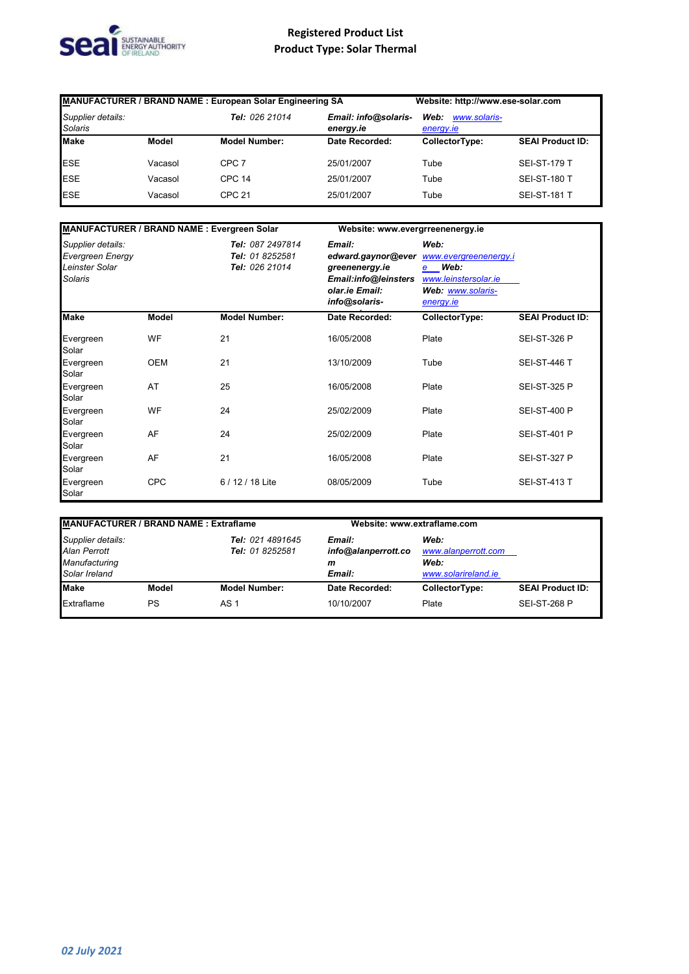

| MANUFACTURER / BRAND NAME : European Solar Engineering SA |         | Website: http://www.ese-solar.com |                                   |                                   |                         |
|-----------------------------------------------------------|---------|-----------------------------------|-----------------------------------|-----------------------------------|-------------------------|
| Supplier details:<br><b>Solaris</b>                       |         | Tel: 026 21014                    | Email: info@solaris-<br>energy.ie | Web:<br>www.solaris-<br>energy.ie |                         |
| <b>Make</b>                                               | Model   | <b>Model Number:</b>              | Date Recorded:                    | CollectorType:                    | <b>SEAI Product ID:</b> |
| <b>ESE</b>                                                | Vacasol | CPC 7                             | 25/01/2007                        | Tube                              | <b>SEI-ST-179 T</b>     |
| <b>ESE</b>                                                | Vacasol | <b>CPC 14</b>                     | 25/01/2007                        | Tube                              | <b>SEI-ST-180 T</b>     |
| <b>ESE</b>                                                | Vacasol | <b>CPC 21</b>                     | 25/01/2007                        | Tube                              | <b>SEI-ST-181 T</b>     |

| MANUFACTURER / BRAND NAME : Evergreen Solar                               |              |                                                       | Website: www.evergrreenenergy.ie                                                                          |                                                                                                        |                         |
|---------------------------------------------------------------------------|--------------|-------------------------------------------------------|-----------------------------------------------------------------------------------------------------------|--------------------------------------------------------------------------------------------------------|-------------------------|
| Supplier details:<br><b>Evergreen Energy</b><br>Leinster Solar<br>Solaris |              | Tel: 087 2497814<br>Tel: 01 8252581<br>Tel: 026 21014 | Email:<br>edward.gaynor@ever<br>greenenergy.ie<br>Email:info@leinsters<br>olar.ie Email:<br>info@solaris- | Web:<br>www.evergreenenergy.i<br>Web:<br>e –<br>www.leinstersolar.ie<br>Web: www.solaris-<br>energy.ie |                         |
| <b>Make</b>                                                               | <b>Model</b> | <b>Model Number:</b>                                  | Date Recorded:                                                                                            | CollectorType:                                                                                         | <b>SEAI Product ID:</b> |
| Evergreen<br>Solar                                                        | WF           | 21                                                    | 16/05/2008                                                                                                | Plate                                                                                                  | <b>SEI-ST-326 P</b>     |
| Evergreen<br>Solar                                                        | <b>OEM</b>   | 21                                                    | 13/10/2009                                                                                                | Tube                                                                                                   | <b>SEI-ST-446 T</b>     |
| Evergreen<br>Solar                                                        | AT           | 25                                                    | 16/05/2008                                                                                                | Plate                                                                                                  | <b>SEI-ST-325 P</b>     |
| Evergreen<br>Solar                                                        | WF           | 24                                                    | 25/02/2009                                                                                                | Plate                                                                                                  | <b>SEI-ST-400 P</b>     |
| Evergreen<br>Solar                                                        | AF           | 24                                                    | 25/02/2009                                                                                                | Plate                                                                                                  | <b>SEI-ST-401 P</b>     |
| Evergreen<br>Solar                                                        | AF           | 21                                                    | 16/05/2008                                                                                                | Plate                                                                                                  | <b>SEI-ST-327 P</b>     |
| Evergreen<br>Solar                                                        | <b>CPC</b>   | 6 / 12 / 18 Lite                                      | 08/05/2009                                                                                                | Tube                                                                                                   | <b>SEI-ST-413 T</b>     |

| <b>MANUFACTURER / BRAND NAME: Extraflame</b>                        |       |                                     |                                              | Website: www.extraflame.com                                |                         |  |
|---------------------------------------------------------------------|-------|-------------------------------------|----------------------------------------------|------------------------------------------------------------|-------------------------|--|
| Supplier details:<br>Alan Perrott<br>Manufacturing<br>Solar Ireland |       | Tel: 021 4891645<br>Tel: 01 8252581 | Email:<br>info@alanperrott.co<br>m<br>Email: | Web:<br>www.alanperrott.com<br>Web:<br>www.solarireland.ie |                         |  |
| <b>Make</b>                                                         | Model | <b>Model Number:</b>                | Date Recorded:                               | CollectorType:                                             | <b>SEAI Product ID:</b> |  |
| Extraflame                                                          | PS    | AS 1                                | 10/10/2007                                   | Plate                                                      | <b>SEI-ST-268 P</b>     |  |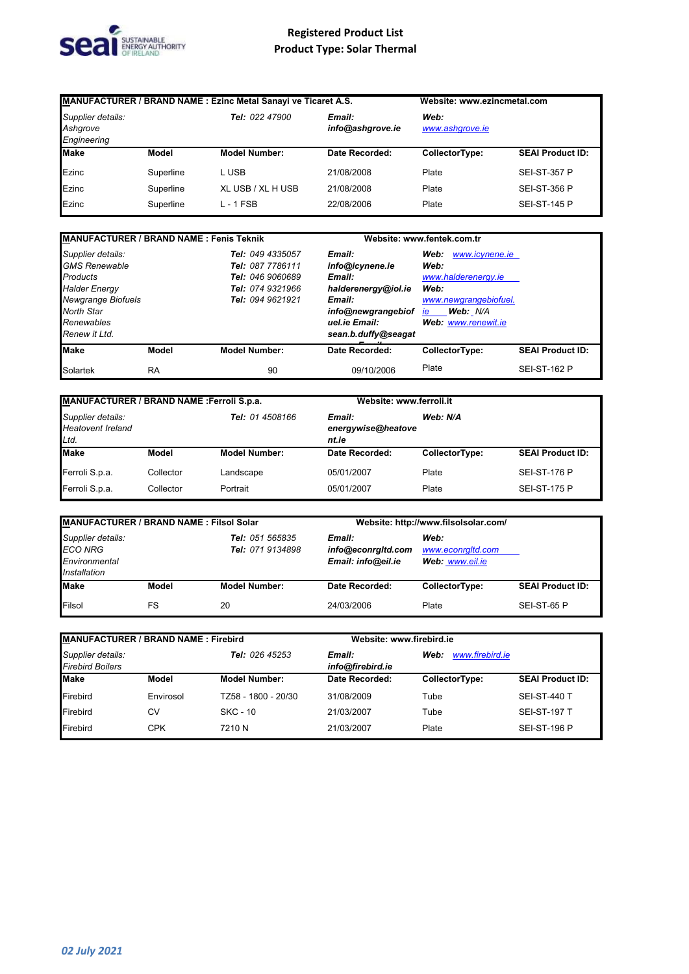

| MANUFACTURER / BRAND NAME : Ezinc Metal Sanayi ve Ticaret A.S. |           |                      | Website: www.ezincmetal.com |                         |                         |
|----------------------------------------------------------------|-----------|----------------------|-----------------------------|-------------------------|-------------------------|
| Supplier details:<br>Ashgrove<br>Engineering                   |           | Tel: 022 47900       | Email:<br>info@ashqrove.ie  | Web:<br>www.ashgrove.ie |                         |
| <b>Make</b>                                                    | Model     | <b>Model Number:</b> | Date Recorded:              | CollectorType:          | <b>SEAI Product ID:</b> |
| Ezinc                                                          | Superline | L USB                | 21/08/2008                  | Plate                   | <b>SEI-ST-357 P</b>     |
| Ezinc                                                          | Superline | XL USB / XL H USB    | 21/08/2008                  | Plate                   | <b>SEI-ST-356 P</b>     |
| Ezinc                                                          | Superline | $L - 1$ FSB          | 22/08/2006                  | Plate                   | <b>SEI-ST-145 P</b>     |

| <b>MANUFACTURER / BRAND NAME: Fenis Teknik</b>                                                                                                          |           |                                                                                                  | Website: www.fentek.com.tr                                                                                                         |                                                                                                                                 |                         |
|---------------------------------------------------------------------------------------------------------------------------------------------------------|-----------|--------------------------------------------------------------------------------------------------|------------------------------------------------------------------------------------------------------------------------------------|---------------------------------------------------------------------------------------------------------------------------------|-------------------------|
| Supplier details:<br><b>GMS Renewable</b><br><b>Products</b><br><b>Halder Energy</b><br>Newgrange Biofuels<br>North Star<br>Renewables<br>Renew it Ltd. |           | Tel: 049 4335057<br>Tel: 087 7786111<br>Tel: 046 9060689<br>Tel: 074 9321966<br>Tel: 094 9621921 | Email:<br>info@icynene.ie<br>Email:<br>halderenergy@iol.ie<br>Email:<br>info@newgrangebiof<br>uel.ie Email:<br>sean.b.duffy@seagat | www.icynene.ie<br>Web:<br>Web:<br>www.halderenergy.ie<br>Web:<br>www.newgrangebiofuel.<br>Web: N/A<br>ie<br>Web: www.renewit.ie |                         |
| <b>Make</b>                                                                                                                                             | Model     | <b>Model Number:</b>                                                                             | Date Recorded:                                                                                                                     | CollectorType:                                                                                                                  | <b>SEAI Product ID:</b> |
| Solartek                                                                                                                                                | <b>RA</b> | 90                                                                                               | 09/10/2006                                                                                                                         | Plate                                                                                                                           | <b>SEI-ST-162 P</b>     |

| MANUFACTURER / BRAND NAME : Ferroli S.p.a.                                      |           |                                       |                | Website: www.ferroli.it |                         |
|---------------------------------------------------------------------------------|-----------|---------------------------------------|----------------|-------------------------|-------------------------|
| <b>Tel:</b> 01 4508166<br>Supplier details:<br><b>Heatovent Ireland</b><br>Ltd. |           | Email:<br>energywise@heatove<br>nt.ie | Web: N/A       |                         |                         |
| <b>Make</b>                                                                     | Model     | <b>Model Number:</b>                  | Date Recorded: | CollectorType:          | <b>SEAI Product ID:</b> |
| Ferroli S.p.a.                                                                  | Collector | Landscape                             | 05/01/2007     | Plate                   | <b>SEI-ST-176 P</b>     |
| Ferroli S.p.a.                                                                  | Collector | Portrait                              | 05/01/2007     | Plate                   | <b>SEI-ST-175 P</b>     |

| <b>MANUFACTURER / BRAND NAME: Filsol Solar</b>                                                              |       |                                                    | Website: http://www.filsolsolar.com/         |                |                         |
|-------------------------------------------------------------------------------------------------------------|-------|----------------------------------------------------|----------------------------------------------|----------------|-------------------------|
| Supplier details:<br>Tel: 051 565835<br><b>ECO NRG</b><br>Tel: 071 9134898<br>Environmental<br>Installation |       | Email:<br>info@econrgltd.com<br>Email: info@eil.ie | Web:<br>www.econraltd.com<br>Web: www.eil.ie |                |                         |
| <b>Make</b>                                                                                                 | Model | <b>Model Number:</b>                               | Date Recorded:                               | CollectorType: | <b>SEAI Product ID:</b> |
| Filsol                                                                                                      | FS    | 20                                                 | 24/03/2006                                   | Plate          | SEI-ST-65 P             |

| MANUFACTURER / BRAND NAME : Firebird         |              |                       |                                                       | Website: www.firebird.ie |                         |  |
|----------------------------------------------|--------------|-----------------------|-------------------------------------------------------|--------------------------|-------------------------|--|
| Supplier details:<br><b>Firebird Boilers</b> |              | <b>Tel: 026 45253</b> | www.firebird.je<br>Email:<br>Web:<br>info@firebird.ie |                          |                         |  |
| <b>Make</b>                                  | <b>Model</b> | <b>Model Number:</b>  | Date Recorded:                                        | CollectorType:           | <b>SEAI Product ID:</b> |  |
| Firebird                                     | Envirosol    | TZ58 - 1800 - 20/30   | 31/08/2009                                            | Tube                     | <b>SEI-ST-440 T</b>     |  |
| Firebird                                     | C٧           | SKC - 10              | 21/03/2007                                            | Tube                     | <b>SEI-ST-197 T</b>     |  |
| Firebird                                     | <b>CPK</b>   | 7210 N                | 21/03/2007                                            | Plate                    | <b>SEI-ST-196 P</b>     |  |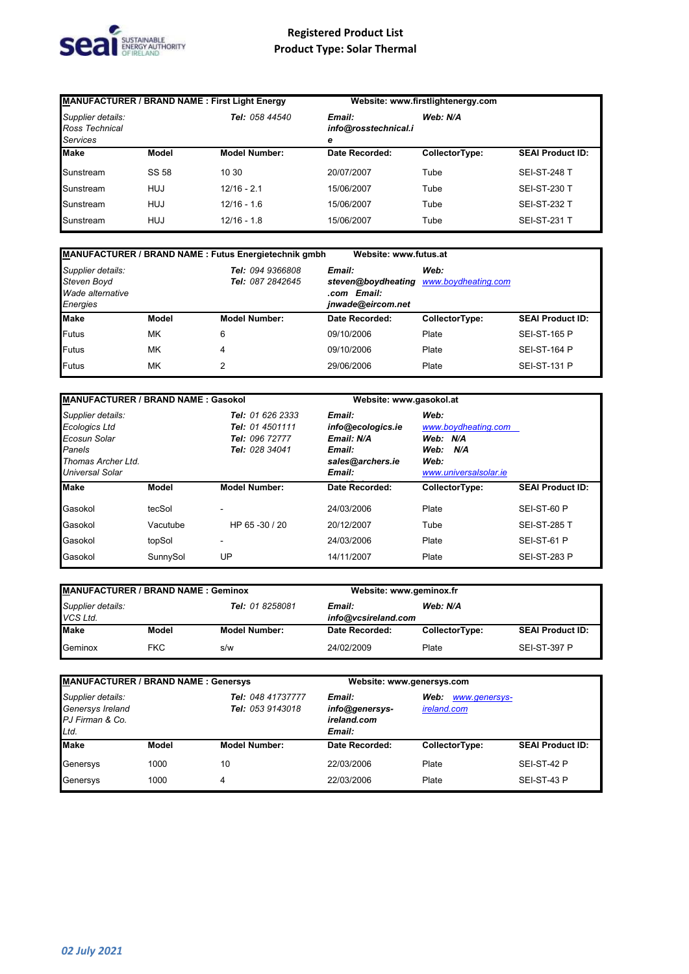

| MANUFACTURER / BRAND NAME : First Light Energy         |            |                                                       | Website: www.firstlightenergy.com |                |                         |
|--------------------------------------------------------|------------|-------------------------------------------------------|-----------------------------------|----------------|-------------------------|
| Supplier details:<br>Ross Technical<br><b>Services</b> |            | Tel: 058 44540<br>Email:<br>info@rosstechnical.i<br>е |                                   | Web: N/A       |                         |
| <b>Make</b>                                            | Model      | <b>Model Number:</b>                                  | Date Recorded:                    | CollectorType: | <b>SEAI Product ID:</b> |
| Sunstream                                              | SS 58      | 10 30                                                 | 20/07/2007                        | Tube           | <b>SEI-ST-248 T</b>     |
| Sunstream                                              | <b>HUJ</b> | $12/16 - 2.1$                                         | 15/06/2007                        | Tube           | <b>SEI-ST-230 T</b>     |
| Sunstream                                              | HUJ        | $12/16 - 1.6$                                         | 15/06/2007                        | Tube           | <b>SEI-ST-232 T</b>     |
| Sunstream                                              | HUJ        | $12/16 - 1.8$                                         | 15/06/2007                        | Tube           | <b>SEI-ST-231 T</b>     |

|                                                                  |              | <b>MANUFACTURER / BRAND NAME: Futus Energietechnik gmbh</b> | Website: www.futus.at                                                                |                |                         |
|------------------------------------------------------------------|--------------|-------------------------------------------------------------|--------------------------------------------------------------------------------------|----------------|-------------------------|
| Supplier details:<br>Steven Boyd<br>Wade alternative<br>Energies |              | <b>Tel: 094 9366808</b><br>Tel: 087 2842645                 | Email:<br>steven@boydheating www.boydheating.com<br>.com Email:<br>jnwade@eircom.net | Web:           |                         |
| <b>Make</b>                                                      | <b>Model</b> | <b>Model Number:</b>                                        | Date Recorded:                                                                       | CollectorType: | <b>SEAI Product ID:</b> |
| <b>Futus</b>                                                     | MK           | 6                                                           | 09/10/2006                                                                           | Plate          | <b>SEI-ST-165 P</b>     |
| <b>Futus</b>                                                     | MK           | 4                                                           | 09/10/2006                                                                           | Plate          | <b>SEI-ST-164 P</b>     |
| Futus                                                            | MK           | $\overline{2}$                                              | 29/06/2006                                                                           | Plate          | <b>SEI-ST-131 P</b>     |

| <b>MANUFACTURER / BRAND NAME: Gasokol</b>                                                             |          |                                                                         | Website: www.gasokol.at                                                           |                                                                                         |                         |
|-------------------------------------------------------------------------------------------------------|----------|-------------------------------------------------------------------------|-----------------------------------------------------------------------------------|-----------------------------------------------------------------------------------------|-------------------------|
| Supplier details:<br>Ecologics Ltd<br>Ecosun Solar<br>Panels<br>Thomas Archer Ltd.<br>Universal Solar |          | Tel: 01 626 2333<br>Tel: 01 4501111<br>Tel: 096 72777<br>Tel: 028 34041 | Email:<br>info@ecologics.ie<br>Email: N/A<br>Email:<br>sales@archers.ie<br>Email: | Web:<br>www.boydheating.com<br>Web: N/A<br>Web:<br>N/A<br>Web:<br>www.universalsolar.ie |                         |
| <b>Make</b>                                                                                           | Model    | <b>Model Number:</b>                                                    | Date Recorded:                                                                    | CollectorType:                                                                          | <b>SEAI Product ID:</b> |
| Gasokol                                                                                               | tecSol   | ٠                                                                       | 24/03/2006                                                                        | Plate                                                                                   | SEI-ST-60 P             |
| Gasokol                                                                                               | Vacutube | HP 65 - 30 / 20                                                         | 20/12/2007                                                                        | Tube                                                                                    | <b>SEI-ST-285 T</b>     |
| Gasokol                                                                                               | topSol   | ٠                                                                       | 24/03/2006                                                                        | Plate                                                                                   | SEI-ST-61 P             |
| Gasokol                                                                                               | SunnySol | UP                                                                      | 14/11/2007                                                                        | Plate                                                                                   | <b>SEI-ST-283 P</b>     |

| <b>MANUFACTURER / BRAND NAME: Geminox</b>        |            | Website: www.geminox.fr                   |                |                |                         |
|--------------------------------------------------|------------|-------------------------------------------|----------------|----------------|-------------------------|
| Supplier details:<br>Tel: 01 8258081<br>VCS Ltd. |            | Web: N/A<br>Email:<br>info@vcsireland.com |                |                |                         |
| <b>Make</b>                                      | Model      | <b>Model Number:</b>                      | Date Recorded: | CollectorType: | <b>SEAI Product ID:</b> |
| Geminox                                          | <b>FKC</b> | s/w                                       | 24/02/2009     | Plate          | <b>SEI-ST-397 P</b>     |

| <b>MANUFACTURER / BRAND NAME: Genersys</b>                       |       |                                       | Website: www.genersys.com                         |                |                                      |  |
|------------------------------------------------------------------|-------|---------------------------------------|---------------------------------------------------|----------------|--------------------------------------|--|
| Supplier details:<br>Genersys Ireland<br>PJ Firman & Co.<br>Ltd. |       | Tel: 048 41737777<br>Tel: 053 9143018 | Email:<br>info@genersys-<br>ireland.com<br>Email: |                | Web:<br>www.genersys-<br>ireland.com |  |
| <b>Make</b>                                                      | Model | <b>Model Number:</b>                  | Date Recorded:                                    | CollectorType: | <b>SEAI Product ID:</b>              |  |
| Genersys                                                         | 1000  | 10                                    | 22/03/2006                                        | Plate          | SEI-ST-42 P                          |  |
| Genersys                                                         | 1000  | 4                                     | 22/03/2006                                        | Plate          | SEI-ST-43 P                          |  |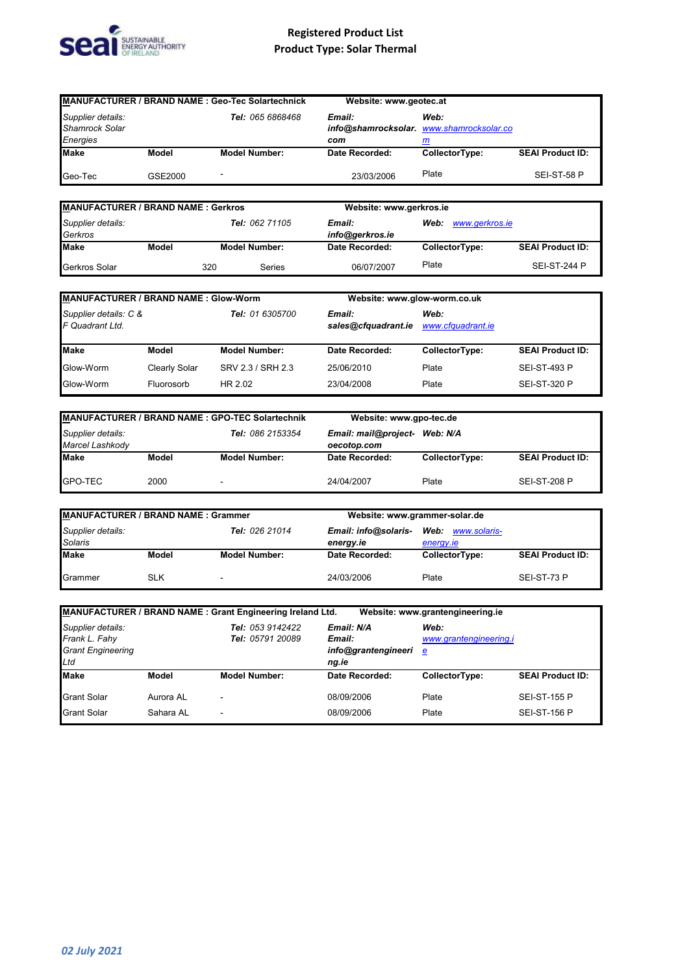

| MANUFACTURER / BRAND NAME : Geo-Tec Solartechnick      |         |                         | Website: www.geotec.at |                                                       |                         |
|--------------------------------------------------------|---------|-------------------------|------------------------|-------------------------------------------------------|-------------------------|
| Supplier details:<br><b>Shamrock Solar</b><br>Energies |         | <b>Tel: 065 6868468</b> | Email:<br>com          | Web:<br>info@shamrocksolar. www.shamrocksolar.co<br>m |                         |
| <b>Make</b>                                            | Model   | <b>Model Number:</b>    | Date Recorded:         | CollectorType:                                        | <b>SEAI Product ID:</b> |
| Geo-Tec                                                | GSE2000 | -                       | 23/03/2006             | Plate                                                 | SEI-ST-58 P             |

| <b>MANUFACTURER / BRAND NAME: Gerkros</b>      |       |                           | Website: www.gerkros.ie |                |       |                |                         |
|------------------------------------------------|-------|---------------------------|-------------------------|----------------|-------|----------------|-------------------------|
| Supplier details:<br>Tel: 062 71105<br>Gerkros |       | Email:<br>info@gerkros.ie | www.gerkros.ie<br>Web:  |                |       |                |                         |
| <b>Make</b>                                    | Model |                           | <b>Model Number:</b>    | Date Recorded: |       | CollectorType: | <b>SEAI Product ID:</b> |
| Gerkros Solar                                  |       | 320                       | Series                  | 06/07/2007     | Plate |                | <b>SEI-ST-244 P</b>     |

| <b>MANUFACTURER / BRAND NAME: Glow-Worm</b> |               |                                                  | Website: www.glow-worm.co.uk |                           |                         |
|---------------------------------------------|---------------|--------------------------------------------------|------------------------------|---------------------------|-------------------------|
| Supplier details: C &<br>F Quadrant Ltd.    |               | Tel: 01 6305700<br>Email:<br>sales@cfquadrant.ie |                              | Web:<br>www.cfquadrant.ie |                         |
| <b>Make</b>                                 | Model         | <b>Model Number:</b>                             | Date Recorded:               | CollectorType:            | <b>SEAI Product ID:</b> |
| Glow-Worm                                   | Clearly Solar | SRV 2.3 / SRH 2.3                                | 25/06/2010                   | Plate                     | <b>SEI-ST-493 P</b>     |
| Glow-Worm                                   | Fluorosorb    | HR 2.02                                          | 23/04/2008                   | Plate                     | <b>SEI-ST-320 P</b>     |

| MANUFACTURER / BRAND NAME : GPO-TEC Solartechnik         |       |                      | Website: www.gpo-tec.de                      |                |                         |
|----------------------------------------------------------|-------|----------------------|----------------------------------------------|----------------|-------------------------|
| Supplier details:<br>Tel: 086 2153354<br>Marcel Lashkody |       |                      | Email: mail@project- Web: N/A<br>oecotop.com |                |                         |
| <b>Make</b>                                              | Model | <b>Model Number:</b> | Date Recorded:                               | CollectorType: | <b>SEAI Product ID:</b> |
| GPO-TEC                                                  | 2000  | -                    | 24/04/2007                                   | Plate          | <b>SEI-ST-208 P</b>     |

| <b>MANUFACTURER / BRAND NAME: Grammer</b>             |            |                                   | Website: www.grammer-solar.de  |                |                         |
|-------------------------------------------------------|------------|-----------------------------------|--------------------------------|----------------|-------------------------|
| Supplier details:<br>Tel: 026 21014<br><b>Solaris</b> |            | Email: info@solaris-<br>energy.ie | Web: www.solaris-<br>energy.ie |                |                         |
| <b>Make</b>                                           | Model      | <b>Model Number:</b>              | Date Recorded:                 | CollectorType: | <b>SEAI Product ID:</b> |
| Grammer                                               | <b>SLK</b> | $\blacksquare$                    | 24/03/2006                     | Plate          | SEI-ST-73 P             |

|                                                                       |           | MANUFACTURER / BRAND NAME : Grant Engineering Ireland Ltd. |                                                      | Website: www.grantengineering.ie    |                         |
|-----------------------------------------------------------------------|-----------|------------------------------------------------------------|------------------------------------------------------|-------------------------------------|-------------------------|
| Supplier details:<br>Frank L. Fahy<br><b>Grant Engineering</b><br>Ltd |           | Tel: 053 9142422<br>Tel: 05791 20089                       | Email: N/A<br>Email:<br>info@grantengineeri<br>ng.ie | Web:<br>www.grantengineering.i<br>е |                         |
| <b>Make</b>                                                           | Model     | <b>Model Number:</b>                                       | Date Recorded:                                       | CollectorType:                      | <b>SEAI Product ID:</b> |
| <b>Grant Solar</b>                                                    | Aurora AL | $\blacksquare$                                             | 08/09/2006                                           | Plate                               | <b>SEI-ST-155 P</b>     |
| <b>Grant Solar</b>                                                    | Sahara AL | -                                                          | 08/09/2006                                           | Plate                               | <b>SEI-ST-156 P</b>     |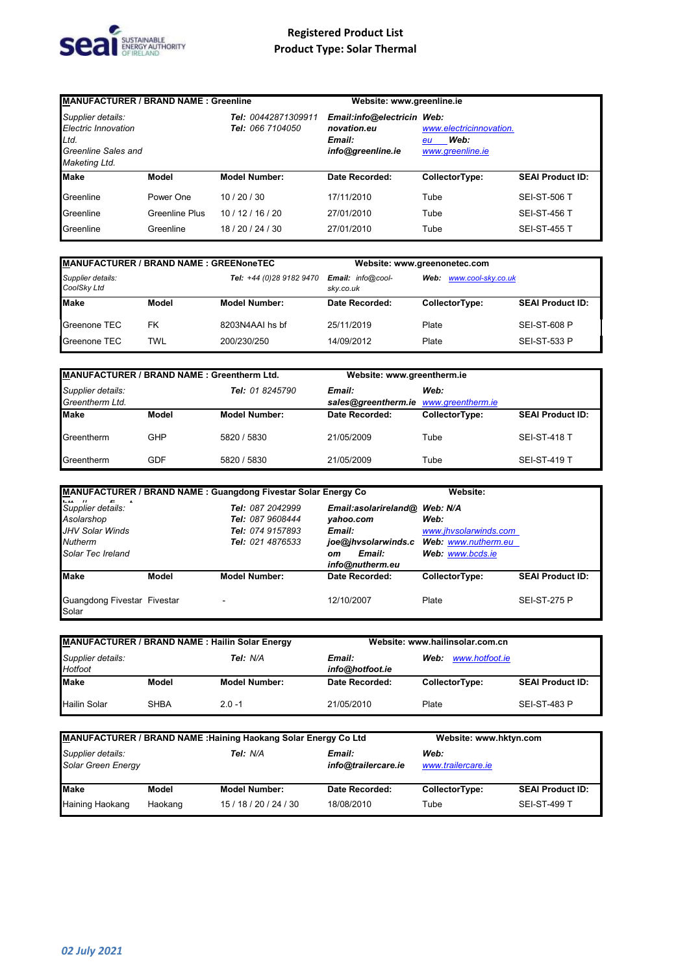

| <b>MANUFACTURER / BRAND NAME: Greenline</b>                                              |                |                                         | Website: www.greenline.ie                                                |                                                           |                         |
|------------------------------------------------------------------------------------------|----------------|-----------------------------------------|--------------------------------------------------------------------------|-----------------------------------------------------------|-------------------------|
| Supplier details:<br>Electric Innovation<br>Ltd.<br>Greenline Sales and<br>Maketing Ltd. |                | Tel: 00442871309911<br>Tel: 066 7104050 | Email:info@electricin Web:<br>novation.eu<br>Email:<br>info@greenline.ie | www.electricinnovation.<br>Web:<br>eu<br>www.greenline.ie |                         |
| <b>Make</b>                                                                              | Model          | <b>Model Number:</b>                    | Date Recorded:                                                           | CollectorType:                                            | <b>SEAI Product ID:</b> |
| Greenline                                                                                | Power One      | 10/20/30                                | 17/11/2010                                                               | Tube                                                      | <b>SEI-ST-506 T</b>     |
| Greenline                                                                                | Greenline Plus | 10/12/16/20                             | 27/01/2010                                                               | Tube                                                      | <b>SEI-ST-456 T</b>     |
| Greenline                                                                                | Greenline      | 18/20/24/30                             | 27/01/2010                                                               | Tube                                                      | <b>SEI-ST-455 T</b>     |

| <b>MANUFACTURER / BRAND NAME : GREENoneTEC</b> |       |                          |                                | Website: www.greenonetec.com |                         |
|------------------------------------------------|-------|--------------------------|--------------------------------|------------------------------|-------------------------|
| Supplier details:<br>CoolSky Ltd               |       | Tel: +44 (0)28 9182 9470 | Email: info@cool-<br>skv.co.uk | Web: www.cool-sky.co.uk      |                         |
| <b>Make</b>                                    | Model | <b>Model Number:</b>     | Date Recorded:                 | CollectorType:               | <b>SEAI Product ID:</b> |
| Greenone TEC                                   | FK    | 8203N4AAI hs bf          | 25/11/2019                     | Plate                        | <b>SEI-ST-608 P</b>     |
| Greenone TEC                                   | TWL   | 200/230/250              | 14/09/2012                     | Plate                        | <b>SEI-ST-533 P</b>     |

| MANUFACTURER / BRAND NAME: Greentherm Ltd. |            |                      | Website: www.greentherm.ie |                                               |                         |
|--------------------------------------------|------------|----------------------|----------------------------|-----------------------------------------------|-------------------------|
| Supplier details:<br>Greentherm Ltd.       |            | Tel: 01 8245790      | Email:                     | Web:<br>sales@greentherm.ie www.greentherm.ie |                         |
| <b>Make</b>                                | Model      | <b>Model Number:</b> | Date Recorded:             | CollectorType:                                | <b>SEAI Product ID:</b> |
| Greentherm                                 | <b>GHP</b> | 5820 / 5830          | 21/05/2009                 | Tube                                          | <b>SEI-ST-418 T</b>     |
| Greentherm                                 | GDF        | 5820 / 5830          | 21/05/2009                 | Tube                                          | <b>SEI-ST-419 T</b>     |

|                                      |       | <b>MANUFACTURER / BRAND NAME: Guangdong Fivestar Solar Energy Co</b> |                               | Website:              |                         |
|--------------------------------------|-------|----------------------------------------------------------------------|-------------------------------|-----------------------|-------------------------|
| .<br><br>Supplier details:           |       | Tel: 087 2042999                                                     | Email:asolarireland@ Web: N/A |                       |                         |
| Asolarshop                           |       | Tel: 087 9608444                                                     | vahoo.com                     | Web:                  |                         |
| JHV Solar Winds                      |       | Tel: 074 9157893                                                     | Email:                        | www.jhvsolarwinds.com |                         |
| <b>Nutherm</b>                       |       | Tel: 021 4876533                                                     | joe@jhvsolarwinds.c           | Web: www.nutherm.eu   |                         |
| Solar Tec Ireland                    |       |                                                                      | Email:<br>оm                  | Web: www.bcds.ie      |                         |
|                                      |       |                                                                      | info@nutherm.eu               |                       |                         |
| <b>Make</b>                          | Model | <b>Model Number:</b>                                                 | Date Recorded:                | CollectorType:        | <b>SEAI Product ID:</b> |
| Guangdong Fivestar Fivestar<br>Solar |       | $\blacksquare$                                                       | 12/10/2007                    | Plate                 | <b>SEI-ST-275 P</b>     |

| MANUFACTURER / BRAND NAME : Hailin Solar Energy |             |                      |                           | Website: www.hailinsolar.com.cn |                         |
|-------------------------------------------------|-------------|----------------------|---------------------------|---------------------------------|-------------------------|
| Supplier details:<br>Tel: N/A<br>Hotfoot        |             |                      | Email:<br>info@hotfoot.ie | www.hotfoot.ie<br>Web:          |                         |
| Make                                            | Model       | <b>Model Number:</b> | Date Recorded:            | CollectorType:                  | <b>SEAI Product ID:</b> |
| <b>Hailin Solar</b>                             | <b>SHBA</b> | $2.0 - 1$            | 21/05/2010                | Plate                           | <b>SEI-ST-483 P</b>     |

| MANUFACTURER / BRAND NAME : Haining Haokang Solar Energy Co Ltd |         | Website: www.hktyn.com |                               |                            |                         |
|-----------------------------------------------------------------|---------|------------------------|-------------------------------|----------------------------|-------------------------|
| Supplier details:<br>Solar Green Energy                         |         | Tel: N/A               | Email:<br>info@trailercare.ie | Web:<br>www.trailercare.ie |                         |
| <b>Make</b>                                                     | Model   | <b>Model Number:</b>   | Date Recorded:                | CollectorType:             | <b>SEAI Product ID:</b> |
| Haining Haokang                                                 | Haokang | 15/18/20/24/30         | 18/08/2010                    | Tube                       | <b>SEI-ST-499 T</b>     |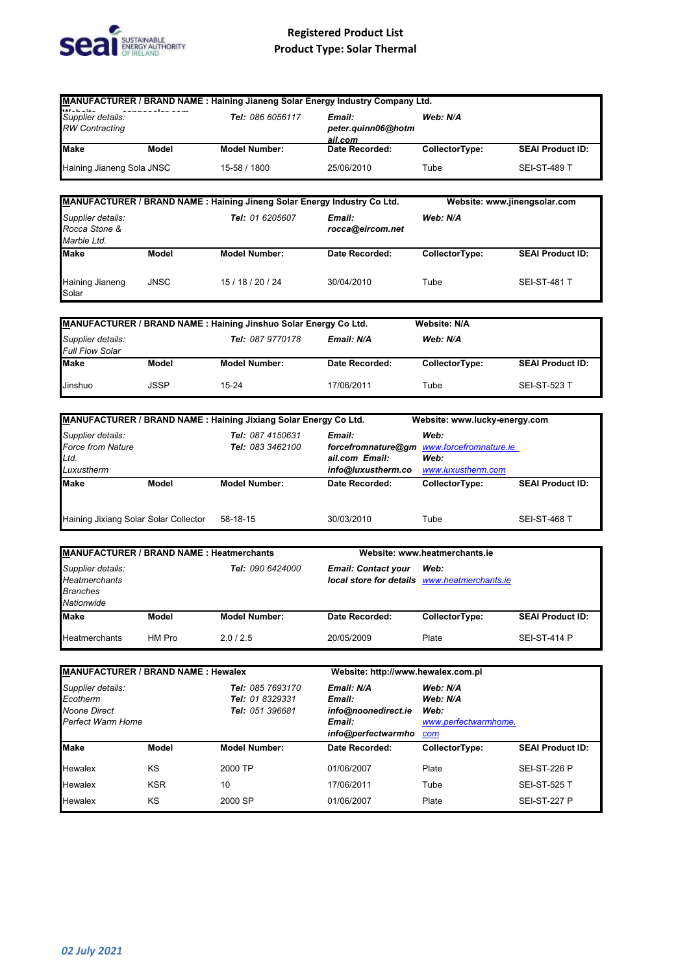

|                                                                            |        |                                                                         | MANUFACTURER / BRAND NAME : Haining Jianeng Solar Energy Industry Company Ltd.              |                                                             |                         |
|----------------------------------------------------------------------------|--------|-------------------------------------------------------------------------|---------------------------------------------------------------------------------------------|-------------------------------------------------------------|-------------------------|
| Supplier details:<br><b>RW Contracting</b>                                 |        | Tel: 086 6056117                                                        | Email:<br>peter.quinn06@hotm<br><u>ail.com</u>                                              | Web: N/A                                                    |                         |
| Make                                                                       | Model  | <b>Model Number:</b>                                                    | Date Recorded:                                                                              | CollectorType:                                              | <b>SEAI Product ID:</b> |
| Haining Jianeng Sola JNSC                                                  |        | 15-58 / 1800                                                            | 25/06/2010                                                                                  | Tube                                                        | <b>SEI-ST-489 T</b>     |
|                                                                            |        | MANUFACTURER / BRAND NAME: Haining Jineng Solar Energy Industry Co Ltd. |                                                                                             | Website: www.jinengsolar.com                                |                         |
| Supplier details:<br>Rocca Stone &<br>Marble Ltd.                          |        | Tel: 01 6205607                                                         | Email:<br>rocca@eircom.net                                                                  | Web: N/A                                                    |                         |
| Make                                                                       | Model  | <b>Model Number:</b>                                                    | Date Recorded:                                                                              | CollectorType:                                              | <b>SEAI Product ID:</b> |
| Haining Jianeng<br>Solar                                                   | JNSC   | 15 / 18 / 20 / 24                                                       | 30/04/2010                                                                                  | Tube                                                        | SEI-ST-481 T            |
|                                                                            |        | MANUFACTURER / BRAND NAME : Haining Jinshuo Solar Energy Co Ltd.        |                                                                                             | <b>Website: N/A</b>                                         |                         |
| Supplier details:<br><b>Full Flow Solar</b>                                |        | Tel: 087 9770178                                                        | Email: N/A                                                                                  | Web: N/A                                                    |                         |
| Make                                                                       | Model  | <b>Model Number:</b>                                                    | Date Recorded:                                                                              | CollectorType:                                              | <b>SEAI Product ID:</b> |
| Jinshuo                                                                    | JSSP   | 15-24                                                                   | 17/06/2011                                                                                  | Tube                                                        | <b>SEI-ST-523 T</b>     |
|                                                                            |        |                                                                         |                                                                                             |                                                             |                         |
|                                                                            |        | MANUFACTURER / BRAND NAME: Haining Jixiang Solar Energy Co Ltd.         |                                                                                             | Website: www.lucky-energy.com                               |                         |
| Supplier details:<br>Force from Nature<br>Ltd.                             |        | Tel: 087 4150631<br>Tel: 083 3462100                                    | Email:<br>ail.com Email:                                                                    | Web:<br>forcefromnature@gm www.forcefromnature.ie<br>Web:   |                         |
| Luxustherm<br>Make                                                         | Model  | <b>Model Number:</b>                                                    | info@luxustherm.co<br>Date Recorded:                                                        | www.luxustherm.com<br>CollectorType:                        | <b>SEAI Product ID:</b> |
|                                                                            |        |                                                                         |                                                                                             |                                                             |                         |
| Haining Jixiang Solar Solar Collector                                      |        | 58-18-15                                                                | 30/03/2010                                                                                  | Tube                                                        | <b>SEI-ST-468 T</b>     |
| MANUFACTURER / BRAND NAME : Heatmerchants                                  |        |                                                                         |                                                                                             | Website: www.heatmerchants.ie                               |                         |
| Supplier details:<br><b>Heatmerchants</b><br><b>Branches</b><br>Nationwide |        | Tel: 090 6424000                                                        | <b>Email: Contact your</b>                                                                  | Web:<br>local store for details www.heatmerchants.ie        |                         |
| <b>Make</b>                                                                | Model  | <b>Model Number:</b>                                                    | Date Recorded:                                                                              | CollectorType:                                              | <b>SEAI Product ID:</b> |
| Heatmerchants                                                              | HM Pro | 2.0 / 2.5                                                               | 20/05/2009                                                                                  | Plate                                                       | SEI-ST-414 P            |
| <b>MANUFACTURER / BRAND NAME: Hewalex</b>                                  |        |                                                                         |                                                                                             |                                                             |                         |
| Supplier details:<br>Ecotherm<br><b>Noone Direct</b><br>Perfect Warm Home  |        | <b>Tel: 085 7693170</b><br>Tel: 01 8329331<br>Tel: 051 396681           | Website: http://www.hewalex.com.pl<br>Email: N/A<br>Email:<br>info@noonedirect.ie<br>Email: | Web: N/A<br>Web: N/A<br>Web:<br>www.perfectwarmhome.<br>com |                         |
| <b>Make</b>                                                                | Model  | <b>Model Number:</b>                                                    | info@perfectwarmho<br>Date Recorded:                                                        | CollectorType:                                              | <b>SEAI Product ID:</b> |
| Hewalex                                                                    | ΚS     | 2000 TP                                                                 | 01/06/2007                                                                                  | Plate                                                       | SEI-ST-226 P            |
| Hewalex                                                                    | KSR    | 10                                                                      | 17/06/2011                                                                                  | Tube                                                        | <b>SEI-ST-525 T</b>     |

SEI-ST-227 P

Hewalex KS 2000 SP 01/06/2007 Plate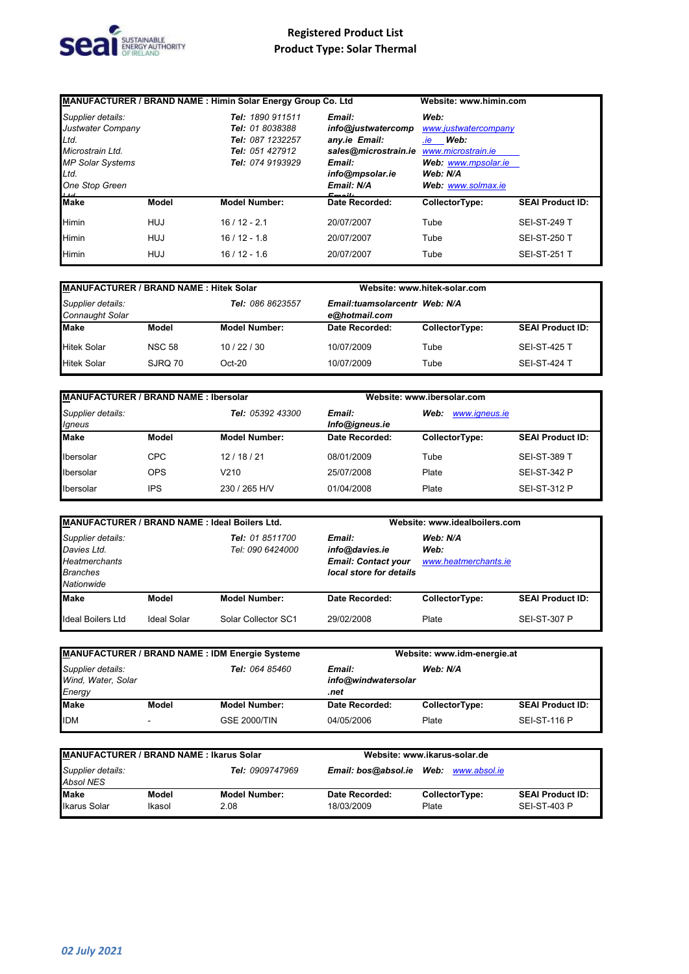

| MANUFACTURER / BRAND NAME : Himin Solar Energy Group Co. Ltd |              |                      | Website: www.himin.com |                      |                         |  |
|--------------------------------------------------------------|--------------|----------------------|------------------------|----------------------|-------------------------|--|
| Supplier details:                                            |              | Tel: 1890 911511     | Email:                 | Web:                 |                         |  |
| Justwater Company<br><b>Tel: 01 8038388</b>                  |              |                      | info@justwatercomp     | www.justwatercompany |                         |  |
| Ltd.                                                         |              | Tel: 087 1232257     | any.ie Email:          | <i>ie</i> Web:       |                         |  |
| Microstrain Ltd.                                             |              | Tel: 051 427912      | sales@microstrain.ie   | www.microstrain.je   |                         |  |
| <b>MP Solar Systems</b><br>Tel: 074 9193929                  |              | Email:               | Web: www.mpsolar.ie    |                      |                         |  |
| Ltd.                                                         |              | info@mpsolar.ie      | Web: N/A               |                      |                         |  |
| One Stop Green                                               |              |                      | Email: N/A             | Web: www.solmax.ie   |                         |  |
| $1 + d$<br><b>Make</b>                                       | <b>Model</b> | <b>Model Number:</b> | Date Recorded:         | CollectorType:       | <b>SEAI Product ID:</b> |  |
| <b>Himin</b>                                                 | HUJ          | $16/12 - 2.1$        | 20/07/2007             | Tube                 | <b>SEI-ST-249 T</b>     |  |
| <b>Himin</b>                                                 | HUJ          | $16/12 - 1.8$        | 20/07/2007             | Tube                 | <b>SEI-ST-250 T</b>     |  |
| <b>Himin</b>                                                 | <b>HUJ</b>   | $16/12 - 1.6$        | 20/07/2007             | Tube                 | <b>SEI-ST-251 T</b>     |  |

| <b>MANUFACTURER / BRAND NAME: Hitek Solar</b> |               |                      |                                                | Website: www.hitek-solar.com |                         |
|-----------------------------------------------|---------------|----------------------|------------------------------------------------|------------------------------|-------------------------|
| Supplier details:<br>Connaught Solar          |               | Tel: 086 8623557     | Email:tuamsolarcentr Web: N/A<br>e@hotmail.com |                              |                         |
| Make                                          | Model         | <b>Model Number:</b> | Date Recorded:                                 | CollectorType:               | <b>SEAI Product ID:</b> |
| <b>Hitek Solar</b>                            | <b>NSC 58</b> | 10/22/30             | 10/07/2009                                     | Tube                         | <b>SEI-ST-425 T</b>     |
| <b>Hitek Solar</b>                            | SJRO 70       | $Oct-20$             | 10/07/2009                                     | Tube                         | <b>SEI-ST-424 T</b>     |

| <b>MANUFACTURER / BRAND NAME: Ibersolar</b> |            |                         |                          | Website: www.ibersolar.com |                         |  |
|---------------------------------------------|------------|-------------------------|--------------------------|----------------------------|-------------------------|--|
| Supplier details:<br>Igneus                 |            | <b>Tel: 05392 43300</b> | Email:<br>Info@igneus.ie | Web:<br>www.igneus.ie      |                         |  |
| <b>Make</b>                                 | Model      | <b>Model Number:</b>    | Date Recorded:           | CollectorType:             | <b>SEAI Product ID:</b> |  |
| Ibersolar                                   | <b>CPC</b> | 12/18/21                | 08/01/2009               | Tube                       | <b>SEI-ST-389 T</b>     |  |
| Ibersolar                                   | <b>OPS</b> | V210                    | 25/07/2008               | Plate                      | <b>SEI-ST-342 P</b>     |  |
| Ibersolar                                   | IPS        | 230 / 265 H/V           | 01/04/2008               | Plate                      | <b>SEI-ST-312 P</b>     |  |

| MANUFACTURER / BRAND NAME : Ideal Boilers Ltd.                                            |             |                                     | Website: www.idealboilers.com                                                     |                                          |                         |
|-------------------------------------------------------------------------------------------|-------------|-------------------------------------|-----------------------------------------------------------------------------------|------------------------------------------|-------------------------|
| Supplier details:<br>Davies Ltd.<br><b>Heatmerchants</b><br><b>Branches</b><br>Nationwide |             | Tel: 01 8511700<br>Tel: 090 6424000 | Email:<br>info@davies.ie<br><b>Email: Contact your</b><br>local store for details | Web: N/A<br>Web:<br>www.heatmerchants.ie |                         |
| <b>Make</b>                                                                               | Model       | <b>Model Number:</b>                | Date Recorded:                                                                    | CollectorType:                           | <b>SEAI Product ID:</b> |
| <b>Ideal Boilers Ltd</b>                                                                  | Ideal Solar | Solar Collector SC1                 | 29/02/2008                                                                        | Plate                                    | <b>SEI-ST-307 P</b>     |

| <b>MANUFACTURER / BRAND NAME: IDM Energie Systeme</b>                      |       |                                                   |                | Website: www.idm-energie.at |                         |
|----------------------------------------------------------------------------|-------|---------------------------------------------------|----------------|-----------------------------|-------------------------|
| Supplier details:<br><b>Tel: 064 85460</b><br>Wind, Water, Solar<br>Energy |       | Web: N/A<br>Email:<br>info@windwatersolar<br>.net |                |                             |                         |
| <b>Make</b>                                                                | Model | <b>Model Number:</b>                              | Date Recorded: | CollectorType:              | <b>SEAI Product ID:</b> |
| <b>IDM</b>                                                                 | -     | <b>GSE 2000/TIN</b>                               | 04/05/2006     | Plate                       | <b>SEI-ST-116 P</b>     |

| <b>MANUFACTURER / BRAND NAME : Ikarus Solar</b><br>Supplier details:<br>Tel: 0909747969<br><b>Absol NES</b> |        | Website: www.ikarus-solar.de |                |                |                         |
|-------------------------------------------------------------------------------------------------------------|--------|------------------------------|----------------|----------------|-------------------------|
|                                                                                                             |        |                              |                |                |                         |
| <b>Make</b>                                                                                                 | Model  | <b>Model Number:</b>         | Date Recorded: | CollectorType: | <b>SEAI Product ID:</b> |
| <b>Ikarus Solar</b>                                                                                         | Ikasol | 2.08                         | 18/03/2009     | Plate          | <b>SEI-ST-403 P</b>     |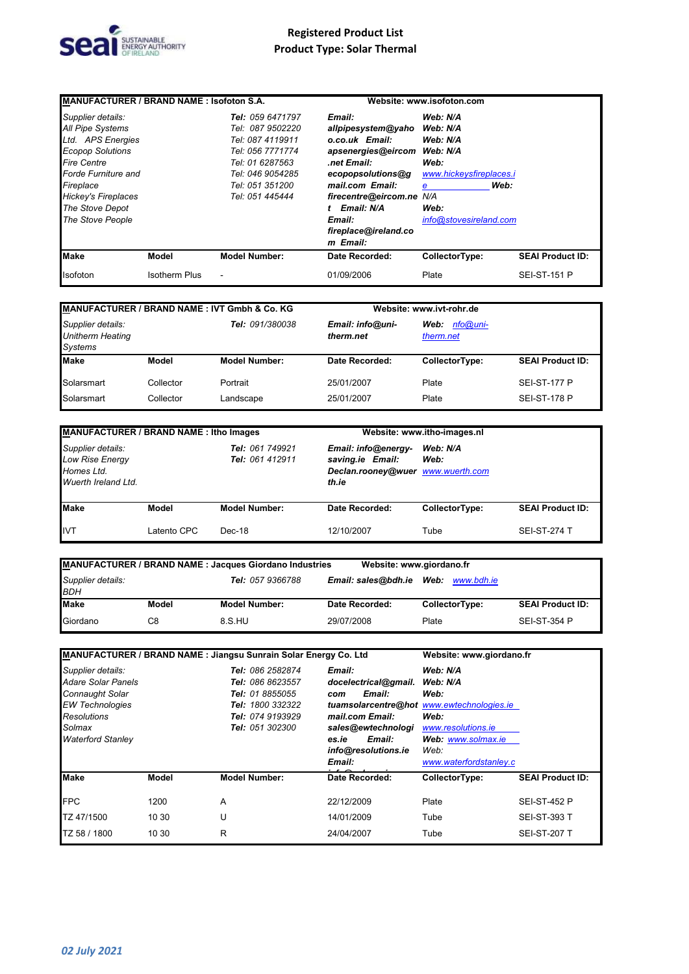

| MANUFACTURER / BRAND NAME: Isofoton S.A. |                      |                      |                      | Website: www.isofoton.com |                         |
|------------------------------------------|----------------------|----------------------|----------------------|---------------------------|-------------------------|
| Supplier details:                        |                      | Tel: 059 6471797     | Email:               | Web: N/A                  |                         |
| <b>All Pipe Systems</b>                  |                      | Tel: 087 9502220     | allpipesystem@yaho   | Web: N/A                  |                         |
| Ltd. APS Energies                        |                      | Tel: 087 4119911     | o.co.uk Email:       | Web: N/A                  |                         |
| <b>Ecopop Solutions</b>                  |                      | Tel: 056 7771774     | apsenergies@eircom   | Web: N/A                  |                         |
| <b>Fire Centre</b>                       |                      | Tel: 01 6287563      | net Email:           | Web:                      |                         |
| <b>Forde Furniture and</b>               |                      | Tel: 046 9054285     | ecopopsolutions@g    | www.hickeysfireplaces.i   |                         |
| Fireplace                                |                      | Tel: 051 351200      | mail.com Email:      | Web:<br>e                 |                         |
| <b>Hickey's Fireplaces</b>               |                      | Tel: 051 445444      | firecentre@eircom.ne | N/A                       |                         |
| The Stove Depot                          |                      |                      | Email: N/A           | Web:                      |                         |
| The Stove People                         |                      |                      | Email:               | info@stovesireland.com    |                         |
|                                          |                      |                      | fireplace@ireland.co |                           |                         |
|                                          |                      |                      | m Email:             |                           |                         |
| <b>Make</b>                              | Model                | <b>Model Number:</b> | Date Recorded:       | CollectorType:            | <b>SEAI Product ID:</b> |
| Isofoton                                 | <b>Isotherm Plus</b> |                      | 01/09/2006           | Plate                     | <b>SEI-ST-151 P</b>     |

| <b>MANUFACTURER / BRAND NAME: IVT Gmbh &amp; Co. KG</b>        |           |                        |                               | Website: www.ivt-rohr.de      |                         |
|----------------------------------------------------------------|-----------|------------------------|-------------------------------|-------------------------------|-------------------------|
| Supplier details:<br><b>Unitherm Heating</b><br><b>Systems</b> |           | <b>Tel: 091/380038</b> | Email: info@uni-<br>therm.net | nfo@uni-<br>Web:<br>therm.net |                         |
| <b>Make</b>                                                    | Model     | <b>Model Number:</b>   | Date Recorded:                | CollectorType:                | <b>SEAI Product ID:</b> |
| Solarsmart                                                     | Collector | Portrait               | 25/01/2007                    | Plate                         | <b>SEI-ST-177 P</b>     |
| Solarsmart                                                     | Collector | Landscape              | 25/01/2007                    | Plate                         | <b>SEI-ST-178 P</b>     |

| MANUFACTURER / BRAND NAME : Itho Images                                          |             |                                    |                                                                                       | Website: www.itho-images.nl |                         |  |
|----------------------------------------------------------------------------------|-------------|------------------------------------|---------------------------------------------------------------------------------------|-----------------------------|-------------------------|--|
| Supplier details:<br><b>Low Rise Energy</b><br>Homes Ltd.<br>Wuerth Ireland Ltd. |             | Tel: 061 749921<br>Tel: 061 412911 | Email: info@energy-<br>saving.ie Email:<br>Declan.rooney@wuer www.wuerth.com<br>th.ie | Web: N/A<br>Web:            |                         |  |
| <b>Make</b>                                                                      | Model       | <b>Model Number:</b>               | Date Recorded:                                                                        | CollectorType:              | <b>SEAI Product ID:</b> |  |
| <b>IVT</b>                                                                       | Latento CPC | Dec-18                             | 12/10/2007                                                                            | Tube                        | <b>SEI-ST-274 T</b>     |  |

|                                 |       | <b>MANUFACTURER / BRAND NAME: Jacques Giordano Industries</b> | Website: www.giordano.fr |                        |                         |
|---------------------------------|-------|---------------------------------------------------------------|--------------------------|------------------------|-------------------------|
| Supplier details:<br><b>BDH</b> |       | Tel: 057 9366788                                              | Email: sales@bdh.ie      | <b>Web:</b> www.bdh.ie |                         |
| <b>Make</b>                     | Model | <b>Model Number:</b>                                          | Date Recorded:           | CollectorType:         | <b>SEAI Product ID:</b> |
| Giordano                        | C8    | 8.S.HU                                                        | 29/07/2008               | Plate                  | <b>SEI-ST-354 P</b>     |

| <b>MANUFACTURER / BRAND NAME: Jiangsu Sunrain Solar Energy Co. Ltd</b>                                                                           |       |                                                                                                                                                |                                                                                                                                                                                           | Website: www.giordano.fr                                                                                           |                         |
|--------------------------------------------------------------------------------------------------------------------------------------------------|-------|------------------------------------------------------------------------------------------------------------------------------------------------|-------------------------------------------------------------------------------------------------------------------------------------------------------------------------------------------|--------------------------------------------------------------------------------------------------------------------|-------------------------|
| Supplier details:<br>Adare Solar Panels<br>Connaught Solar<br><b>EW Technologies</b><br><b>Resolutions</b><br>Solmax<br><b>Waterford Stanley</b> |       | <b>Tel: 086 2582874</b><br><b>Tel: 086 8623557</b><br>Tel: 01 8855055<br><b>Tel: 1800 332322</b><br>Tel: 074 9193929<br><b>Tel: 051 302300</b> | Email:<br>docelectrical@gmail.<br>Email:<br>com<br>tuamsolarcentre@hot_www.ewtechnologies.ie<br>mail.com Email:<br>sales@ewtechnologi<br>Email:<br>es.ie<br>info@resolutions.ie<br>Email: | Web: N/A<br>Web: N/A<br>Web:<br>Web:<br>www.resolutions.ie<br>Web: www.solmax.ie<br>Web:<br>www.waterfordstanley.c |                         |
| <b>Make</b>                                                                                                                                      | Model | <b>Model Number:</b>                                                                                                                           | Date Recorded:                                                                                                                                                                            | CollectorType:                                                                                                     | <b>SEAI Product ID:</b> |
| <b>FPC</b>                                                                                                                                       | 1200  | A                                                                                                                                              | 22/12/2009                                                                                                                                                                                | Plate                                                                                                              | <b>SEI-ST-452 P</b>     |
| TZ 47/1500                                                                                                                                       | 10 30 | U                                                                                                                                              | 14/01/2009                                                                                                                                                                                | Tube                                                                                                               | <b>SEI-ST-393 T</b>     |
| TZ 58 / 1800                                                                                                                                     | 10 30 | R                                                                                                                                              | 24/04/2007                                                                                                                                                                                | Tube                                                                                                               | <b>SEI-ST-207 T</b>     |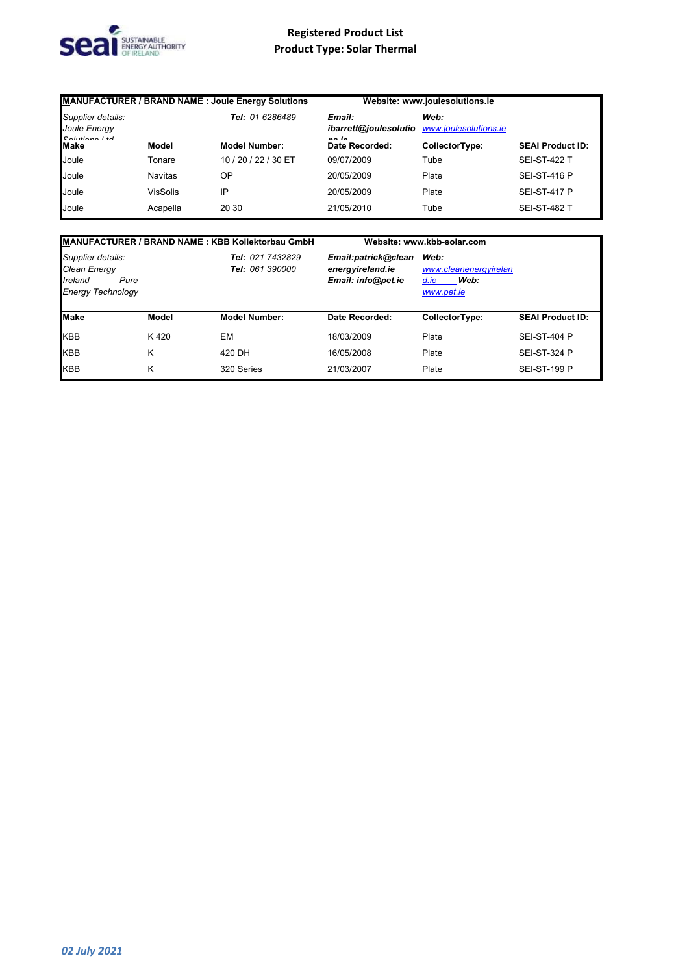

| MANUFACTURER / BRAND NAME : Joule Energy Solutions                   |                 |                      | Website: www.joulesolutions.ie  |                               |                         |
|----------------------------------------------------------------------|-----------------|----------------------|---------------------------------|-------------------------------|-------------------------|
| Supplier details:<br>Joule Energy<br>$O_n$ <i>i</i> $H$ $n \times 1$ |                 | Tel: 01 6286489      | Email:<br>ibarrett@joulesolutio | Web:<br>www.joulesolutions.ie |                         |
| <b>Make</b>                                                          | Model           | <b>Model Number:</b> | Date Recorded:                  | CollectorType:                | <b>SEAI Product ID:</b> |
| Joule                                                                | Tonare          | 10 / 20 / 22 / 30 ET | 09/07/2009                      | Tube                          | <b>SEI-ST-422 T</b>     |
| Joule                                                                | <b>Navitas</b>  | OΡ                   | 20/05/2009                      | Plate                         | <b>SEI-ST-416 P</b>     |
| Joule                                                                | <b>VisSolis</b> | IP                   | 20/05/2009                      | Plate                         | <b>SEI-ST-417 P</b>     |
| Joule                                                                | Acapella        | 20 30                | 21/05/2010                      | Tube                          | <b>SEI-ST-482 T</b>     |

|                                                                                  |       | <b>MANUFACTURER / BRAND NAME: KBB Kollektorbau GmbH</b> |                                                               | Website: www.kbb-solar.com                                  |                         |
|----------------------------------------------------------------------------------|-------|---------------------------------------------------------|---------------------------------------------------------------|-------------------------------------------------------------|-------------------------|
| Supplier details:<br>Clean Energy<br>Ireland<br>Pure<br><b>Energy Technology</b> |       | Tel: 021 7432829<br><b>Tel: 061 390000</b>              | Email:patrick@clean<br>energyireland.ie<br>Email: info@pet.ie | Web:<br>www.cleanenergyirelan<br>Web:<br>d.ie<br>www.pet.ie |                         |
| <b>Make</b>                                                                      | Model | <b>Model Number:</b>                                    | Date Recorded:                                                | CollectorType:                                              | <b>SEAI Product ID:</b> |
| <b>KBB</b>                                                                       | K420  | EМ                                                      | 18/03/2009                                                    | Plate                                                       | <b>SEI-ST-404 P</b>     |
| <b>KBB</b>                                                                       | Κ     | 420 DH                                                  | 16/05/2008                                                    | Plate                                                       | <b>SEI-ST-324 P</b>     |
| <b>KBB</b>                                                                       | Κ     | 320 Series                                              | 21/03/2007                                                    | Plate                                                       | <b>SEI-ST-199 P</b>     |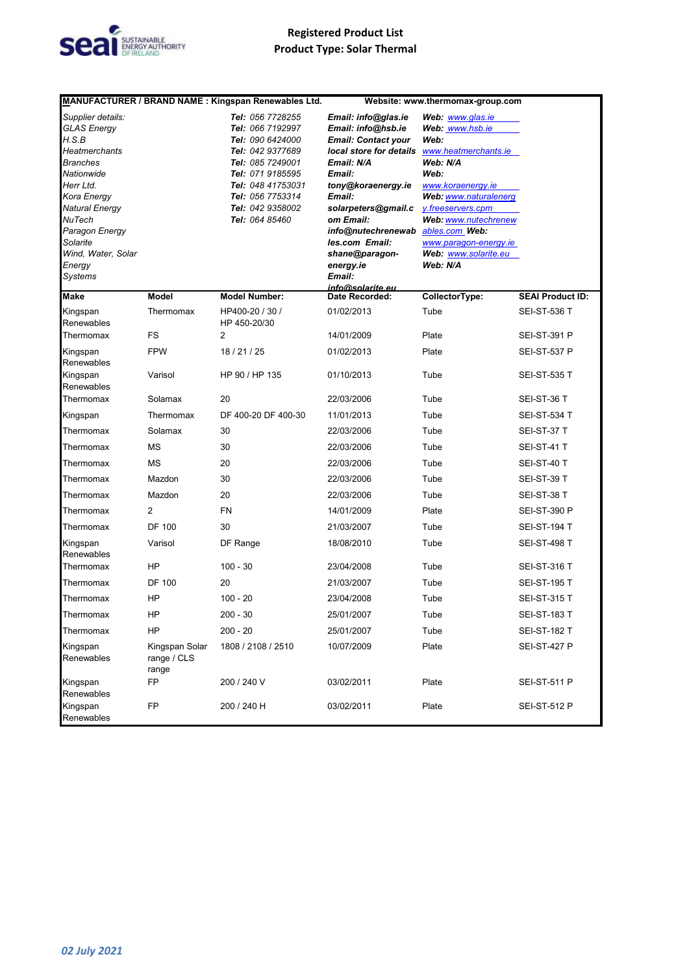

|                                                                                                                                                                                                                       |                                        | MANUFACTURER / BRAND NAME : Kingspan Renewables Ltd.                                                                                                                                                |                                                                                                                                                                                                                                                                                 | Website: www.thermomax-group.com                                                                                                                                                                                                                                  |                         |
|-----------------------------------------------------------------------------------------------------------------------------------------------------------------------------------------------------------------------|----------------------------------------|-----------------------------------------------------------------------------------------------------------------------------------------------------------------------------------------------------|---------------------------------------------------------------------------------------------------------------------------------------------------------------------------------------------------------------------------------------------------------------------------------|-------------------------------------------------------------------------------------------------------------------------------------------------------------------------------------------------------------------------------------------------------------------|-------------------------|
| Supplier details:<br>GLAS Energy<br>H.S.B<br>Heatmerchants<br>Branches<br>Nationwide<br>Herr Ltd.<br>Kora Energy<br>Natural Energy<br>NuTech<br>Paragon Energy<br>Solarite<br>Wind, Water, Solar<br>Energy<br>Systems |                                        | Tel: 056 7728255<br>Tel: 066 7192997<br>Tel: 090 6424000<br>Tel: 042 9377689<br>Tel: 085 7249001<br>Tel: 071 9185595<br>Tel: 048 41753031<br>Tel: 056 7753314<br>Tel: 042 9358002<br>Tel: 064 85460 | Email: info@glas.ie<br>Email: info@hsb.ie<br><b>Email: Contact your</b><br>local store for details<br>Email: N/A<br>Email:<br>tony@koraenergy.ie<br>Email:<br>solarpeters@gmail.c<br>om Email:<br>info@nutechrenewab<br>les.com Email:<br>shane@paragon-<br>energy.ie<br>Email: | Web: www.glas.ie<br>Web: www.hsb.ie<br>Web:<br>www.heatmerchants.ie<br>Web: N/A<br>Web:<br>www.koraenergy.ie<br>Web: www.naturalenerg<br>y.freeservers.cpm<br>Web: www.nutechrenew<br>ables.com Web:<br>www.paragon-energy.ie<br>Web: www.solarite.eu<br>Web: N/A |                         |
| Make                                                                                                                                                                                                                  | Model                                  | <b>Model Number:</b>                                                                                                                                                                                | info@solarite.eu<br>Date Recorded:                                                                                                                                                                                                                                              | CollectorType:                                                                                                                                                                                                                                                    | <b>SEAI Product ID:</b> |
| Kingspan<br>Renewables                                                                                                                                                                                                | Thermomax                              | HP400-20 / 30 /<br>HP 450-20/30                                                                                                                                                                     | 01/02/2013                                                                                                                                                                                                                                                                      | Tube                                                                                                                                                                                                                                                              | <b>SEI-ST-536 T</b>     |
| Thermomax                                                                                                                                                                                                             | FS                                     | 2                                                                                                                                                                                                   | 14/01/2009                                                                                                                                                                                                                                                                      | Plate                                                                                                                                                                                                                                                             | <b>SEI-ST-391 P</b>     |
| Kingspan<br>Renewables                                                                                                                                                                                                | <b>FPW</b>                             | 18 / 21 / 25                                                                                                                                                                                        | 01/02/2013                                                                                                                                                                                                                                                                      | Plate                                                                                                                                                                                                                                                             | <b>SEI-ST-537 P</b>     |
| Kingspan<br>Renewables                                                                                                                                                                                                | Varisol                                | HP 90 / HP 135                                                                                                                                                                                      | 01/10/2013                                                                                                                                                                                                                                                                      | Tube                                                                                                                                                                                                                                                              | <b>SEI-ST-535 T</b>     |
| Thermomax                                                                                                                                                                                                             | Solamax                                | 20                                                                                                                                                                                                  | 22/03/2006                                                                                                                                                                                                                                                                      | Tube                                                                                                                                                                                                                                                              | SEI-ST-36 T             |
| Kingspan                                                                                                                                                                                                              | Thermomax                              | DF 400-20 DF 400-30                                                                                                                                                                                 | 11/01/2013                                                                                                                                                                                                                                                                      | Tube                                                                                                                                                                                                                                                              | <b>SEI-ST-534 T</b>     |
| Thermomax                                                                                                                                                                                                             | Solamax                                | 30                                                                                                                                                                                                  | 22/03/2006                                                                                                                                                                                                                                                                      | Tube                                                                                                                                                                                                                                                              | SEI-ST-37 T             |
| Thermomax                                                                                                                                                                                                             | MS                                     | 30                                                                                                                                                                                                  | 22/03/2006                                                                                                                                                                                                                                                                      | Tube                                                                                                                                                                                                                                                              | SEI-ST-41 T             |
| Thermomax                                                                                                                                                                                                             | <b>MS</b>                              | 20                                                                                                                                                                                                  | 22/03/2006                                                                                                                                                                                                                                                                      | Tube                                                                                                                                                                                                                                                              | SEI-ST-40 T             |
| Thermomax                                                                                                                                                                                                             | Mazdon                                 | 30                                                                                                                                                                                                  | 22/03/2006                                                                                                                                                                                                                                                                      | Tube                                                                                                                                                                                                                                                              | SEI-ST-39 T             |
| Thermomax                                                                                                                                                                                                             | Mazdon                                 | 20                                                                                                                                                                                                  | 22/03/2006                                                                                                                                                                                                                                                                      | Tube                                                                                                                                                                                                                                                              | SEI-ST-38 T             |
| Thermomax                                                                                                                                                                                                             | $\overline{2}$                         | <b>FN</b>                                                                                                                                                                                           | 14/01/2009                                                                                                                                                                                                                                                                      | Plate                                                                                                                                                                                                                                                             | <b>SEI-ST-390 P</b>     |
| Thermomax                                                                                                                                                                                                             | <b>DF 100</b>                          | 30                                                                                                                                                                                                  | 21/03/2007                                                                                                                                                                                                                                                                      | Tube                                                                                                                                                                                                                                                              | <b>SEI-ST-194 T</b>     |
| Kingspan<br>Renewables                                                                                                                                                                                                | Varisol                                | DF Range                                                                                                                                                                                            | 18/08/2010                                                                                                                                                                                                                                                                      | Tube                                                                                                                                                                                                                                                              | <b>SEI-ST-498 T</b>     |
| Thermomax                                                                                                                                                                                                             | HP                                     | $100 - 30$                                                                                                                                                                                          | 23/04/2008                                                                                                                                                                                                                                                                      | Tube                                                                                                                                                                                                                                                              | <b>SEI-ST-316 T</b>     |
| Thermomax                                                                                                                                                                                                             | <b>DF 100</b>                          | 20                                                                                                                                                                                                  | 21/03/2007                                                                                                                                                                                                                                                                      | Tube                                                                                                                                                                                                                                                              | <b>SEI-ST-195 T</b>     |
| Thermomax                                                                                                                                                                                                             | <b>HP</b>                              | $100 - 20$                                                                                                                                                                                          | 23/04/2008                                                                                                                                                                                                                                                                      | Tube                                                                                                                                                                                                                                                              | <b>SEI-ST-315 T</b>     |
| Thermomax                                                                                                                                                                                                             | HP                                     | $200 - 30$                                                                                                                                                                                          | 25/01/2007                                                                                                                                                                                                                                                                      | Tube                                                                                                                                                                                                                                                              | <b>SEI-ST-183 T</b>     |
| Thermomax                                                                                                                                                                                                             | HP                                     | $200 - 20$                                                                                                                                                                                          | 25/01/2007                                                                                                                                                                                                                                                                      | Tube                                                                                                                                                                                                                                                              | <b>SEI-ST-182 T</b>     |
| Kingspan<br>Renewables                                                                                                                                                                                                | Kingspan Solar<br>range / CLS<br>range | 1808 / 2108 / 2510                                                                                                                                                                                  | 10/07/2009                                                                                                                                                                                                                                                                      | Plate                                                                                                                                                                                                                                                             | <b>SEI-ST-427 P</b>     |
| Kingspan<br>Renewables                                                                                                                                                                                                | <b>FP</b>                              | 200 / 240 V                                                                                                                                                                                         | 03/02/2011                                                                                                                                                                                                                                                                      | Plate                                                                                                                                                                                                                                                             | <b>SEI-ST-511 P</b>     |
| Kingspan<br>Renewables                                                                                                                                                                                                | FP                                     | 200 / 240 H                                                                                                                                                                                         | 03/02/2011                                                                                                                                                                                                                                                                      | Plate                                                                                                                                                                                                                                                             | <b>SEI-ST-512 P</b>     |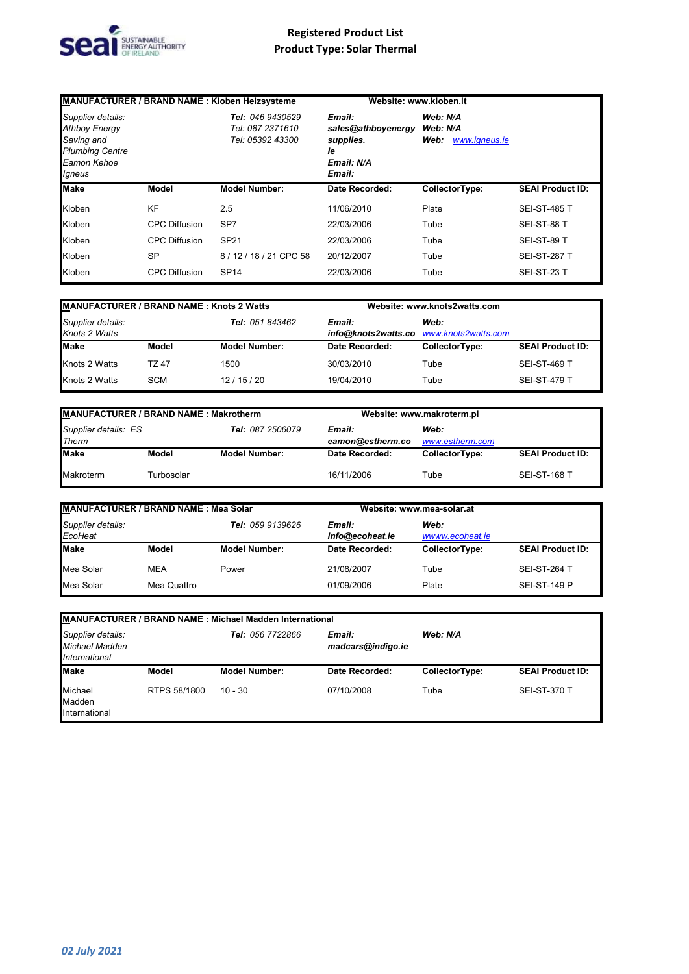

|                                                                                                            |                      | <b>MANUFACTURER / BRAND NAME: Kloben Heizsysteme</b>     | Website: www.kloben.it                                                  |                                               |                         |
|------------------------------------------------------------------------------------------------------------|----------------------|----------------------------------------------------------|-------------------------------------------------------------------------|-----------------------------------------------|-------------------------|
| Supplier details:<br><b>Athboy Energy</b><br>Saving and<br><b>Plumbing Centre</b><br>Eamon Kehoe<br>Igneus |                      | Tel: 046 9430529<br>Tel: 087 2371610<br>Tel: 05392 43300 | Email:<br>sales@athboyenergy<br>supplies.<br>le<br>Email: N/A<br>Email: | Web: N/A<br>Web: N/A<br>Web:<br>www.igneus.ie |                         |
| <b>Make</b>                                                                                                | Model                | <b>Model Number:</b>                                     | Date Recorded:                                                          | CollectorType:                                | <b>SEAI Product ID:</b> |
| Kloben                                                                                                     | KF                   | 2.5                                                      | 11/06/2010                                                              | Plate                                         | <b>SEI-ST-485 T</b>     |
| Kloben                                                                                                     | <b>CPC Diffusion</b> | SP <sub>7</sub>                                          | 22/03/2006                                                              | Tube                                          | SEI-ST-88 T             |
| Kloben                                                                                                     | <b>CPC Diffusion</b> | <b>SP21</b>                                              | 22/03/2006                                                              | Tube                                          | SEI-ST-89 T             |
| Kloben                                                                                                     | <b>SP</b>            | 8/12/18/21 CPC 58                                        | 20/12/2007                                                              | Tube                                          | <b>SEI-ST-287 T</b>     |
| Kloben                                                                                                     | <b>CPC Diffusion</b> | <b>SP14</b>                                              | 22/03/2006                                                              | Tube                                          | SEI-ST-23 T             |

| <b>MANUFACTURER / BRAND NAME: Knots 2 Watts</b> |              |                      | Website: www.knots2watts.com |                                                 |                         |
|-------------------------------------------------|--------------|----------------------|------------------------------|-------------------------------------------------|-------------------------|
| Supplier details:<br>Knots 2 Watts              |              | Tel: 051 843462      | Email:                       | Web:<br>info@knots2watts.co www.knots2watts.com |                         |
| <b>Make</b>                                     | Model        | <b>Model Number:</b> | Date Recorded:               | CollectorType:                                  | <b>SEAI Product ID:</b> |
| Knots 2 Watts                                   | <b>TZ 47</b> | 1500                 | 30/03/2010                   | Tube                                            | <b>SEI-ST-469 T</b>     |
| Knots 2 Watts                                   | <b>SCM</b>   | 12/15/20             | 19/04/2010                   | Tube                                            | <b>SEI-ST-479 T</b>     |

| MANUFACTURER / BRAND NAME: Makrotherm |            |                         | Website: www.makroterm.pl                             |                |                         |
|---------------------------------------|------------|-------------------------|-------------------------------------------------------|----------------|-------------------------|
| Supplier details: ES<br>Therm         |            | <b>Tel: 087 2506079</b> | Web:<br>Email:<br>eamon@estherm.co<br>www.estherm.com |                |                         |
| <b>Make</b>                           | Model      | <b>Model Number:</b>    | Date Recorded:                                        | CollectorType: | <b>SEAI Product ID:</b> |
| Makroterm                             | Turbosolar |                         | 16/11/2006                                            | Tube           | <b>SEI-ST-168 T</b>     |

| MANUFACTURER / BRAND NAME: Mea Solar |             |                      |                           | Website: www.mea-solar.at |                         |  |
|--------------------------------------|-------------|----------------------|---------------------------|---------------------------|-------------------------|--|
| Supplier details:<br>EcoHeat         |             | Tel: 059 9139626     | Email:<br>info@ecoheat.ie | Web:<br>wwww.ecoheat.je   |                         |  |
| <b>Make</b>                          | Model       | <b>Model Number:</b> | Date Recorded:            | CollectorType:            | <b>SEAI Product ID:</b> |  |
| Mea Solar                            | <b>MEA</b>  | Power                | 21/08/2007                | Tube                      | SEI-ST-264 T            |  |
| Mea Solar                            | Mea Quattro |                      | 01/09/2006                | Plate                     | <b>SEI-ST-149 P</b>     |  |

| MANUFACTURER / BRAND NAME : Michael Madden International                  |              |                      |                             |                |                         |  |  |  |  |
|---------------------------------------------------------------------------|--------------|----------------------|-----------------------------|----------------|-------------------------|--|--|--|--|
| Supplier details:<br><b>Michael Madden</b><br><i><b>International</b></i> |              | Tel: 056 7722866     | Email:<br>madcars@indigo.ie | Web: N/A       |                         |  |  |  |  |
| <b>Make</b>                                                               | Model        | <b>Model Number:</b> | Date Recorded:              | CollectorType: | <b>SEAI Product ID:</b> |  |  |  |  |
| Michael<br>Madden<br>International                                        | RTPS 58/1800 | $10 - 30$            | 07/10/2008                  | Tube           | <b>SEI-ST-370 T</b>     |  |  |  |  |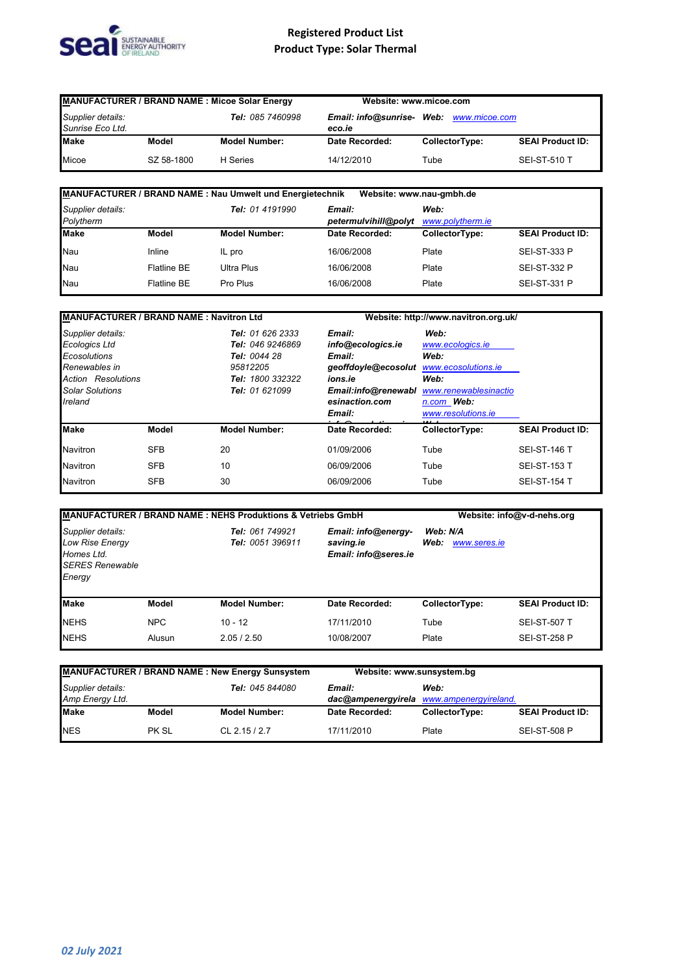

| <b>MANUFACTURER / BRAND NAME: Micoe Solar Energy</b>      |            | Website: www.micoe.com |                                         |                |                         |
|-----------------------------------------------------------|------------|------------------------|-----------------------------------------|----------------|-------------------------|
| Supplier details:<br>Tel: 085 7460998<br>Sunrise Eco Ltd. |            | eco.ie                 | Email: info@sunrise- Web: www.micoe.com |                |                         |
| <b>Make</b>                                               | Model      | <b>Model Number:</b>   | Date Recorded:                          | CollectorType: | <b>SEAI Product ID:</b> |
| Micoe                                                     | SZ 58-1800 | H Series               | 14/12/2010                              | Tube           | <b>SEI-ST-510 T</b>     |

| MANUFACTURER / BRAND NAME : Nau Umwelt und Energietechnik<br>Website: www.nau-gmbh.de |                    |                      |                                |                          |                         |  |
|---------------------------------------------------------------------------------------|--------------------|----------------------|--------------------------------|--------------------------|-------------------------|--|
| Supplier details:<br>Polytherm                                                        |                    | Tel: 01 4191990      | Email:<br>petermulvihill@polyt | Web:<br>www.polytherm.ie |                         |  |
| <b>Make</b>                                                                           | Model              | <b>Model Number:</b> | Date Recorded:                 | CollectorType:           | <b>SEAI Product ID:</b> |  |
| Nau                                                                                   | Inline             | IL pro               | 16/06/2008                     | Plate                    | <b>SEI-ST-333 P</b>     |  |
| Nau                                                                                   | <b>Flatline BE</b> | Ultra Plus           | 16/06/2008                     | Plate                    | <b>SEI-ST-332 P</b>     |  |
| Nau                                                                                   | <b>Flatline BE</b> | Pro Plus             | 16/06/2008                     | Plate                    | <b>SEI-ST-331 P</b>     |  |

| <b>MANUFACTURER / BRAND NAME: Navitron Ltd</b>                                                                                        |            |                                                                                                        | Website: http://www.navitron.org.uk/                                                                                       |                                                                                                                              |                         |
|---------------------------------------------------------------------------------------------------------------------------------------|------------|--------------------------------------------------------------------------------------------------------|----------------------------------------------------------------------------------------------------------------------------|------------------------------------------------------------------------------------------------------------------------------|-------------------------|
| Supplier details:<br>Ecologics Ltd<br>Ecosolutions<br>Renewables in<br><b>Action Resolutions</b><br><b>Solar Solutions</b><br>Ireland |            | Tel: 01 626 2333<br>Tel: 046 9246869<br>Tel: 0044 28<br>95812205<br>Tel: 1800 332322<br>Tel: 01 621099 | Email:<br>info@ecologics.ie<br>Email:<br>geoffdoyle@ecosolut<br>ions.ie<br>Email:info@renewabl<br>esinaction.com<br>Email: | Web:<br>www.ecologics.ie<br>Web:<br>www.ecosolutions.ie<br>Web:<br>www.renewablesinactio<br>n.com Web:<br>www.resolutions.ie |                         |
| <b>Make</b>                                                                                                                           | Model      | <b>Model Number:</b>                                                                                   | Date Recorded:                                                                                                             | CollectorType:                                                                                                               | <b>SEAI Product ID:</b> |
| <b>Navitron</b>                                                                                                                       | <b>SFB</b> | 20                                                                                                     | 01/09/2006                                                                                                                 | Tube                                                                                                                         | <b>SEI-ST-146 T</b>     |
| <b>Navitron</b>                                                                                                                       | <b>SFB</b> | 10                                                                                                     | 06/09/2006                                                                                                                 | Tube                                                                                                                         | <b>SEI-ST-153 T</b>     |
| <b>Navitron</b>                                                                                                                       | <b>SFB</b> | 30                                                                                                     | 06/09/2006                                                                                                                 | Tube                                                                                                                         | <b>SEI-ST-154 T</b>     |

| MANUFACTURER / BRAND NAME: NEHS Produktions & Vetriebs GmbH                            |            |                                     |                                                          |                                  | Website: info@v-d-nehs.org |  |
|----------------------------------------------------------------------------------------|------------|-------------------------------------|----------------------------------------------------------|----------------------------------|----------------------------|--|
| Supplier details:<br>Low Rise Energy<br>Homes Ltd.<br><b>SERES Renewable</b><br>Energy |            | Tel: 061 749921<br>Tel: 0051 396911 | Email: info@energy-<br>saving.ie<br>Email: info@seres.ie | Web: N/A<br>Web:<br>www.seres.ie |                            |  |
| <b>Make</b>                                                                            | Model      | <b>Model Number:</b>                | Date Recorded:                                           | CollectorType:                   | <b>SEAI Product ID:</b>    |  |
| <b>NEHS</b>                                                                            | <b>NPC</b> | $10 - 12$                           | 17/11/2010                                               | Tube                             | <b>SEI-ST-507 T</b>        |  |
| <b>NEHS</b>                                                                            | Alusun     | 2.05/2.50                           | 10/08/2007                                               | Plate                            | <b>SEI-ST-258 P</b>        |  |

| <b>MANUFACTURER / BRAND NAME: New Energy Sunsystem</b>         |       |                                                            | Website: www.sunsystem.bg |                |                         |
|----------------------------------------------------------------|-------|------------------------------------------------------------|---------------------------|----------------|-------------------------|
| Supplier details:<br><b>Tel: 045 844080</b><br>Amp Energy Ltd. |       | Web:<br>Email:<br>dac@ampenergyirela www.ampenergyireland. |                           |                |                         |
| <b>Make</b>                                                    | Model | <b>Model Number:</b>                                       | Date Recorded:            | CollectorType: | <b>SEAI Product ID:</b> |
| <b>NES</b>                                                     | PK SL | $CL$ 2.15 / 2.7                                            | 17/11/2010                | Plate          | <b>SEI-ST-508 P</b>     |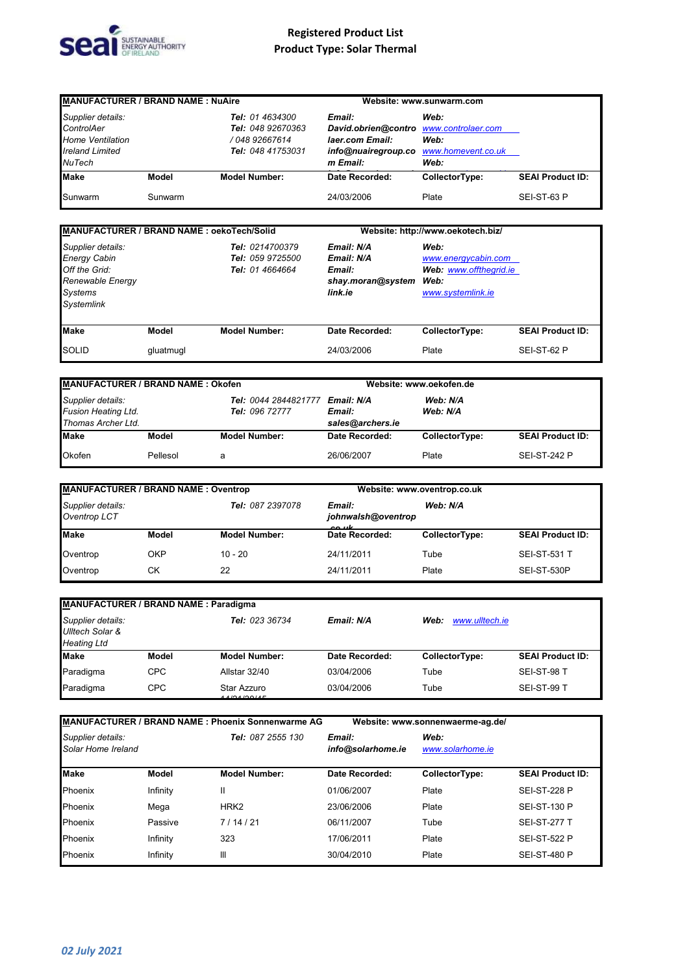

| <b>MANUFACTURER / BRAND NAME: NuAire</b>                                                |         |                                                                                           | Website: www.sunwarm.com                                                                                                  |                      |                         |
|-----------------------------------------------------------------------------------------|---------|-------------------------------------------------------------------------------------------|---------------------------------------------------------------------------------------------------------------------------|----------------------|-------------------------|
| Supplier details:<br>ControlAer<br><b>Home Ventilation</b><br>Ireland Limited<br>NuTech |         | <b>Tel:</b> 01 4634300<br><b>Tel: 048 92670363</b><br>/ 048 92667614<br>Tel: 048 41753031 | Email:<br>David.obrien@contro www.controlaer.com<br>laer.com Email:<br>info@nuairegroup.co www.homevent.co.uk<br>m Email: | Web:<br>Web:<br>Web: |                         |
| <b>Make</b>                                                                             | Model   | <b>Model Number:</b>                                                                      | Date Recorded:                                                                                                            | CollectorType:       | <b>SEAI Product ID:</b> |
| Sunwarm                                                                                 | Sunwarm |                                                                                           | 24/03/2006                                                                                                                | Plate                | SEI-ST-63 P             |

| MANUFACTURER / BRAND NAME : oekoTech/Solid                                                                           |           |                                                               | Website: http://www.oekotech.biz/                                  |                                                                                    |                         |
|----------------------------------------------------------------------------------------------------------------------|-----------|---------------------------------------------------------------|--------------------------------------------------------------------|------------------------------------------------------------------------------------|-------------------------|
| Supplier details:<br><b>Energy Cabin</b><br>Off the Grid:<br>Renewable Energy<br><b>Systems</b><br><b>Systemlink</b> |           | Tel: 0214700379<br><b>Tel: 059 9725500</b><br>Tel: 01 4664664 | Email: N/A<br>Email: N/A<br>Email:<br>shay.moran@system<br>link.ie | Web:<br>www.energycabin.com<br>Web: www.offthegrid.ie<br>Web:<br>www.systemlink.ie |                         |
| <b>Make</b>                                                                                                          | Model     | <b>Model Number:</b>                                          | Date Recorded:                                                     | CollectorType:                                                                     | <b>SEAI Product ID:</b> |
| <b>SOLID</b>                                                                                                         | gluatmugl |                                                               | 24/03/2006                                                         | Plate                                                                              | SEI-ST-62 P             |

| <b>MANUFACTURER / BRAND NAME: Okofen</b>                                                                        |          |                                                                  | Website: www.oekofen.de |                |                         |
|-----------------------------------------------------------------------------------------------------------------|----------|------------------------------------------------------------------|-------------------------|----------------|-------------------------|
| Supplier details:<br>Tel: 0044 2844821777<br><b>Fusion Heating Ltd.</b><br>Tel: 096 72777<br>Thomas Archer Ltd. |          | Web: N/A<br>Email: N/A<br>Web: N/A<br>Email:<br>sales@archers.ie |                         |                |                         |
| <b>Make</b>                                                                                                     | Model    | <b>Model Number:</b>                                             | Date Recorded:          | CollectorType: | <b>SEAI Product ID:</b> |
| Okofen                                                                                                          | Pellesol | a                                                                | 26/06/2007              | Plate          | <b>SEI-ST-242 P</b>     |

| <b>MANUFACTURER / BRAND NAME: Oventrop</b>            |       |                      |                                                   | Website: www.oventrop.co.uk |                         |  |
|-------------------------------------------------------|-------|----------------------|---------------------------------------------------|-----------------------------|-------------------------|--|
| Supplier details:<br>Tel: 087 2397078<br>Oventrop LCT |       |                      | Web: N/A<br>Email:<br>johnwalsh@oventrop<br>22.11 |                             |                         |  |
| <b>Make</b>                                           | Model | <b>Model Number:</b> | Date Recorded:                                    | CollectorType:              | <b>SEAI Product ID:</b> |  |
| Oventrop                                              | OKP   | $10 - 20$            | 24/11/2011                                        | Tube                        | <b>SEI-ST-531 T</b>     |  |
| Oventrop                                              | СK    | 22                   | 24/11/2011                                        | Plate                       | SEI-ST-530P             |  |

| <b>MANUFACTURER / BRAND NAME: Paradigma</b>                |            |                                     |                |                        |                         |  |  |  |  |
|------------------------------------------------------------|------------|-------------------------------------|----------------|------------------------|-------------------------|--|--|--|--|
| Supplier details:<br>Ulltech Solar &<br><b>Heating Ltd</b> |            | <b>Tel: 023 36734</b><br>Email: N/A |                | www.ulltech.ie<br>Web: |                         |  |  |  |  |
| <b>Make</b>                                                | Model      | <b>Model Number:</b>                | Date Recorded: | CollectorType:         | <b>SEAI Product ID:</b> |  |  |  |  |
| Paradigma                                                  | <b>CPC</b> | Allstar 32/40                       | 03/04/2006     | Tube                   | SEI-ST-98 T             |  |  |  |  |
| Paradigma                                                  | <b>CPC</b> | Star Azzuro<br>$\overline{AB}$      | 03/04/2006     | Tube                   | SEI-ST-99 T             |  |  |  |  |

| <b>MANUFACTURER / BRAND NAME: Phoenix Sonnenwarme AG</b> |          |                          |                             | Website: www.sonnenwaerme-ag.de/ |                         |
|----------------------------------------------------------|----------|--------------------------|-----------------------------|----------------------------------|-------------------------|
| Supplier details:<br>Solar Home Ireland                  |          | <b>Tel: 087 2555 130</b> | Email:<br>info@solarhome.ie | Web:<br>www.solarhome.ie         |                         |
| <b>Make</b>                                              | Model    | <b>Model Number:</b>     | Date Recorded:              | CollectorType:                   | <b>SEAI Product ID:</b> |
| Phoenix                                                  | Infinity | Ш                        | 01/06/2007                  | Plate                            | <b>SEI-ST-228 P</b>     |
| Phoenix                                                  | Mega     | HRK <sub>2</sub>         | 23/06/2006                  | Plate                            | <b>SEI-ST-130 P</b>     |
| Phoenix                                                  | Passive  | 7/14/21                  | 06/11/2007                  | Tube                             | <b>SEI-ST-277 T</b>     |
| Phoenix                                                  | Infinity | 323                      | 17/06/2011                  | Plate                            | <b>SEI-ST-522 P</b>     |
| Phoenix                                                  | Infinity | Ш                        | 30/04/2010                  | Plate                            | <b>SEI-ST-480 P</b>     |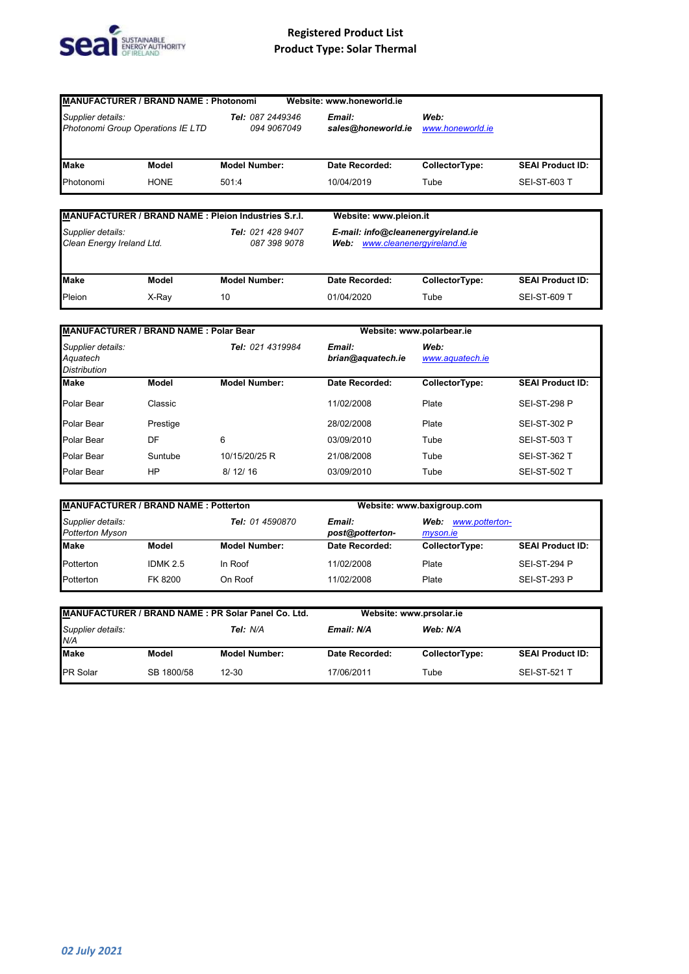

|                   | <b>MANUFACTURER / BRAND NAME: Photonomi</b> |                                                      | Website: www.honeworld.ie    |                          |                         |
|-------------------|---------------------------------------------|------------------------------------------------------|------------------------------|--------------------------|-------------------------|
| Supplier details: | Photonomi Group Operations IE LTD           | Tel: 087 2449346<br>094 9067049                      | Email:<br>sales@honeworld.ie | Web:<br>www.honeworld.ie |                         |
| <b>Make</b>       | Model                                       | <b>Model Number:</b>                                 | Date Recorded:               | CollectorType:           | <b>SEAI Product ID:</b> |
| Photonomi         | <b>HONE</b>                                 | 501:4                                                | 10/04/2019                   | Tube                     | <b>SEI-ST-603 T</b>     |
|                   |                                             | MANUFACTURER / BRAND NAME : Pleion Industries S.r.I. | Website: www.pleion.it       |                          |                         |

| Supplier details:<br>Clean Energy Ireland Ltd. |       | Tel: 021 428 9407<br>087 398 9078 |                | E-mail: info@cleanenergyireland.ie<br>Web: www.cleanenergyireland.ie |                         |
|------------------------------------------------|-------|-----------------------------------|----------------|----------------------------------------------------------------------|-------------------------|
| <b>Make</b>                                    | Model | <b>Model Number:</b>              | Date Recorded: | CollectorType:                                                       | <b>SEAI Product ID:</b> |
| Pleion                                         | X-Rav | 10                                | 01/04/2020     | Tube                                                                 | <b>SEI-ST-609 T</b>     |

| <b>MANUFACTURER / BRAND NAME: Polar Bear</b>         |                            |                      |                         | Website: www.polarbear.ie |                         |
|------------------------------------------------------|----------------------------|----------------------|-------------------------|---------------------------|-------------------------|
| Supplier details:<br>Aquatech<br><b>Distribution</b> | Tel: 021 4319984<br>Email: | brian@aquatech.ie    | Web:<br>www.aquatech.ie |                           |                         |
| <b>Make</b>                                          | Model                      | <b>Model Number:</b> | Date Recorded:          | CollectorType:            | <b>SEAI Product ID:</b> |
| <b>Polar Bear</b>                                    | Classic                    |                      | 11/02/2008              | Plate                     | <b>SEI-ST-298 P</b>     |
| Polar Bear                                           | Prestige                   |                      | 28/02/2008              | Plate                     | <b>SEI-ST-302 P</b>     |
| Polar Bear                                           | DF                         | 6                    | 03/09/2010              | Tube                      | <b>SEI-ST-503 T</b>     |
| Polar Bear                                           | Suntube                    | 10/15/20/25 R        | 21/08/2008              | Tube                      | <b>SEI-ST-362 T</b>     |
| Polar Bear                                           | ΗP                         | 8/12/16              | 03/09/2010              | Tube                      | <b>SEI-ST-502 T</b>     |

| <b>MANUFACTURER / BRAND NAME: Potterton</b> |            |                      | Website: www.baxigroup.com |                                    |                         |
|---------------------------------------------|------------|----------------------|----------------------------|------------------------------------|-------------------------|
| Supplier details:<br>Potterton Myson        |            | Tel: 01 4590870      | Email:<br>post@potterton-  | www.potterton-<br>Web:<br>myson.ie |                         |
| <b>Make</b>                                 | Model      | <b>Model Number:</b> | Date Recorded:             | CollectorType:                     | <b>SEAI Product ID:</b> |
| Potterton                                   | IDMK $2.5$ | In Roof              | 11/02/2008                 | Plate                              | <b>SEI-ST-294 P</b>     |
| Potterton                                   | FK 8200    | On Roof              | 11/02/2008                 | Plate                              | <b>SEI-ST-293 P</b>     |

| MANUFACTURER / BRAND NAME : PR Solar Panel Co. Ltd. |            | Website: www.prsolar.ie |                |                |                         |
|-----------------------------------------------------|------------|-------------------------|----------------|----------------|-------------------------|
| Supplier details:<br>N/A                            |            | Tel: N/A                | Email: N/A     | Web: N/A       |                         |
| <b>I</b> Make                                       | Model      | <b>Model Number:</b>    | Date Recorded: | CollectorType: | <b>SEAI Product ID:</b> |
| <b>PR Solar</b>                                     | SB 1800/58 | 12-30                   | 17/06/2011     | Tube           | <b>SEI-ST-521 T</b>     |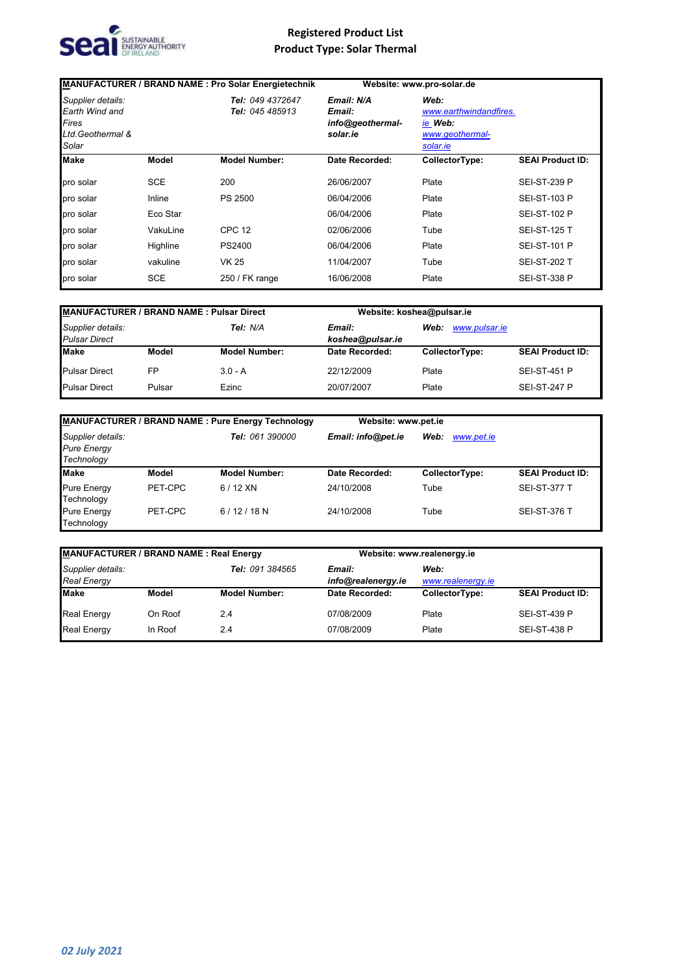

|                                                                            |            | <b>MANUFACTURER / BRAND NAME: Pro Solar Energietechnik</b> |                                                      | Website: www.pro-solar.de                                                |                         |
|----------------------------------------------------------------------------|------------|------------------------------------------------------------|------------------------------------------------------|--------------------------------------------------------------------------|-------------------------|
| Supplier details:<br>Earth Wind and<br>Fires<br>Ltd. Geothermal &<br>Solar |            | Tel: 049 4372647<br><b>Tel: 045 485913</b>                 | Email: N/A<br>Email:<br>info@geothermal-<br>solar.ie | Web:<br>www.earthwindandfires.<br>ie Web:<br>www.geothermal-<br>solar.ie |                         |
| <b>Make</b>                                                                | Model      | <b>Model Number:</b>                                       | Date Recorded:                                       | CollectorType:                                                           | <b>SEAI Product ID:</b> |
| pro solar                                                                  | <b>SCE</b> | 200                                                        | 26/06/2007                                           | Plate                                                                    | <b>SEI-ST-239 P</b>     |
| pro solar                                                                  | Inline     | PS 2500                                                    | 06/04/2006                                           | Plate                                                                    | <b>SEI-ST-103 P</b>     |
| pro solar                                                                  | Eco Star   |                                                            | 06/04/2006                                           | Plate                                                                    | <b>SEI-ST-102 P</b>     |
| pro solar                                                                  | VakuLine   | <b>CPC 12</b>                                              | 02/06/2006                                           | Tube                                                                     | <b>SEI-ST-125 T</b>     |
| pro solar                                                                  | Highline   | PS2400                                                     | 06/04/2006                                           | Plate                                                                    | <b>SEI-ST-101 P</b>     |
| pro solar                                                                  | vakuline   | <b>VK 25</b>                                               | 11/04/2007                                           | Tube                                                                     | <b>SEI-ST-202 T</b>     |
| pro solar                                                                  | <b>SCE</b> | 250 / FK range                                             | 16/06/2008                                           | Plate                                                                    | <b>SEI-ST-338 P</b>     |

| <b>MANUFACTURER / BRAND NAME: Pulsar Direct</b> |        |                      |                            | Website: koshea@pulsar.ie |                         |  |
|-------------------------------------------------|--------|----------------------|----------------------------|---------------------------|-------------------------|--|
| Supplier details:<br><b>Pulsar Direct</b>       |        | Tel: N/A             | Email:<br>koshea@pulsar.ie | Web:<br>www.pulsar.ie     |                         |  |
| Make                                            | Model  | <b>Model Number:</b> | Date Recorded:             | CollectorType:            | <b>SEAI Product ID:</b> |  |
| <b>Pulsar Direct</b>                            | FP     | $3.0 - A$            | 22/12/2009                 | Plate                     | <b>SEI-ST-451 P</b>     |  |
| <b>Pulsar Direct</b>                            | Pulsar | Ezinc                | 20/07/2007                 | Plate                     | <b>SEI-ST-247 P</b>     |  |

| <b>MANUFACTURER / BRAND NAME: Pure Energy Technology</b> |         |                        | Website: www.pet.ie |                    |                         |
|----------------------------------------------------------|---------|------------------------|---------------------|--------------------|-------------------------|
| Supplier details:<br><b>Pure Energy</b><br>Technology    |         | <b>Tel: 061 390000</b> | Email: info@pet.ie  | Web:<br>www.pet.ie |                         |
| <b>Make</b>                                              | Model   | <b>Model Number:</b>   | Date Recorded:      | CollectorType:     | <b>SEAI Product ID:</b> |
| <b>Pure Energy</b><br>Technology                         | PET-CPC | $6/12$ XN              | 24/10/2008          | Tube               | <b>SEI-ST-377 T</b>     |
| <b>Pure Energy</b><br>Technology                         | PET-CPC | $6/12/18$ N            | 24/10/2008          | Tube               | <b>SEI-ST-376 T</b>     |

| MANUFACTURER / BRAND NAME: Real Energy  |         |                      |                              | Website: www.realenergy.ie |                         |  |
|-----------------------------------------|---------|----------------------|------------------------------|----------------------------|-------------------------|--|
| Supplier details:<br><b>Real Energy</b> |         | Tel: 091 384565      | Email:<br>info@realenergy.ie | Web:<br>www.realenergy.ie  |                         |  |
| <b>Make</b>                             | Model   | <b>Model Number:</b> | Date Recorded:               | CollectorType:             | <b>SEAI Product ID:</b> |  |
| <b>Real Energy</b>                      | On Roof | 2.4                  | 07/08/2009                   | Plate                      | <b>SEI-ST-439 P</b>     |  |
| <b>Real Energy</b>                      | In Roof | 2.4                  | 07/08/2009                   | Plate                      | <b>SEI-ST-438 P</b>     |  |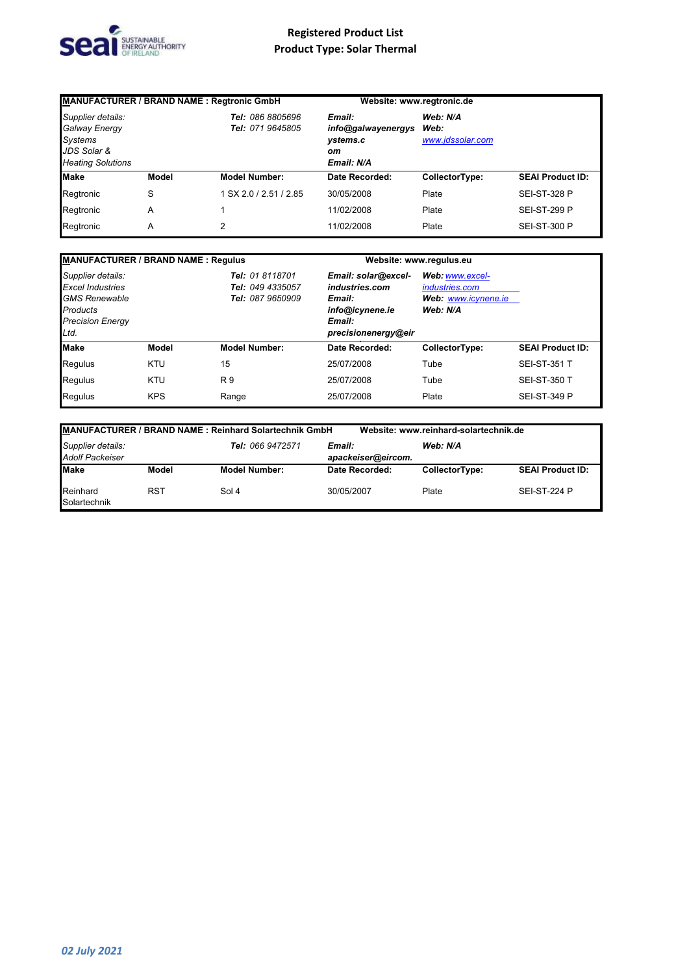

| <b>MANUFACTURER / BRAND NAME: Regtronic GmbH</b>                                                |              |                                      | Website: www.regtronic.de                                    |                                      |                         |
|-------------------------------------------------------------------------------------------------|--------------|--------------------------------------|--------------------------------------------------------------|--------------------------------------|-------------------------|
| Supplier details:<br>Galway Energy<br><b>Systems</b><br>JDS Solar &<br><b>Heating Solutions</b> |              | Tel: 086 8805696<br>Tel: 071 9645805 | Email:<br>info@galwayenergys<br>ystems.c<br>oт<br>Email: N/A | Web: N/A<br>Web:<br>www.jdssolar.com |                         |
| <b>Make</b>                                                                                     | <b>Model</b> | <b>Model Number:</b>                 | Date Recorded:                                               | CollectorType:                       | <b>SEAI Product ID:</b> |
| Regtronic                                                                                       | S            | 1 SX 2.0 / 2.51 / 2.85               | 30/05/2008                                                   | Plate                                | <b>SEI-ST-328 P</b>     |
| Regtronic                                                                                       | Α            |                                      | 11/02/2008                                                   | Plate                                | <b>SEI-ST-299 P</b>     |
| Regtronic                                                                                       | Α            | 2                                    | 11/02/2008                                                   | Plate                                | <b>SEI-ST-300 P</b>     |

| <b>MANUFACTURER / BRAND NAME: Regulus</b>                                                                           |            |                                                         |                                                                                                     | Website: www.regulus.eu                                              |                         |
|---------------------------------------------------------------------------------------------------------------------|------------|---------------------------------------------------------|-----------------------------------------------------------------------------------------------------|----------------------------------------------------------------------|-------------------------|
| Supplier details:<br><b>Excel Industries</b><br><b>GMS Renewable</b><br>Products<br><b>Precision Energy</b><br>Ltd. |            | Tel: 01 8118701<br>Tel: 049 4335057<br>Tel: 087 9650909 | Email: solar@excel-<br>industries.com<br>Email:<br>info@icynene.ie<br>Email:<br>precisionenergy@eir | Web: www.excel-<br>industries.com<br>Web: www.icynene.ie<br>Web: N/A |                         |
| <b>Make</b>                                                                                                         | Model      | <b>Model Number:</b>                                    | Date Recorded:                                                                                      | CollectorType:                                                       | <b>SEAI Product ID:</b> |
| Regulus                                                                                                             | <b>KTU</b> | 15                                                      | 25/07/2008                                                                                          | Tube                                                                 | <b>SEI-ST-351 T</b>     |
| Regulus                                                                                                             | <b>KTU</b> | R 9                                                     | 25/07/2008                                                                                          | Tube                                                                 | <b>SEI-ST-350 T</b>     |
| Regulus                                                                                                             | <b>KPS</b> | Range                                                   | 25/07/2008                                                                                          | Plate                                                                | <b>SEI-ST-349 P</b>     |

|                                             |            | <b>MANUFACTURER / BRAND NAME: Reinhard Solartechnik GmbH</b> |                              | Website: www.reinhard-solartechnik.de |                         |
|---------------------------------------------|------------|--------------------------------------------------------------|------------------------------|---------------------------------------|-------------------------|
| Supplier details:<br><b>Adolf Packeiser</b> |            | Tel: 066 9472571                                             | Email:<br>apackeiser@eircom. | Web: N/A                              |                         |
| Make                                        | Model      | <b>Model Number:</b>                                         | Date Recorded:               | CollectorType:                        | <b>SEAI Product ID:</b> |
| Reinhard<br>Solartechnik                    | <b>RST</b> | Sol 4                                                        | 30/05/2007                   | Plate                                 | <b>SEI-ST-224 P</b>     |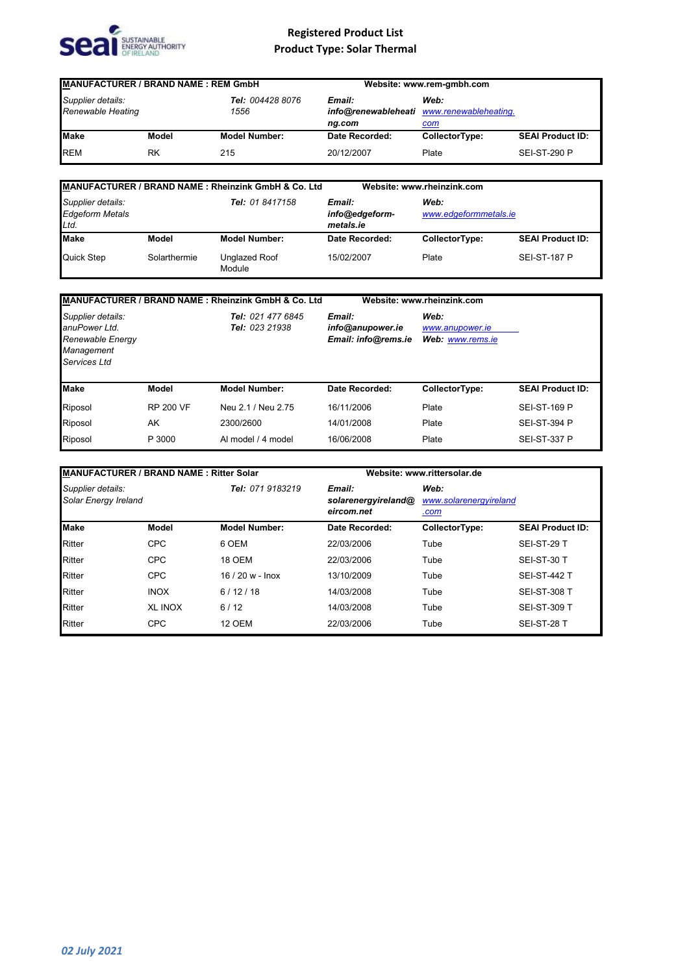

| <b>MANUFACTURER / BRAND NAME: REM GmbH</b>                         |       |                      | Website: www.rem-gmbh.com                                |                |                         |
|--------------------------------------------------------------------|-------|----------------------|----------------------------------------------------------|----------------|-------------------------|
| Tel: 004428 8076<br>Supplier details:<br>Renewable Heating<br>1556 |       | Email:<br>ng.com     | Web:<br>info@renewableheati www.renewableheating.<br>com |                |                         |
| <b>Make</b>                                                        | Model | <b>Model Number:</b> | Date Recorded:                                           | CollectorType: | <b>SEAI Product ID:</b> |
| <b>REM</b>                                                         | RK    | 215                  | 20/12/2007                                               | Plate          | <b>SEI-ST-290 P</b>     |

|                                                     |              | MANUFACTURER / BRAND NAME: Rheinzink GmbH & Co. Ltd |                                       | Website: www.rheinzink.com    |                         |
|-----------------------------------------------------|--------------|-----------------------------------------------------|---------------------------------------|-------------------------------|-------------------------|
| Supplier details:<br><b>Edgeform Metals</b><br>Ltd. |              | Tel: 01 8417158                                     | Email:<br>info@edgeform-<br>metals.ie | Web:<br>www.edgeformmetals.ie |                         |
| Make                                                | Model        | <b>Model Number:</b>                                | Date Recorded:                        | CollectorType:                | <b>SEAI Product ID:</b> |
| Quick Step                                          | Solarthermie | Unglazed Roof<br>Module                             | 15/02/2007                            | Plate                         | <b>SEI-ST-187 P</b>     |

|                                                                                      |                  | MANUFACTURER / BRAND NAME: Rheinzink GmbH & Co. Ltd |                                                   | Website: www.rheinzink.com                  |                         |
|--------------------------------------------------------------------------------------|------------------|-----------------------------------------------------|---------------------------------------------------|---------------------------------------------|-------------------------|
| Supplier details:<br>anuPower Ltd.<br>Renewable Energy<br>Management<br>Services Ltd |                  | Tel: 021 477 6845<br>Tel: 023 21938                 | Email:<br>info@anupower.ie<br>Email: info@rems.ie | Web:<br>www.anupower.je<br>Web: www.rems.ie |                         |
| <b>Make</b>                                                                          | Model            | <b>Model Number:</b>                                | Date Recorded:                                    | CollectorType:                              | <b>SEAI Product ID:</b> |
| Riposol                                                                              | <b>RP 200 VF</b> | Neu 2.1 / Neu 2.75                                  | 16/11/2006                                        | Plate                                       | <b>SEI-ST-169 P</b>     |
| Riposol                                                                              | AK               | 2300/2600                                           | 14/01/2008                                        | Plate                                       | <b>SEI-ST-394 P</b>     |
| Riposol                                                                              | P 3000           | Al model / 4 model                                  | 16/06/2008                                        | Plate                                       | <b>SEI-ST-337 P</b>     |

| <b>IMANUFACTURER / BRAND NAME: Ritter Solar</b> |                |                      |                                             | Website: www.rittersolar.de            |                         |  |
|-------------------------------------------------|----------------|----------------------|---------------------------------------------|----------------------------------------|-------------------------|--|
| Supplier details:<br>Solar Energy Ireland       |                | Tel: 071 9183219     | Email:<br>solarenergyireland@<br>eircom.net | Web:<br>www.solarenergyireland<br>.com |                         |  |
| <b>Make</b>                                     | Model          | <b>Model Number:</b> | Date Recorded:                              | CollectorType:                         | <b>SEAI Product ID:</b> |  |
| <b>Ritter</b>                                   | <b>CPC</b>     | 6 OEM                | 22/03/2006                                  | Tube                                   | SEI-ST-29 T             |  |
| <b>Ritter</b>                                   | <b>CPC</b>     | <b>18 OEM</b>        | 22/03/2006                                  | Tube                                   | SEI-ST-30 T             |  |
| <b>Ritter</b>                                   | <b>CPC</b>     | $16/20 w -$ Inox     | 13/10/2009                                  | Tube                                   | <b>SEI-ST-442 T</b>     |  |
| <b>Ritter</b>                                   | <b>INOX</b>    | 6/12/18              | 14/03/2008                                  | Tube                                   | <b>SEI-ST-308 T</b>     |  |
| <b>Ritter</b>                                   | <b>XL INOX</b> | 6/12                 | 14/03/2008                                  | Tube                                   | <b>SEI-ST-309 T</b>     |  |
| <b>Ritter</b>                                   | <b>CPC</b>     | <b>12 OEM</b>        | 22/03/2006                                  | Tube                                   | SEI-ST-28 T             |  |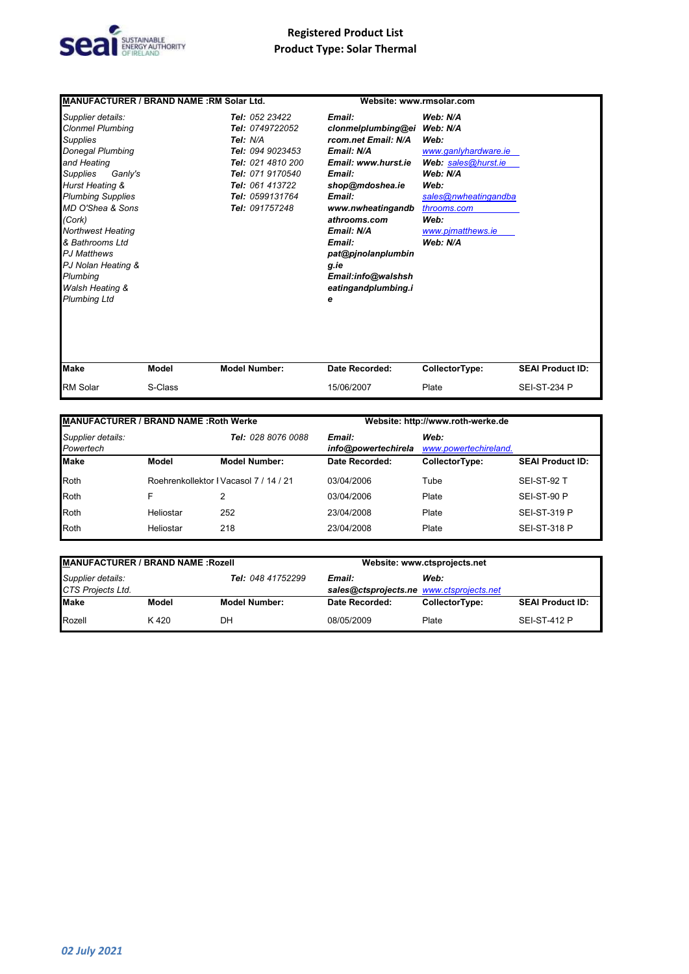

| MANUFACTURER / BRAND NAME: RM Solar Ltd.                                                                                                                                                                                                                                                                                                                       |                  | Website: www.rmsolar.com                                                                                                                                           |                                                                                                                                                                                                                                                                              |                                                                                                                                                                                 |                                                |
|----------------------------------------------------------------------------------------------------------------------------------------------------------------------------------------------------------------------------------------------------------------------------------------------------------------------------------------------------------------|------------------|--------------------------------------------------------------------------------------------------------------------------------------------------------------------|------------------------------------------------------------------------------------------------------------------------------------------------------------------------------------------------------------------------------------------------------------------------------|---------------------------------------------------------------------------------------------------------------------------------------------------------------------------------|------------------------------------------------|
| Supplier details:<br><b>Clonmel Plumbing</b><br><b>Supplies</b><br><b>Donegal Plumbing</b><br>and Heating<br>Supplies<br>Ganly's<br>Hurst Heating &<br><b>Plumbing Supplies</b><br>MD O'Shea & Sons<br>(Cork)<br><b>Northwest Heating</b><br>& Bathrooms Ltd<br><b>PJ Matthews</b><br>PJ Nolan Heating &<br>Plumbing<br>Walsh Heating &<br><b>Plumbing Ltd</b> |                  | Tel: 052 23422<br>Tel: 0749722052<br>Tel: N/A<br>Tel: 094 9023453<br>Tel: 021 4810 200<br>Tel: 071 9170540<br>Tel: 061 413722<br>Tel: 0599131764<br>Tel: 091757248 | Email:<br>clonmelplumbing@ei<br>rcom.net Email: N/A<br>Email: N/A<br>Email: www.hurst.ie<br>Email:<br>shop@mdoshea.ie<br>Email:<br>www.nwheatingandb<br>athrooms.com<br>Email: N/A<br>Email:<br>pat@pjnolanplumbin<br>q.ie<br>Email:info@walshsh<br>eatingandplumbing.i<br>е | Web: N/A<br>Web: N/A<br>Web:<br>www.ganlyhardware.ie<br>Web: sales@hurst.ie<br>Web: N/A<br>Web:<br>sales@nwheatingandba<br>throoms.com<br>Web:<br>www.pimatthews.ie<br>Web: N/A |                                                |
| <b>Make</b><br><b>RM Solar</b>                                                                                                                                                                                                                                                                                                                                 | Model<br>S-Class | <b>Model Number:</b>                                                                                                                                               | Date Recorded:<br>15/06/2007                                                                                                                                                                                                                                                 | CollectorType:<br>Plate                                                                                                                                                         | <b>SEAI Product ID:</b><br><b>SEI-ST-234 P</b> |

| MANUFACTURER / BRAND NAME : Roth Werke |           |                                        | Website: http://www.roth-werke.de |                               |                         |
|----------------------------------------|-----------|----------------------------------------|-----------------------------------|-------------------------------|-------------------------|
| Supplier details:<br>Powertech         |           | <b>Tel: 028 8076 0088</b>              | Email:<br>info@powertechirela     | Web:<br>www.powertechireland. |                         |
| <b>Make</b>                            | Model     | <b>Model Number:</b>                   | Date Recorded:                    | CollectorType:                | <b>SEAI Product ID:</b> |
| Roth                                   |           | Roehrenkollektor I Vacasol 7 / 14 / 21 | 03/04/2006                        | Tube                          | SEI-ST-92 T             |
| Roth                                   | F         | 2                                      | 03/04/2006                        | Plate                         | SEI-ST-90 P             |
| Roth                                   | Heliostar | 252                                    | 23/04/2008                        | Plate                         | <b>SEI-ST-319 P</b>     |
| Roth                                   | Heliostar | 218                                    | 23/04/2008                        | Plate                         | <b>SEI-ST-318 P</b>     |

| <b>MANUFACTURER / BRAND NAME : Rozell</b>                   |       |                                                            | Website: www.ctsprojects.net |                |                         |
|-------------------------------------------------------------|-------|------------------------------------------------------------|------------------------------|----------------|-------------------------|
| Supplier details:<br>Tel: 048 41752299<br>CTS Projects Ltd. |       | Web:<br>Email:<br>sales@ctsprojects.ne www.ctsprojects.net |                              |                |                         |
| <b>Make</b>                                                 | Model | <b>Model Number:</b>                                       | Date Recorded:               | CollectorType: | <b>SEAI Product ID:</b> |
| Rozell                                                      | K420  | DH                                                         | 08/05/2009                   | Plate          | <b>SEI-ST-412 P</b>     |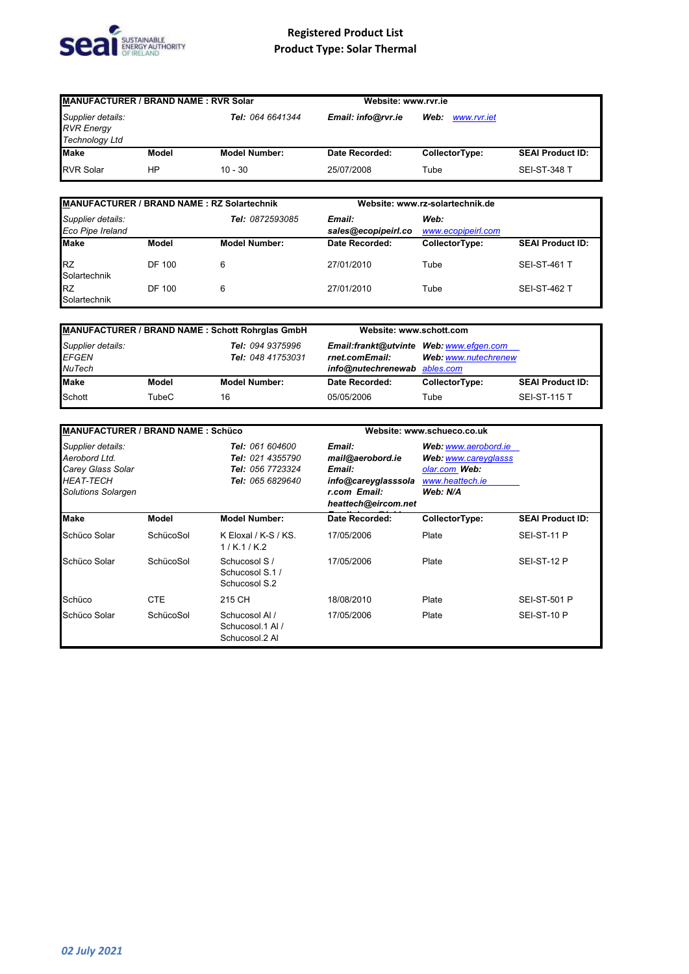

| <b>MANUFACTURER / BRAND NAME: RVR Solar</b><br>Supplier details:<br>Tel: 064 6641344<br><b>RVR Energy</b><br><b>Technology Ltd</b> |       | Website: www.rvr.ie                       |                |                |                         |
|------------------------------------------------------------------------------------------------------------------------------------|-------|-------------------------------------------|----------------|----------------|-------------------------|
|                                                                                                                                    |       | Web:<br>Email: info@rvr.ie<br>www.rvr.iet |                |                |                         |
| Make                                                                                                                               | Model | <b>Model Number:</b>                      | Date Recorded: | CollectorType: | <b>SEAI Product ID:</b> |
| <b>RVR Solar</b>                                                                                                                   | HP    | $10 - 30$                                 | 25/07/2008     | Tube           | <b>SEI-ST-348 T</b>     |

| <b>MANUFACTURER / BRAND NAME: RZ Solartechnik</b> |        |                      |                               | Website: www.rz-solartechnik.de |                         |  |
|---------------------------------------------------|--------|----------------------|-------------------------------|---------------------------------|-------------------------|--|
| Supplier details:<br>Eco Pipe Ireland             |        | Tel: 0872593085      | Email:<br>sales@ecopipeirl.co | Web:<br>www.ecopipeirl.com      |                         |  |
| <b>Make</b>                                       | Model  | <b>Model Number:</b> | Date Recorded:                | CollectorType:                  | <b>SEAI Product ID:</b> |  |
| <b>RZ</b><br>Solartechnik                         | DF 100 | 6                    | 27/01/2010                    | Tube                            | <b>SEI-ST-461 T</b>     |  |
| <b>RZ</b><br>Solartechnik                         | DF 100 | 6                    | 27/01/2010                    | Tube                            | <b>SEI-ST-462 T</b>     |  |

| MANUFACTURER / BRAND NAME: Schott Rohrglas GmbH    |       |                                       | Website: www.schott.com                                                                   |                      |                         |
|----------------------------------------------------|-------|---------------------------------------|-------------------------------------------------------------------------------------------|----------------------|-------------------------|
| Supplier details:<br><b>EFGEN</b><br><b>NuTech</b> |       | Tel: 094 9375996<br>Tel: 048 41753031 | Email:frankt@utvinte Web: www.efgen.com<br>rnet.comEmail:<br>info@nutechrenewab ables.com | Web: www.nutechrenew |                         |
| <b>Make</b>                                        | Model | <b>Model Number:</b>                  | Date Recorded:                                                                            | CollectorType:       | <b>SEAI Product ID:</b> |
| Schott                                             | TubeC | 16                                    | 05/05/2006                                                                                | Tube                 | <b>SEI-ST-115 T</b>     |

| <b>MANUFACTURER / BRAND NAME: Schüco</b>                                                          |            |                                                                                    |                                                                                                    | Website: www.schueco.co.uk                                                                   |                         |
|---------------------------------------------------------------------------------------------------|------------|------------------------------------------------------------------------------------|----------------------------------------------------------------------------------------------------|----------------------------------------------------------------------------------------------|-------------------------|
| Supplier details:<br>Aerobord Ltd.<br>Carey Glass Solar<br><b>HEAT-TECH</b><br>Solutions Solargen |            | <b>Tel: 061 604600</b><br>Tel: 021 4355790<br>Tel: 056 7723324<br>Tel: 065 6829640 | Email:<br>mail@aerobord.ie<br>Email:<br>info@careyglasssola<br>r.com Email:<br>heattech@eircom.net | Web: www.aerobord.ie<br>Web: www.careyglasss<br>olar.com Web:<br>www.heattech.ie<br>Web: N/A |                         |
| <b>Make</b>                                                                                       | Model      | <b>Model Number:</b>                                                               | Date Recorded:                                                                                     | CollectorType:                                                                               | <b>SEAI Product ID:</b> |
| Schüco Solar                                                                                      | SchücoSol  | K Eloxal / K-S / KS.<br>1/K.1/K.2                                                  | 17/05/2006                                                                                         | Plate                                                                                        | SEI-ST-11 P             |
| Schüco Solar                                                                                      | SchücoSol  | Schucosol S /<br>Schucosol S.1 /<br>Schucosol S.2                                  | 17/05/2006                                                                                         | Plate                                                                                        | SEI-ST-12 P             |
| Schüco                                                                                            | <b>CTE</b> | 215 CH                                                                             | 18/08/2010                                                                                         | Plate                                                                                        | <b>SEI-ST-501 P</b>     |
| Schüco Solar                                                                                      | SchücoSol  | Schucosol Al /<br>Schucosol.1 Al /<br>Schucosol.2 Al                               | 17/05/2006                                                                                         | Plate                                                                                        | SEI-ST-10 P             |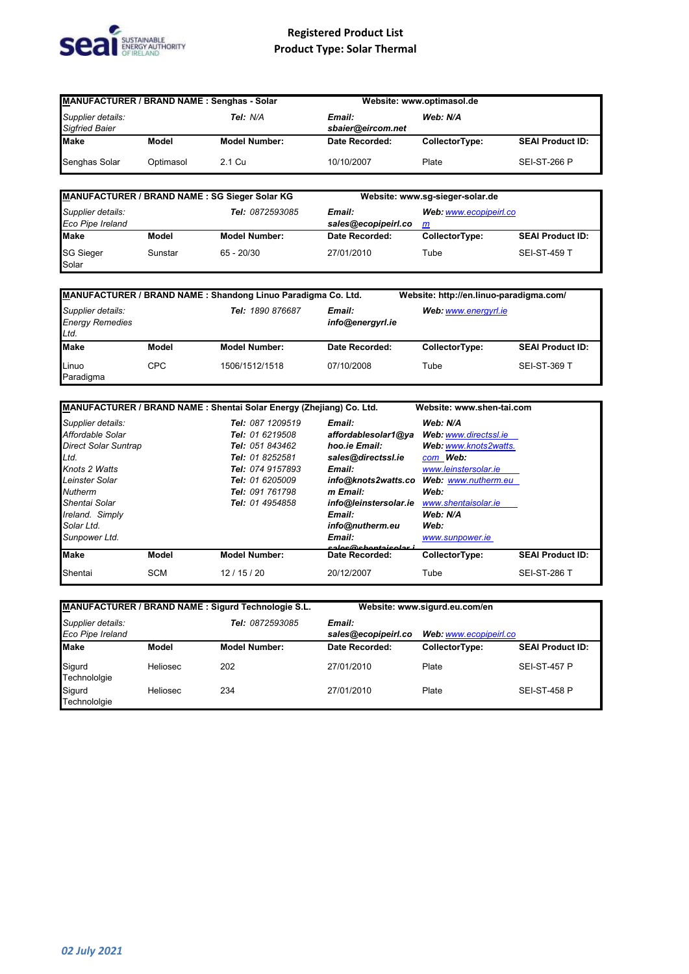

| MANUFACTURER / BRAND NAME: Senghas - Solar             |           |                                         | Website: www.optimasol.de |                |                         |
|--------------------------------------------------------|-----------|-----------------------------------------|---------------------------|----------------|-------------------------|
| Supplier details:<br>Tel: N/A<br><b>Sigfried Baier</b> |           | Web: N/A<br>Email:<br>sbaier@eircom.net |                           |                |                         |
| <b>Make</b>                                            | Model     | <b>Model Number:</b>                    | Date Recorded:            | CollectorType: | <b>SEAI Product ID:</b> |
| Senghas Solar                                          | Optimasol | 2.1 Cu                                  | 10/10/2007                | Plate          | <b>SEI-ST-266 P</b>     |

| MANUFACTURER / BRAND NAME: SG Sieger Solar KG |         |                        | Website: www.sg-sieger-solar.de |                             |                         |
|-----------------------------------------------|---------|------------------------|---------------------------------|-----------------------------|-------------------------|
| Supplier details:<br>Eco Pipe Ireland         |         | <b>Tel: 0872593085</b> | Email:<br>sales@ecopipeirl.co   | Web: www.ecopipeirl.co<br>m |                         |
| <b>Make</b>                                   | Model   | <b>Model Number:</b>   | Date Recorded:                  | CollectorType:              | <b>SEAI Product ID:</b> |
| <b>SG Sieger</b><br>Solar                     | Sunstar | $65 - 20/30$           | 27/01/2010                      | Tube                        | <b>SEI-ST-459 T</b>     |

|                                                     |       | MANUFACTURER / BRAND NAME: Shandong Linuo Paradigma Co. Ltd. |                            | Website: http://en.linuo-paradigma.com/ |                         |
|-----------------------------------------------------|-------|--------------------------------------------------------------|----------------------------|-----------------------------------------|-------------------------|
| Supplier details:<br><b>Energy Remedies</b><br>Ltd. |       | Tel: 1890 876687                                             | Email:<br>info@energyrl.ie | Web: www.energyrl.ie                    |                         |
| <b>Make</b>                                         | Model | <b>Model Number:</b>                                         | Date Recorded:             | CollectorType:                          | <b>SEAI Product ID:</b> |
| Linuo<br>Paradigma                                  | CPC   | 1506/1512/1518                                               | 07/10/2008                 | Tube                                    | <b>SEI-ST-369 T</b>     |

| MANUFACTURER / BRAND NAME: Shentai Solar Energy (Zhejiang) Co. Ltd. |                      |                                        | Website: www.shen-tai.com |                         |
|---------------------------------------------------------------------|----------------------|----------------------------------------|---------------------------|-------------------------|
| Supplier details:                                                   | Tel: 087 1209519     | Email:                                 | Web: N/A                  |                         |
| Affordable Solar                                                    | Tel: 01 6219508      | affordablesolar1@ya                    | Web: www.directssl.ie     |                         |
| Direct Solar Suntrap                                                | Tel: 051 843462      | hoo.ie Email:                          | Web: www.knots2watts.     |                         |
| Ltd.                                                                | Tel: 01 8252581      | sales@directssl.ie                     | com Web:                  |                         |
| Knots 2 Watts                                                       | Tel: 074 9157893     | Email:                                 | www.leinstersolar.ie      |                         |
| Leinster Solar                                                      | Tel: 01 6205009      | info@knots2watts.co                    | Web: www.nutherm.eu       |                         |
| <b>Nutherm</b>                                                      | Tel: 091 761798      | m Email:                               | Web:                      |                         |
| Shentai Solar                                                       | Tel: 01 4954858      | info@leinstersolar.ie                  | www.shentaisolar.ie       |                         |
| Ireland. Simply                                                     |                      | Email:                                 | Web: N/A                  |                         |
| Solar Ltd.                                                          |                      | info@nutherm.eu                        | Web:                      |                         |
| Sunpower Ltd.                                                       |                      | Email:                                 | www.sunpower.ie           |                         |
| <b>Make</b><br>Model                                                | <b>Model Number:</b> | caloc@chontaicolar i<br>Date Recorded: | CollectorType:            | <b>SEAI Product ID:</b> |
| <b>SCM</b><br>Shentai                                               | 12/15/20             | 20/12/2007                             | Tube                      | <b>SEI-ST-286 T</b>     |

| <b>MANUFACTURER / BRAND NAME: Sigurd Technologie S.L.</b> |                 |                        | Website: www.sigurd.eu.com/en |                        |                         |
|-----------------------------------------------------------|-----------------|------------------------|-------------------------------|------------------------|-------------------------|
| Supplier details:<br><b>Eco Pipe Ireland</b>              |                 | <b>Tel: 0872593085</b> | Email:<br>sales@ecopipeirl.co | Web: www.ecopipeirl.co |                         |
| <b>Make</b>                                               | Model           | <b>Model Number:</b>   | Date Recorded:                | CollectorType:         | <b>SEAI Product ID:</b> |
| Sigurd<br>Technololgie                                    | <b>Heliosec</b> | 202                    | 27/01/2010                    | Plate                  | <b>SEI-ST-457 P</b>     |
| Sigurd<br>Technololgie                                    | <b>Heliosec</b> | 234                    | 27/01/2010                    | Plate                  | <b>SEI-ST-458 P</b>     |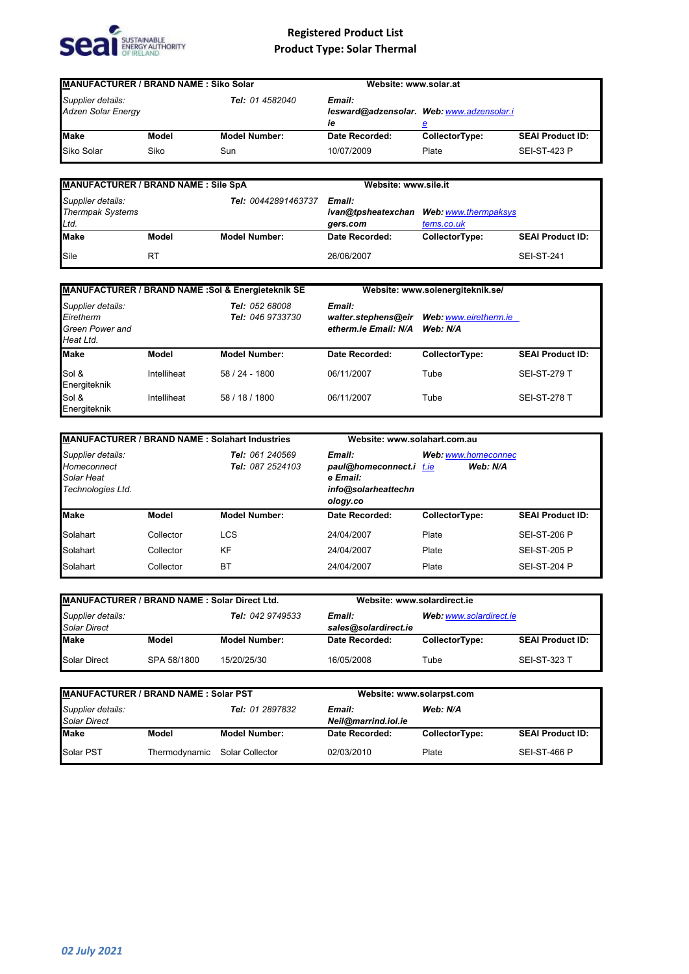

| <b>MANUFACTURER / BRAND NAME: Siko Solar</b>   |       |                      | Website: www.solar.at |                                                |                         |
|------------------------------------------------|-------|----------------------|-----------------------|------------------------------------------------|-------------------------|
| Supplier details:<br><b>Adzen Solar Energy</b> |       | Tel: 01 4582040      | Email:<br>ie          | lesward@adzensolar. Web: www.adzensolar.i<br>е |                         |
| <b>Make</b>                                    | Model | <b>Model Number:</b> | Date Recorded:        | CollectorType:                                 | <b>SEAI Product ID:</b> |
| Siko Solar                                     | Siko  | Sun                  | 10/07/2009            | Plate                                          | <b>SEI-ST-423 P</b>     |

| <b>MANUFACTURER / BRAND NAME : Sile SpA</b>          |       |                      | Website: www.sile.it |                                                       |                         |
|------------------------------------------------------|-------|----------------------|----------------------|-------------------------------------------------------|-------------------------|
| Supplier details:<br><b>Thermpak Systems</b><br>Ltd. |       | Tel: 00442891463737  | Email:<br>gers.com   | ivan@tpsheatexchan Web: www.thermpaksys<br>tems.co.uk |                         |
| <b>Make</b>                                          | Model | <b>Model Number:</b> | Date Recorded:       | CollectorType:                                        | <b>SEAI Product ID:</b> |
| Sile                                                 | R1    |                      | 26/06/2007           |                                                       | SEI-ST-241              |

| MANUFACTURER / BRAND NAME : Sol & Energieteknik SE                    |             |                                           | Website: www.solenergiteknik.se/                      |                                   |                         |
|-----------------------------------------------------------------------|-------------|-------------------------------------------|-------------------------------------------------------|-----------------------------------|-------------------------|
| Supplier details:<br>Eiretherm<br><b>Green Power and</b><br>Heat Ltd. |             | <b>Tel: 052 68008</b><br>Tel: 046 9733730 | Email:<br>walter.stephens@eir<br>etherm.ie Email: N/A | Web: www.eiretherm.ie<br>Web: N/A |                         |
| <b>Make</b>                                                           | Model       | <b>Model Number:</b>                      | <b>Date Recorded:</b>                                 | CollectorType:                    | <b>SEAI Product ID:</b> |
| Sol &<br>Energiteknik                                                 | Intelliheat | 58 / 24 - 1800                            | 06/11/2007                                            | Tube                              | <b>SEI-ST-279 T</b>     |
| Sol &<br>Energiteknik                                                 | Intelliheat | 58 / 18 / 1800                            | 06/11/2007                                            | Tube                              | <b>SEI-ST-278 T</b>     |

|                                                                     |           | <b>MANUFACTURER / BRAND NAME : Solahart Industries</b> | Website: www.solahart.com.au                                                     |                                 |                         |
|---------------------------------------------------------------------|-----------|--------------------------------------------------------|----------------------------------------------------------------------------------|---------------------------------|-------------------------|
| Supplier details:<br>Homeconnect<br>Solar Heat<br>Technologies Ltd. |           | Tel: 061 240569<br>Tel: 087 2524103                    | Email:<br>paul@homeconnect.i t.ie<br>e Email:<br>info@solarheattechn<br>ology.co | Web: www.homeconnec<br>Web: N/A |                         |
| <b>Make</b>                                                         | Model     | <b>Model Number:</b>                                   | Date Recorded:                                                                   | CollectorType:                  | <b>SEAI Product ID:</b> |
| Solahart                                                            | Collector | <b>LCS</b>                                             | 24/04/2007                                                                       | Plate                           | <b>SEI-ST-206 P</b>     |
| Solahart                                                            | Collector | <b>KF</b>                                              | 24/04/2007                                                                       | Plate                           | <b>SEI-ST-205 P</b>     |
| Solahart                                                            | Collector | BT                                                     | 24/04/2007                                                                       | Plate                           | <b>SEI-ST-204 P</b>     |

| MANUFACTURER / BRAND NAME: Solar Direct Ltd.                 |             |                                                           | Website: www.solardirect.ie |                |                         |
|--------------------------------------------------------------|-------------|-----------------------------------------------------------|-----------------------------|----------------|-------------------------|
| Supplier details:<br>Tel: 042 9749533<br><b>Solar Direct</b> |             | Web: www.solardirect.ie<br>Email:<br>sales@solardirect.ie |                             |                |                         |
| <b>Make</b>                                                  | Model       | <b>Model Number:</b>                                      | Date Recorded:              | CollectorType: | <b>SEAI Product ID:</b> |
| <b>Solar Direct</b>                                          | SPA 58/1800 | 15/20/25/30                                               | 16/05/2008                  | Tube           | <b>SEI-ST-323 T</b>     |

| MANUFACTURER / BRAND NAME : Solar PST                              |               |                               | Website: www.solarpst.com |                |                         |
|--------------------------------------------------------------------|---------------|-------------------------------|---------------------------|----------------|-------------------------|
| Supplier details:<br><b>Tel: 01 2897832</b><br><b>Solar Direct</b> |               | Email:<br>Neil@marrind.iol.ie | Web: N/A                  |                |                         |
| <b>Make</b>                                                        | Model         | <b>Model Number:</b>          | Date Recorded:            | CollectorType: | <b>SEAI Product ID:</b> |
| Solar PST                                                          | Thermodynamic | Solar Collector               | 02/03/2010                | Plate          | <b>SEI-ST-466 P</b>     |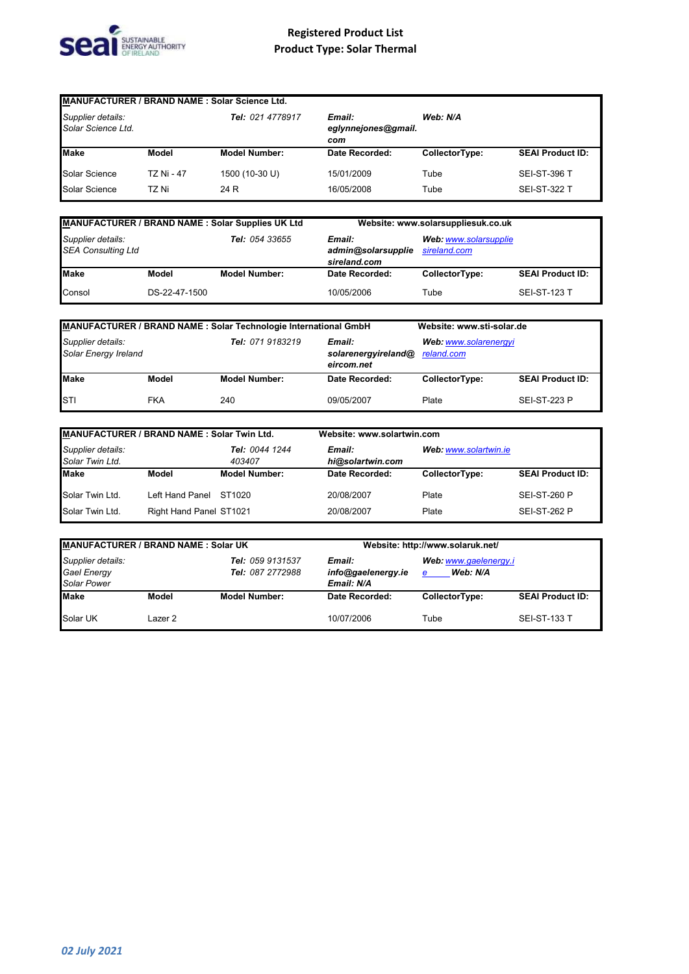

| MANUFACTURER / BRAND NAME : Solar Science Ltd. |            |                                                          |                |                |                         |  |  |  |  |
|------------------------------------------------|------------|----------------------------------------------------------|----------------|----------------|-------------------------|--|--|--|--|
| Supplier details:<br>Solar Science Ltd.        |            | Tel: 021 4778917<br>Email:<br>eglynnejones@gmail.<br>com |                | Web: N/A       |                         |  |  |  |  |
| <b>Make</b>                                    | Model      | <b>Model Number:</b>                                     | Date Recorded: | CollectorType: | <b>SEAI Product ID:</b> |  |  |  |  |
| Solar Science                                  | TZ Ni - 47 | 1500 (10-30 U)                                           | 15/01/2009     | Tube           | <b>SEI-ST-396 T</b>     |  |  |  |  |
| Solar Science                                  | TZ Ni      | 24 R                                                     | 16/05/2008     | Tube           | <b>SEI-ST-322 T</b>     |  |  |  |  |

| MANUFACTURER / BRAND NAME : Solar Supplies UK Ltd                |               | Website: www.solarsuppliesuk.co.uk           |                                       |                |                         |
|------------------------------------------------------------------|---------------|----------------------------------------------|---------------------------------------|----------------|-------------------------|
| Supplier details:<br>Tel: 054 33655<br><b>SEA Consulting Ltd</b> |               | Email:<br>admin@solarsupplie<br>sireland.com | Web: www.solarsupplie<br>sireland.com |                |                         |
| <b>Make</b>                                                      | Model         | <b>Model Number:</b>                         | Date Recorded:                        | CollectorType: | <b>SEAI Product ID:</b> |
| Consol                                                           | DS-22-47-1500 |                                              | 10/05/2006                            | Tube           | <b>SEI-ST-123 T</b>     |

| MANUFACTURER / BRAND NAME : Solar Technologie International GmbH |            |                      | Website: www.sti-solar.de                   |                                     |                         |
|------------------------------------------------------------------|------------|----------------------|---------------------------------------------|-------------------------------------|-------------------------|
| Supplier details:<br>Solar Energy Ireland                        |            | Tel: 071 9183219     | Email:<br>solarenergyireland@<br>eircom.net | Web: www.solarenergyi<br>reland.com |                         |
| <b>Make</b>                                                      | Model      | <b>Model Number:</b> | Date Recorded:                              | CollectorType:                      | <b>SEAI Product ID:</b> |
| <b>STI</b>                                                       | <b>FKA</b> | 240                  | 09/05/2007                                  | Plate                               | <b>SEI-ST-223 P</b>     |

| MANUFACTURER / BRAND NAME: Solar Twin Ltd. |                         |                          | Website: www.solartwin.com |                       |                         |
|--------------------------------------------|-------------------------|--------------------------|----------------------------|-----------------------|-------------------------|
| Supplier details:<br>Solar Twin Ltd.       |                         | Tel: 0044 1244<br>403407 | Email:<br>hi@solartwin.com | Web: www.solartwin.ie |                         |
| <b>Make</b>                                | Model                   | <b>Model Number:</b>     | Date Recorded:             | CollectorType:        | <b>SEAI Product ID:</b> |
| Solar Twin Ltd.                            | Left Hand Panel         | ST1020                   | 20/08/2007                 | Plate                 | <b>SEI-ST-260 P</b>     |
| Solar Twin Ltd.                            | Right Hand Panel ST1021 |                          | 20/08/2007                 | Plate                 | <b>SEI-ST-262 P</b>     |

| MANUFACTURER / BRAND NAME: Solar UK                                                                   |         |                                            | Website: http://www.solaruk.net/       |                |                         |
|-------------------------------------------------------------------------------------------------------|---------|--------------------------------------------|----------------------------------------|----------------|-------------------------|
| Supplier details:<br>Tel: 059 9131537<br>Gael Energy<br><b>Tel: 087 2772988</b><br><b>Solar Power</b> |         | Email:<br>info@gaelenergy.ie<br>Email: N/A | Web: www.gaelenergy.i<br>Web: N/A<br>e |                |                         |
| <b>Make</b>                                                                                           | Model   | <b>Model Number:</b>                       | Date Recorded:                         | CollectorType: | <b>SEAI Product ID:</b> |
| Solar UK                                                                                              | Lazer 2 |                                            | 10/07/2006                             | Tube           | <b>SEI-ST-133 T</b>     |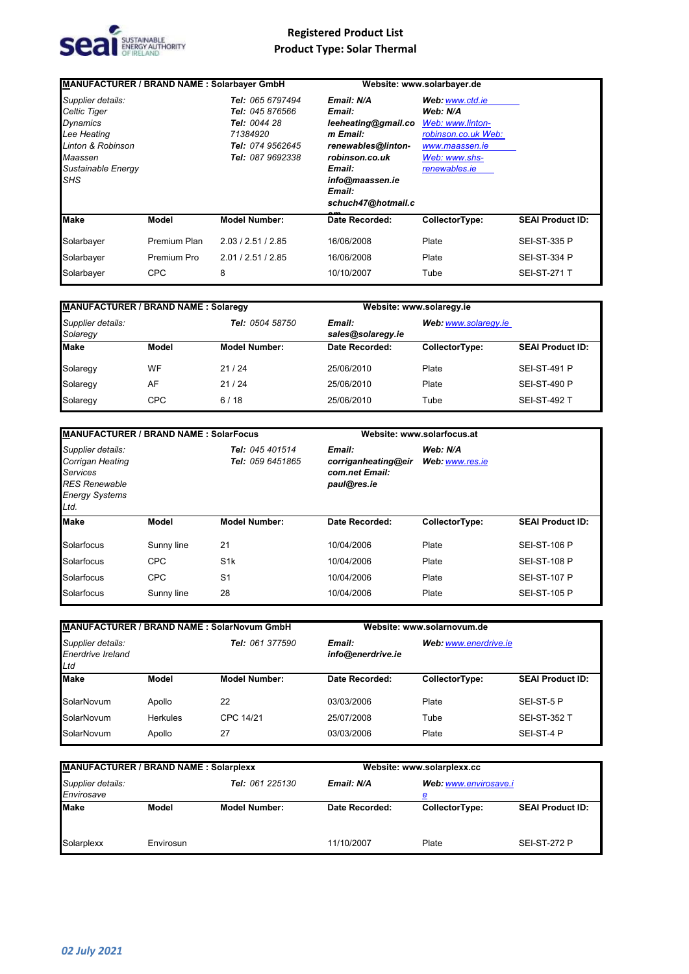

| MANUFACTURER / BRAND NAME: Solarbayer GmbH                                                                                              |              |                                                                                                         |                                                                                                                                                              | Website: www.solarbayer.de                                                                                                 |                         |
|-----------------------------------------------------------------------------------------------------------------------------------------|--------------|---------------------------------------------------------------------------------------------------------|--------------------------------------------------------------------------------------------------------------------------------------------------------------|----------------------------------------------------------------------------------------------------------------------------|-------------------------|
| Supplier details:<br><b>Celtic Tiger</b><br>Dynamics<br>Lee Heating<br>Linton & Robinson<br>Maassen<br>Sustainable Energy<br><b>SHS</b> |              | Tel: 065 6797494<br>Tel: 045 876566<br>Tel: 0044 28<br>71384920<br>Tel: 074 9562645<br>Tel: 087 9692338 | Email: N/A<br>Email:<br>leeheating@gmail.co<br>m Email:<br>renewables@linton-<br>robinson.co.uk<br>Email:<br>info@maassen.ie<br>Email:<br>schuch47@hotmail.c | Web: www.ctd.ie<br>Web: N/A<br>Web: www.linton-<br>robinson.co.uk Web:<br>www.maassen.ie<br>Web: www.shs-<br>renewables.ie |                         |
| <b>Make</b>                                                                                                                             | Model        | <b>Model Number:</b>                                                                                    | Date Recorded:                                                                                                                                               | CollectorType:                                                                                                             | <b>SEAI Product ID:</b> |
| Solarbayer                                                                                                                              | Premium Plan | 2.03 / 2.51 / 2.85                                                                                      | 16/06/2008                                                                                                                                                   | Plate                                                                                                                      | <b>SEI-ST-335 P</b>     |
| Solarbayer                                                                                                                              | Premium Pro  | 2.01 / 2.51 / 2.85                                                                                      | 16/06/2008                                                                                                                                                   | Plate                                                                                                                      | <b>SEI-ST-334 P</b>     |
| Solarbayer                                                                                                                              | <b>CPC</b>   | 8                                                                                                       | 10/10/2007                                                                                                                                                   | Tube                                                                                                                       | <b>SEI-ST-271 T</b>     |

| <b>MANUFACTURER / BRAND NAME: Solaregy</b> |       |                        |                             | Website: www.solaregy.ie |                         |  |
|--------------------------------------------|-------|------------------------|-----------------------------|--------------------------|-------------------------|--|
| Supplier details:<br>Solaregy              |       | <b>Tel: 0504 58750</b> | Email:<br>sales@solaregy.ie | Web: www.solaregy.ie     |                         |  |
| <b>Make</b>                                | Model | <b>Model Number:</b>   | Date Recorded:              | CollectorType:           | <b>SEAI Product ID:</b> |  |
| Solaregy                                   | WF    | 21/24                  | 25/06/2010                  | Plate                    | <b>SEI-ST-491 P</b>     |  |
| Solaregy                                   | AF    | 21/24                  | 25/06/2010                  | Plate                    | <b>SEI-ST-490 P</b>     |  |
| Solaregy                                   | CPC   | 6/18                   | 25/06/2010                  | Tube                     | <b>SEI-ST-492 T</b>     |  |

| <b>MANUFACTURER / BRAND NAME: SolarFocus</b>                                                                      |              |                                     |                                                                | Website: www.solarfocus.at  |                         |  |
|-------------------------------------------------------------------------------------------------------------------|--------------|-------------------------------------|----------------------------------------------------------------|-----------------------------|-------------------------|--|
| Supplier details:<br>Corrigan Heating<br><b>Services</b><br><b>RES Renewable</b><br><b>Energy Systems</b><br>Ltd. |              | Tel: 045 401514<br>Tel: 059 6451865 | Email:<br>corriganheating@eir<br>com.net Email:<br>paul@res.ie | Web: N/A<br>Web: www.res.ie |                         |  |
| <b>Make</b>                                                                                                       | <b>Model</b> | <b>Model Number:</b>                | Date Recorded:                                                 | CollectorType:              | <b>SEAI Product ID:</b> |  |
| Solarfocus                                                                                                        | Sunny line   | 21                                  | 10/04/2006                                                     | Plate                       | <b>SEI-ST-106 P</b>     |  |
| Solarfocus                                                                                                        | <b>CPC</b>   | S <sub>1</sub> k                    | 10/04/2006                                                     | Plate                       | <b>SEI-ST-108 P</b>     |  |
| Solarfocus                                                                                                        | <b>CPC</b>   | S <sub>1</sub>                      | 10/04/2006                                                     | Plate                       | <b>SEI-ST-107 P</b>     |  |
| Solarfocus                                                                                                        | Sunny line   | 28                                  | 10/04/2006                                                     | Plate                       | <b>SEI-ST-105 P</b>     |  |

| <b>MANUFACTURER / BRAND NAME: SolarNovum GmbH</b>    |                 |                        |                             | Website: www.solarnovum.de |                         |  |
|------------------------------------------------------|-----------------|------------------------|-----------------------------|----------------------------|-------------------------|--|
| Supplier details:<br><b>Enerdrive Ireland</b><br>Ltd |                 | <b>Tel: 061 377590</b> | Email:<br>info@enerdrive.ie | Web: www.enerdrive.ie      |                         |  |
| <b>Make</b>                                          | Model           | <b>Model Number:</b>   | Date Recorded:              | CollectorType:             | <b>SEAI Product ID:</b> |  |
| SolarNovum                                           | Apollo          | 22                     | 03/03/2006                  | Plate                      | SEI-ST-5 P              |  |
| SolarNovum                                           | <b>Herkules</b> | CPC 14/21              | 25/07/2008                  | Tube                       | <b>SEI-ST-352 T</b>     |  |
| SolarNovum                                           | Apollo          | 27                     | 03/03/2006                  | Plate                      | SEI-ST-4 P              |  |

| <b>MANUFACTURER / BRAND NAME: Solarplexx</b>       |           |                      | Website: www.solarplexx.cc |                |                         |
|----------------------------------------------------|-----------|----------------------|----------------------------|----------------|-------------------------|
| Tel: 061 225130<br>Supplier details:<br>Envirosave |           | Email: N/A           | Web: www.envirosave.i<br>ⅇ |                |                         |
| <b>Make</b>                                        | Model     | <b>Model Number:</b> | Date Recorded:             | CollectorType: | <b>SEAI Product ID:</b> |
| Solarplexx                                         | Envirosun |                      | 11/10/2007                 | Plate          | <b>SEI-ST-272 P</b>     |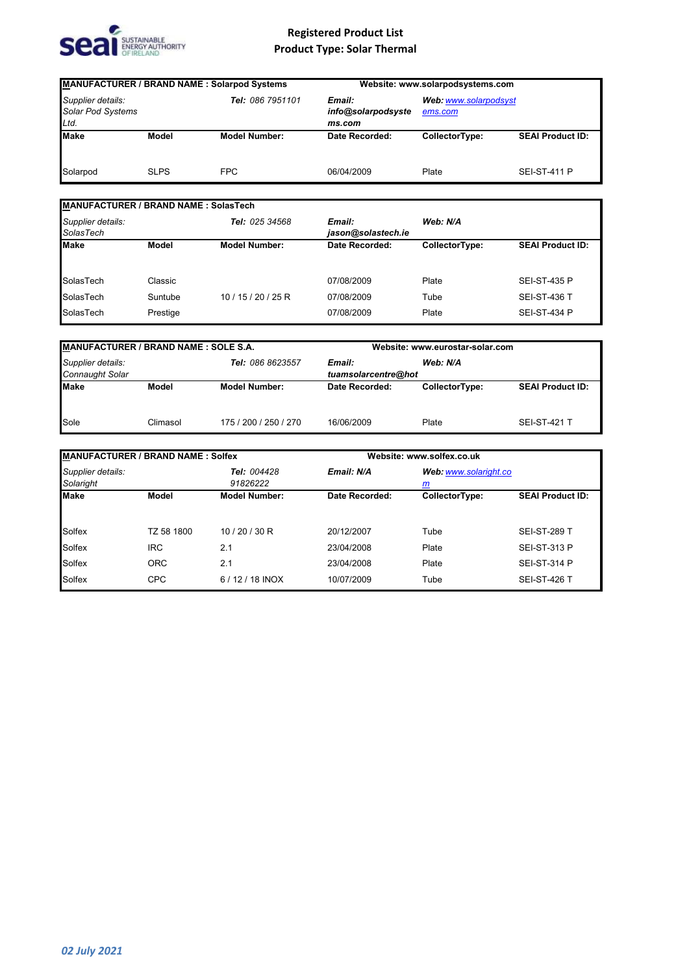

| <b>MANUFACTURER / BRAND NAME : Solarpod Systems</b> |             |                                                            | Website: www.solarpodsystems.com |                                  |                         |
|-----------------------------------------------------|-------------|------------------------------------------------------------|----------------------------------|----------------------------------|-------------------------|
| Supplier details:<br>Solar Pod Systems<br>Ltd.      |             | Tel: 086 7951101<br>Email:<br>info@solarpodsyste<br>ms.com |                                  | Web: www.solarpodsyst<br>ems.com |                         |
| <b>Make</b>                                         | Model       | <b>Model Number:</b>                                       | Date Recorded:                   | CollectorType:                   | <b>SEAI Product ID:</b> |
| Solarpod                                            | <b>SLPS</b> | <b>FPC</b>                                                 | 06/04/2009                       | Plate                            | <b>SEI-ST-411 P</b>     |

#### *Supplier details: SolasTech Tel: 025 34568* **Make Model CollectorType:** SolasTech Classic Classic Classic Classic Classic Classic Classic Classic Classic Classic Classic Classic Classic Classic Classic Classic Classic Classic Classic Classic Classic Classic Classic Classic Classic Classic Clas SolasTech Suntube 10 / 15 / 20 / 25 R 07/08/2009 Tube SEI-ST-436 T SolasTech Prestige **Prestige Reserve Plate** 07/08/2009 Plate SEI-ST-434 P **MANUFACTURER / BRAND NAME : SolasTech** *Email: jason@solastech.ie Web: N/A* **SEAI Product ID:** SEI-ST-435 P

| <b>MANUFACTURER / BRAND NAME: SOLE S.A.</b> |          |                       | Website: www.eurostar-solar.com |                |                         |
|---------------------------------------------|----------|-----------------------|---------------------------------|----------------|-------------------------|
| Supplier details:<br><b>Connaught Solar</b> |          | Tel: 086 8623557      | Email:<br>tuamsolarcentre@hot   | Web: N/A       |                         |
| <b>Make</b>                                 | Model    | <b>Model Number:</b>  | Date Recorded:                  | CollectorType: | <b>SEAI Product ID:</b> |
| Sole                                        | Climasol | 175 / 200 / 250 / 270 | 16/06/2009                      | Plate          | <b>SEI-ST-421 T</b>     |

| <b>MANUFACTURER / BRAND NAME: Solfex</b> |            |                         |                | Website: www.solfex.co.uk                |                         |  |
|------------------------------------------|------------|-------------------------|----------------|------------------------------------------|-------------------------|--|
| Supplier details:<br>Solaright           |            | Tel: 004428<br>91826222 | Email: N/A     | Web: www.solaright.co<br>$\underline{m}$ |                         |  |
| <b>Make</b>                              | Model      | <b>Model Number:</b>    | Date Recorded: | CollectorType:                           | <b>SEAI Product ID:</b> |  |
| Solfex                                   | TZ 58 1800 | 10/20/30 R              | 20/12/2007     | Tube                                     | <b>SEI-ST-289 T</b>     |  |
| Solfex                                   | <b>IRC</b> | 2.1                     | 23/04/2008     | Plate                                    | <b>SEI-ST-313 P</b>     |  |
| Solfex                                   | <b>ORC</b> | 2.1                     | 23/04/2008     | Plate                                    | <b>SEI-ST-314 P</b>     |  |
| Solfex                                   | <b>CPC</b> | $6/12/18$ INOX          | 10/07/2009     | Tube                                     | <b>SEI-ST-426 T</b>     |  |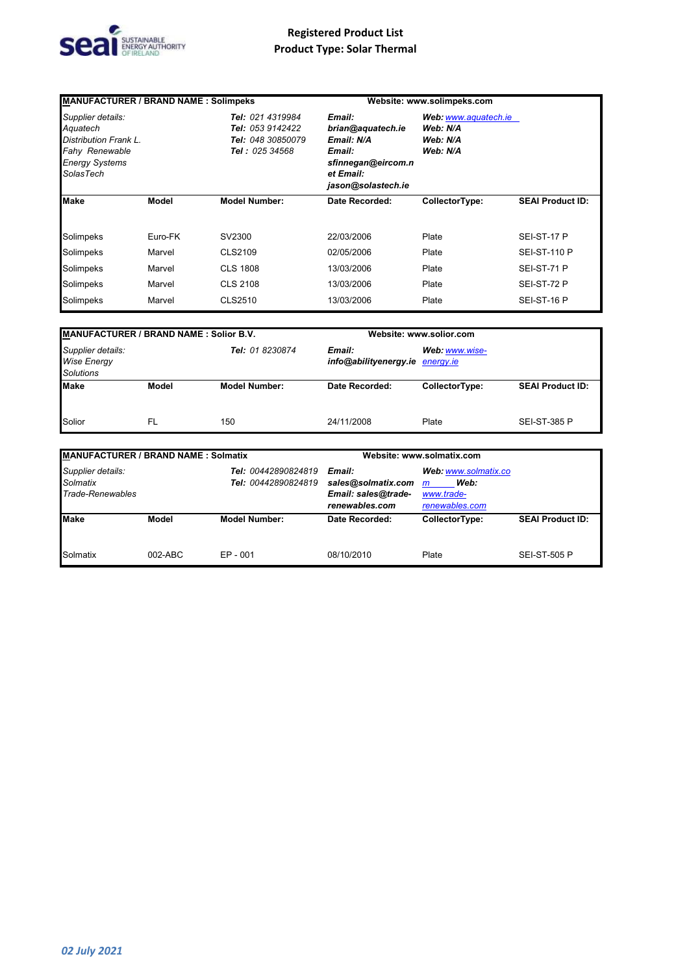

| <b>MANUFACTURER / BRAND NAME: Solimpeks</b>                                                                                  |         |                                                                                    |                                                                                                              | Website: www.solimpeks.com                               |                         |
|------------------------------------------------------------------------------------------------------------------------------|---------|------------------------------------------------------------------------------------|--------------------------------------------------------------------------------------------------------------|----------------------------------------------------------|-------------------------|
| Supplier details:<br>Aquatech<br>Distribution Frank L.<br><b>Fahy Renewable</b><br><b>Energy Systems</b><br><b>SolasTech</b> |         | Tel: 021 4319984<br>Tel: 053 9142422<br>Tel: 048 30850079<br><b>Tel: 025 34568</b> | Email:<br>brian@aquatech.ie<br>Email: N/A<br>Email:<br>sfinnegan@eircom.n<br>et Email:<br>jason@solastech.ie | Web: www.aquatech.ie<br>Web: N/A<br>Web: N/A<br>Web: N/A |                         |
| <b>Make</b>                                                                                                                  | Model   | <b>Model Number:</b>                                                               | Date Recorded:                                                                                               | CollectorType:                                           | <b>SEAI Product ID:</b> |
| Solimpeks                                                                                                                    | Euro-FK | SV2300                                                                             | 22/03/2006                                                                                                   | Plate                                                    | SEI-ST-17 P             |
| Solimpeks                                                                                                                    | Marvel  | CLS2109                                                                            | 02/05/2006                                                                                                   | Plate                                                    | <b>SEI-ST-110 P</b>     |
| Solimpeks                                                                                                                    | Marvel  | <b>CLS 1808</b>                                                                    | 13/03/2006                                                                                                   | Plate                                                    | SEI-ST-71 P             |
| Solimpeks                                                                                                                    | Marvel  | <b>CLS 2108</b>                                                                    | 13/03/2006                                                                                                   | Plate                                                    | SEI-ST-72 P             |
| Solimpeks                                                                                                                    | Marvel  | CLS2510                                                                            | 13/03/2006                                                                                                   | Plate                                                    | SEI-ST-16 P             |

| <b>MANUFACTURER / BRAND NAME: Solior B.V.</b>               |       |                      | Website: www.solior.com                   |                |                         |
|-------------------------------------------------------------|-------|----------------------|-------------------------------------------|----------------|-------------------------|
| Supplier details:<br><b>Wise Energy</b><br><b>Solutions</b> |       | Tel: 01 8230874      | Email:<br>info@abilityenergy.ie energy.ie | Web: www.wise- |                         |
| <b>Make</b>                                                 | Model | <b>Model Number:</b> | Date Recorded:                            | CollectorType: | <b>SEAI Product ID:</b> |
| Solior                                                      | -FL   | 150                  | 24/11/2008                                | Plate          | <b>SEI-ST-385 P</b>     |

| <b>MANUFACTURER / BRAND NAME: Solmatix</b>        |                                                   |                      |                                                                       | Website: www.solmatix.com                                                    |                         |  |
|---------------------------------------------------|---------------------------------------------------|----------------------|-----------------------------------------------------------------------|------------------------------------------------------------------------------|-------------------------|--|
| Supplier details:<br>Solmatix<br>Trade-Renewables | <b>Tel: 00442890824819</b><br>Tel: 00442890824819 |                      | Email:<br>sales@solmatix.com<br>Email: sales@trade-<br>renewables.com | Web: www.solmatix.co<br>Web:<br>$\mathsf{m}$<br>www.trade-<br>renewables.com |                         |  |
| <b>Make</b>                                       | Model                                             | <b>Model Number:</b> | Date Recorded:                                                        | CollectorType:                                                               | <b>SEAI Product ID:</b> |  |
| Solmatix                                          | $002-ABC$                                         | $EP - 001$           | 08/10/2010                                                            | Plate                                                                        | <b>SEI-ST-505 P</b>     |  |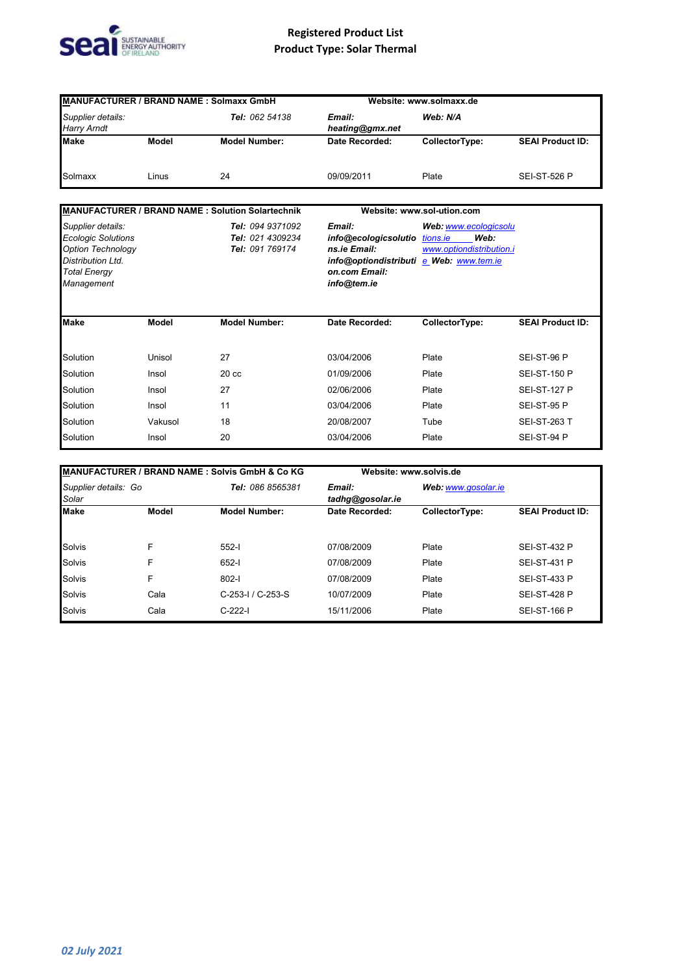

| <b>MANUFACTURER / BRAND NAME: Solmaxx GmbH</b>                                                                                       |         |                                                         |                                                                                                                           | Website: www.solmaxx.de                                               |                         |  |
|--------------------------------------------------------------------------------------------------------------------------------------|---------|---------------------------------------------------------|---------------------------------------------------------------------------------------------------------------------------|-----------------------------------------------------------------------|-------------------------|--|
| Supplier details:<br><b>Harry Arndt</b>                                                                                              |         | Tel: 062 54138                                          | Email:<br>heating@gmx.net                                                                                                 | Web: N/A                                                              |                         |  |
| <b>Make</b>                                                                                                                          | Model   | <b>Model Number:</b>                                    | Date Recorded:                                                                                                            | CollectorType:                                                        | <b>SEAI Product ID:</b> |  |
| Solmaxx                                                                                                                              | Linus   | 24                                                      | 09/09/2011                                                                                                                | Plate                                                                 | <b>SEI-ST-526 P</b>     |  |
|                                                                                                                                      |         | MANUFACTURER / BRAND NAME : Solution Solartechnik       |                                                                                                                           | Website: www.sol-ution.com                                            |                         |  |
| Supplier details:<br><b>Ecologic Solutions</b><br><b>Option Technology</b><br>Distribution Ltd.<br><b>Total Energy</b><br>Management |         | Tel: 094 9371092<br>Tel: 021 4309234<br>Tel: 091 769174 | Email:<br>info@ecologicsolutio<br>ns.ie Email:<br>info@optiondistributi e Web: www.tem.ie<br>on.com Email:<br>info@tem.ie | Web: www.ecologicsolu<br>Web:<br>tions.ie<br>www.optiondistribution.i |                         |  |
| <b>Make</b>                                                                                                                          | Model   | <b>Model Number:</b>                                    | Date Recorded:                                                                                                            | CollectorType:                                                        | <b>SEAI Product ID:</b> |  |
| Solution                                                                                                                             | Unisol  | 27                                                      | 03/04/2006                                                                                                                | Plate                                                                 | SEI-ST-96 P             |  |
| Solution                                                                                                                             | Insol   | 20 <sub>cc</sub>                                        | 01/09/2006                                                                                                                | Plate                                                                 | <b>SEI-ST-150 P</b>     |  |
| Solution                                                                                                                             | Insol   | 27                                                      | 02/06/2006                                                                                                                | Plate                                                                 | <b>SEI-ST-127 P</b>     |  |
| Solution                                                                                                                             | Insol   | 11                                                      | 03/04/2006                                                                                                                | Plate                                                                 | SEI-ST-95 P             |  |
| Solution                                                                                                                             | Vakusol | 18                                                      | 20/08/2007                                                                                                                | Tube                                                                  | <b>SEI-ST-263 T</b>     |  |
| Solution                                                                                                                             | Insol   | 20                                                      | 03/04/2006                                                                                                                | Plate                                                                 | SEI-ST-94 P             |  |

| MANUFACTURER / BRAND NAME : Solvis GmbH & Co KG |       |                      |                            | Website: www.solvis.de |                         |  |
|-------------------------------------------------|-------|----------------------|----------------------------|------------------------|-------------------------|--|
| Supplier details: Go<br>Solar                   |       | Tel: 086 8565381     | Email:<br>tadhg@gosolar.ie | Web: www.gosolar.ie    |                         |  |
| <b>Make</b>                                     | Model | <b>Model Number:</b> | Date Recorded:             | CollectorType:         | <b>SEAI Product ID:</b> |  |
| Solvis                                          | F     | $552 -$              | 07/08/2009                 | Plate                  | <b>SEI-ST-432 P</b>     |  |
| Solvis                                          | F     | $652 - 1$            | 07/08/2009                 | Plate                  | <b>SEI-ST-431 P</b>     |  |
| Solvis                                          | F     | $802 - 1$            | 07/08/2009                 | Plate                  | <b>SEI-ST-433 P</b>     |  |
| Solvis                                          | Cala  | $C-253-1/ C-253-S$   | 10/07/2009                 | Plate                  | <b>SEI-ST-428 P</b>     |  |
| Solvis                                          | Cala  | $C-222-1$            | 15/11/2006                 | Plate                  | <b>SEI-ST-166 P</b>     |  |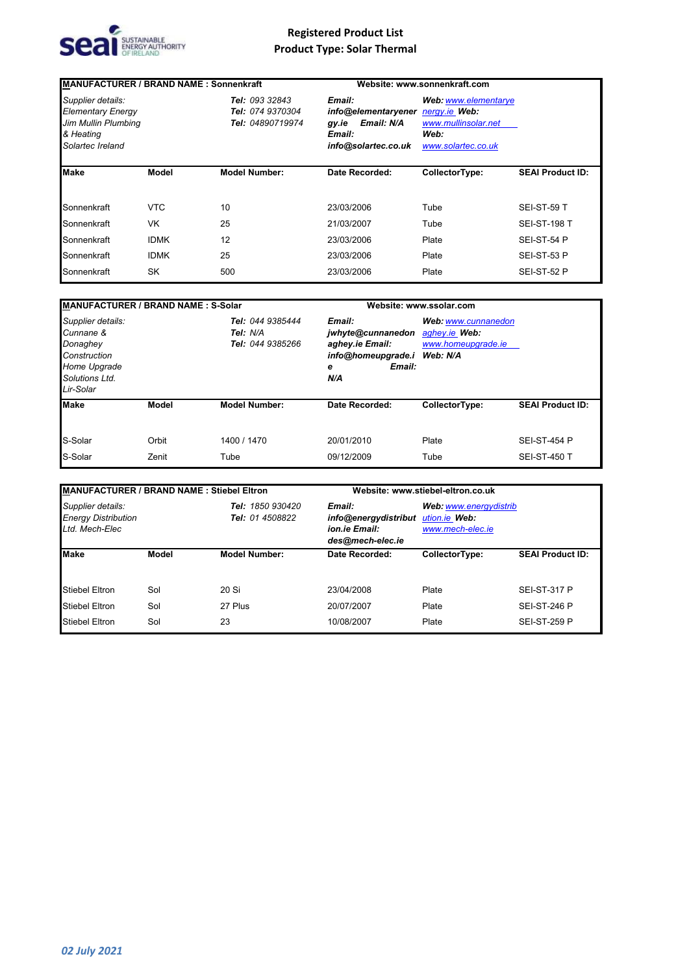

| <b>MANUFACTURER / BRAND NAME: Sonnenkraft</b>                                                         |             |                                                        |                                                                                       | Website: www.sonnenkraft.com                                                               |                         |
|-------------------------------------------------------------------------------------------------------|-------------|--------------------------------------------------------|---------------------------------------------------------------------------------------|--------------------------------------------------------------------------------------------|-------------------------|
| Supplier details:<br><b>Elementary Energy</b><br>Jim Mullin Plumbing<br>& Heating<br>Solartec Ireland |             | Tel: 093 32843<br>Tel: 074 9370304<br>Tel: 04890719974 | Email:<br>info@elementaryener<br>Email: N/A<br>gy.ie<br>Email:<br>info@solartec.co.uk | Web: www.elementarye<br>nergy.ie Web:<br>www.mullinsolar.net<br>Web:<br>www.solartec.co.uk |                         |
| <b>Make</b>                                                                                           | Model       | <b>Model Number:</b>                                   | Date Recorded:                                                                        | CollectorType:                                                                             | <b>SEAI Product ID:</b> |
|                                                                                                       |             |                                                        |                                                                                       |                                                                                            |                         |
| Sonnenkraft                                                                                           | <b>VTC</b>  | 10                                                     | 23/03/2006                                                                            | Tube                                                                                       | SEI-ST-59 T             |
| Sonnenkraft                                                                                           | <b>VK</b>   | 25                                                     | 21/03/2007                                                                            | Tube                                                                                       | <b>SEI-ST-198 T</b>     |
| Sonnenkraft                                                                                           | <b>IDMK</b> | 12                                                     | 23/03/2006                                                                            | Plate                                                                                      | SEI-ST-54 P             |
| Sonnenkraft                                                                                           | <b>IDMK</b> | 25                                                     | 23/03/2006                                                                            | Plate                                                                                      | SEI-ST-53 P             |
| Sonnenkraft                                                                                           | SK          | 500                                                    | 23/03/2006                                                                            | Plate                                                                                      | SEI-ST-52 P             |

| <b>MANUFACTURER / BRAND NAME: S-Solar</b>                                                                 |                |                                                  |                                                                                            | Website: www.ssolar.com                                                |                                            |
|-----------------------------------------------------------------------------------------------------------|----------------|--------------------------------------------------|--------------------------------------------------------------------------------------------|------------------------------------------------------------------------|--------------------------------------------|
| Supplier details:<br>Cunnane &<br>Donaghey<br>Construction<br>Home Upgrade<br>Solutions Ltd.<br>Lir-Solar |                | Tel: 044 9385444<br>Tel: N/A<br>Tel: 044 9385266 | Email:<br>jwhyte@cunnanedon<br>aghey.ie Email:<br>info@homeupgrade.i<br>Email:<br>е<br>N/A | Web: www.cunnanedon<br>aghey.ie Web:<br>www.homeupgrade.ie<br>Web: N/A |                                            |
| <b>Make</b>                                                                                               | Model          | <b>Model Number:</b>                             | Date Recorded:                                                                             | CollectorType:                                                         | <b>SEAI Product ID:</b>                    |
| S-Solar<br>S-Solar                                                                                        | Orbit<br>Zenit | 1400 / 1470<br>Tube                              | 20/01/2010<br>09/12/2009                                                                   | Plate<br>Tube                                                          | <b>SEI-ST-454 P</b><br><b>SEI-ST-450 T</b> |

| MANUFACTURER / BRAND NAME: Stiebel Eltron                         |       |                                            |                                                                     | Website: www.stiebel-eltron.co.uk                           |                         |  |
|-------------------------------------------------------------------|-------|--------------------------------------------|---------------------------------------------------------------------|-------------------------------------------------------------|-------------------------|--|
| Supplier details:<br><b>Energy Distribution</b><br>Ltd. Mech-Elec |       | <b>Tel: 1850 930420</b><br>Tel: 01 4508822 | Email:<br>info@energydistribut<br>ion ie Email:<br>des@mech-elec.ie | Web: www.energydistrib<br>ution.ie Web:<br>www.mech-elec.ie |                         |  |
| <b>Make</b>                                                       | Model | <b>Model Number:</b>                       | Date Recorded:                                                      | CollectorType:                                              | <b>SEAI Product ID:</b> |  |
| <b>Stiebel Eltron</b>                                             | Sol   | 20 Si                                      | 23/04/2008                                                          | Plate                                                       | <b>SEI-ST-317 P</b>     |  |
| <b>Stiebel Eltron</b>                                             | Sol   | 27 Plus                                    | 20/07/2007                                                          | Plate                                                       | <b>SEI-ST-246 P</b>     |  |
| <b>Stiebel Eltron</b>                                             | Sol   | 23                                         | 10/08/2007                                                          | Plate                                                       | <b>SEI-ST-259 P</b>     |  |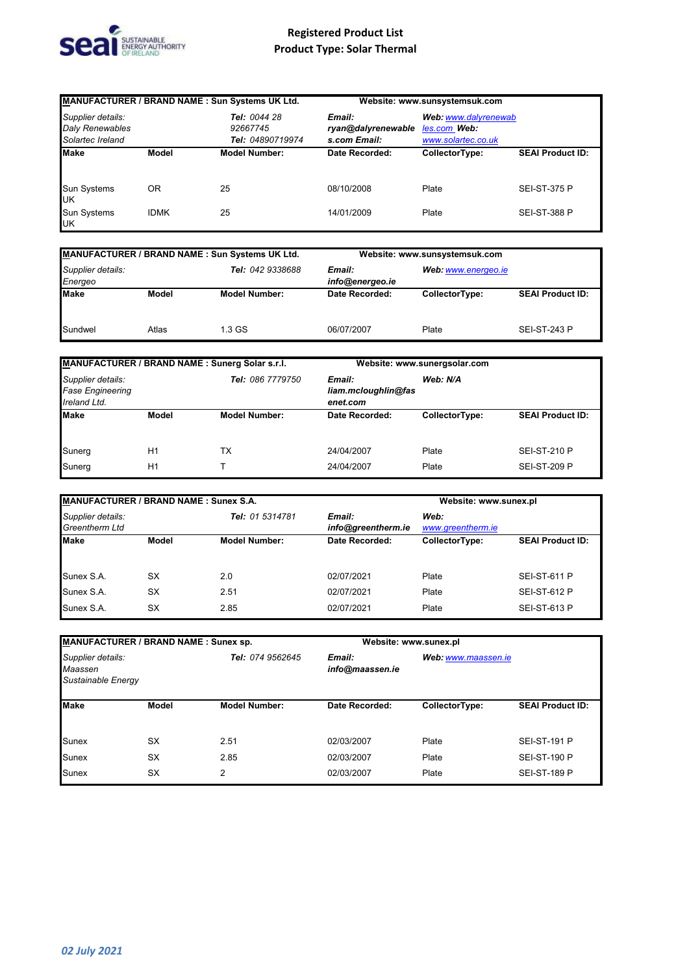

|                                                                 |             | MANUFACTURER / BRAND NAME : Sun Systems UK Ltd.                                              |                | Website: www.sunsystemsuk.com                              |                         |  |
|-----------------------------------------------------------------|-------------|----------------------------------------------------------------------------------------------|----------------|------------------------------------------------------------|-------------------------|--|
| Supplier details:<br><b>Daly Renewables</b><br>Solartec Ireland |             | Tel: 0044 28<br>Email:<br>ryan@dalyrenewable<br>92667745<br>Tel: 04890719974<br>s.com Email: |                | Web: www.dalyrenewab<br>les.com Web:<br>www.solartec.co.uk |                         |  |
| <b>Make</b>                                                     | Model       | <b>Model Number:</b>                                                                         | Date Recorded: | CollectorType:                                             | <b>SEAI Product ID:</b> |  |
| Sun Systems<br><b>UK</b>                                        | OR          | 25                                                                                           | 08/10/2008     | Plate                                                      | <b>SEI-ST-375 P</b>     |  |
| Sun Systems<br><b>UK</b>                                        | <b>IDMK</b> | 25                                                                                           | 14/01/2009     | Plate                                                      | <b>SEI-ST-388 P</b>     |  |

| MANUFACTURER / BRAND NAME : Sun Systems UK Ltd. |       |                      |                           | Website: www.sunsystemsuk.com |                         |  |
|-------------------------------------------------|-------|----------------------|---------------------------|-------------------------------|-------------------------|--|
| Supplier details:<br>Energeo                    |       | Tel: 042 9338688     | Email:<br>info@energeo.ie | Web: www.energeo.ie           |                         |  |
| <b>Make</b>                                     | Model | <b>Model Number:</b> | Date Recorded:            | CollectorType:                | <b>SEAI Product ID:</b> |  |
| Sundwel                                         | Atlas | 1.3 GS               | 06/07/2007                | Plate                         | <b>SEI-ST-243 P</b>     |  |

| MANUFACTURER / BRAND NAME: Sunerg Solar s.r.l.               |       |                      | Website: www.sunergsolar.com              |                |                         |
|--------------------------------------------------------------|-------|----------------------|-------------------------------------------|----------------|-------------------------|
| Supplier details:<br><b>Fase Engineering</b><br>Ireland Ltd. |       | Tel: 086 7779750     | Email:<br>liam.mcloughlin@fas<br>enet.com | Web: N/A       |                         |
| <b>Make</b>                                                  | Model | <b>Model Number:</b> | Date Recorded:                            | CollectorType: | <b>SEAI Product ID:</b> |
| Sunerg                                                       | H1    | тx                   | 24/04/2007                                | Plate          | <b>SEI-ST-210 P</b>     |
| Sunerg                                                       | H1    |                      | 24/04/2007                                | Plate          | <b>SEI-ST-209 P</b>     |

| MANUFACTURER / BRAND NAME: Sunex S.A.      |           |                      |                              | Website: www.sunex.pl     |                         |
|--------------------------------------------|-----------|----------------------|------------------------------|---------------------------|-------------------------|
| Supplier details:<br><b>Greentherm Ltd</b> |           | Tel: 01 5314781      | Email:<br>info@greentherm.ie | Web:<br>www.greentherm.ie |                         |
| <b>IMake</b>                               | Model     | <b>Model Number:</b> | Date Recorded:               | CollectorType:            | <b>SEAI Product ID:</b> |
| Sunex S.A.                                 | <b>SX</b> | 2.0                  | 02/07/2021                   | Plate                     | <b>SEI-ST-611 P</b>     |
| Sunex S.A.                                 | <b>SX</b> | 2.51                 | 02/07/2021                   | Plate                     | <b>SEI-ST-612 P</b>     |
| Sunex S.A.                                 | <b>SX</b> | 2.85                 | 02/07/2021                   | Plate                     | <b>SEI-ST-613 P</b>     |

| MANUFACTURER / BRAND NAME : Sunex sp.              |              |                      |                           | Website: www.sunex.pl |                         |
|----------------------------------------------------|--------------|----------------------|---------------------------|-----------------------|-------------------------|
| Supplier details:<br>Maassen<br>Sustainable Energy |              | Tel: 074 9562645     | Email:<br>info@maassen.ie | Web: www.maassen.ie   |                         |
| <b>Make</b>                                        | <b>Model</b> | <b>Model Number:</b> | Date Recorded:            | CollectorType:        | <b>SEAI Product ID:</b> |
| <b>Sunex</b>                                       | <b>SX</b>    | 2.51                 | 02/03/2007                | Plate                 | <b>SEI-ST-191 P</b>     |
| <b>Sunex</b>                                       | SX           | 2.85                 | 02/03/2007                | Plate                 | <b>SEI-ST-190 P</b>     |
| <b>Sunex</b>                                       | <b>SX</b>    | 2                    | 02/03/2007                | Plate                 | <b>SEI-ST-189 P</b>     |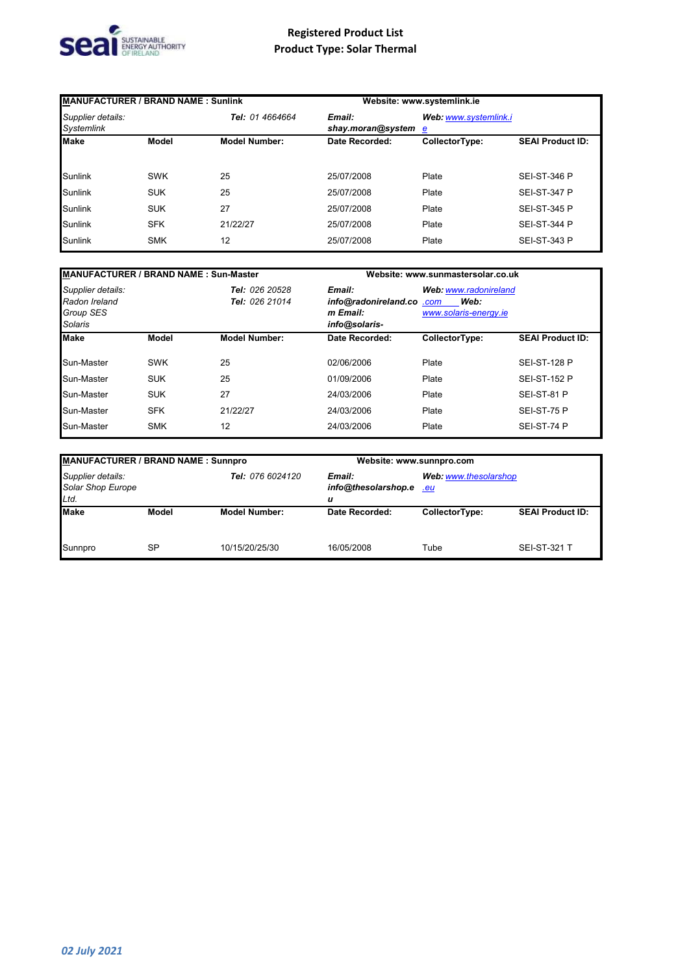

| MANUFACTURER / BRAND NAME: Sunlink     |            |                      |                             | Website: www.systemlink.ie |                         |
|----------------------------------------|------------|----------------------|-----------------------------|----------------------------|-------------------------|
| Supplier details:<br><b>Systemlink</b> |            | Tel: 01 4664664      | Email:<br>shay.moran@system | Web: www.systemlink.i<br>e |                         |
| <b>Make</b>                            | Model      | <b>Model Number:</b> | Date Recorded:              | CollectorType:             | <b>SEAI Product ID:</b> |
| <b>Sunlink</b>                         | <b>SWK</b> | 25                   | 25/07/2008                  | Plate                      | <b>SEI-ST-346 P</b>     |
| <b>Sunlink</b>                         | <b>SUK</b> | 25                   | 25/07/2008                  | Plate                      | <b>SEI-ST-347 P</b>     |
| <b>Sunlink</b>                         | <b>SUK</b> | 27                   | 25/07/2008                  | Plate                      | <b>SEI-ST-345 P</b>     |
| <b>Sunlink</b>                         | <b>SFK</b> | 21/22/27             | 25/07/2008                  | Plate                      | <b>SEI-ST-344 P</b>     |
| <b>Sunlink</b>                         | <b>SMK</b> | 12                   | 25/07/2008                  | Plate                      | <b>SEI-ST-343 P</b>     |

|                                                                                                | <b>MANUFACTURER / BRAND NAME: Sun-Master</b> |                                                                                                                           |                | Website: www.sunmastersolar.co.uk |                         |  |
|------------------------------------------------------------------------------------------------|----------------------------------------------|---------------------------------------------------------------------------------------------------------------------------|----------------|-----------------------------------|-------------------------|--|
| Supplier details:<br>Tel: 026 20528<br>Radon Ireland<br>Tel: 026 21014<br>Group SES<br>Solaris |                                              | Email:<br>Web: www.radonireland<br>info@radonireland.co.com<br>Web:<br>www.solaris-energy.ie<br>m Email:<br>info@solaris- |                |                                   |                         |  |
| <b>Make</b>                                                                                    | <b>Model</b>                                 | <b>Model Number:</b>                                                                                                      | Date Recorded: | CollectorType:                    | <b>SEAI Product ID:</b> |  |
| Sun-Master                                                                                     | <b>SWK</b>                                   | 25                                                                                                                        | 02/06/2006     | Plate                             | <b>SEI-ST-128 P</b>     |  |
| Sun-Master                                                                                     | <b>SUK</b>                                   | 25                                                                                                                        | 01/09/2006     | Plate                             | <b>SEI-ST-152 P</b>     |  |
| Sun-Master                                                                                     | <b>SUK</b>                                   | 27                                                                                                                        | 24/03/2006     | Plate                             | SEI-ST-81 P             |  |
| Sun-Master                                                                                     | <b>SFK</b>                                   | 21/22/27                                                                                                                  | 24/03/2006     | Plate                             | SEI-ST-75 P             |  |
| Sun-Master                                                                                     | <b>SMK</b>                                   | 12                                                                                                                        | 24/03/2006     | Plate                             | SEI-ST-74 P             |  |

| <b>MANUFACTURER / BRAND NAME: Sunnpro</b>      |       |                      |                                           | Website: www.sunnpro.com |                         |  |
|------------------------------------------------|-------|----------------------|-------------------------------------------|--------------------------|-------------------------|--|
| Supplier details:<br>Solar Shop Europe<br>Ltd. |       | Tel: 076 6024120     | Email:<br>info@thesolarshop.e<br>eu.<br>u |                          | Web: www.thesolarshop   |  |
| <b>Make</b>                                    | Model | <b>Model Number:</b> | Date Recorded:                            | CollectorType:           | <b>SEAI Product ID:</b> |  |
| Sunnpro                                        | SP    | 10/15/20/25/30       | 16/05/2008                                | Tube                     | <b>SEI-ST-321 T</b>     |  |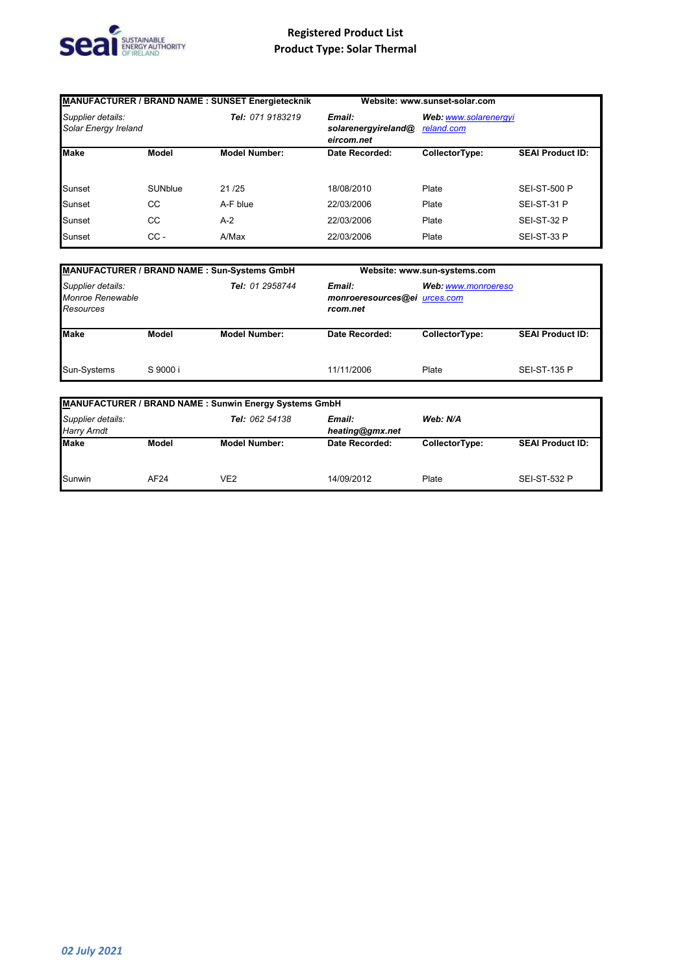

| MANUFACTURER / BRAND NAME : SUNSET Energietecknik |         |                                                                 | Website: www.sunset-solar.com |                                     |                         |
|---------------------------------------------------|---------|-----------------------------------------------------------------|-------------------------------|-------------------------------------|-------------------------|
| Supplier details:<br>Solar Energy Ireland         |         | Tel: 071 9183219<br>Email:<br>solarenergyireland@<br>eircom.net |                               | Web: www.solarenergyi<br>reland.com |                         |
| <b>Make</b>                                       | Model   | <b>Model Number:</b>                                            | Date Recorded:                | CollectorType:                      | <b>SEAI Product ID:</b> |
| Sunset                                            | SUNblue | 21/25                                                           | 18/08/2010                    | Plate                               | <b>SEI-ST-500 P</b>     |
| Sunset                                            | CС      | A-F blue                                                        | 22/03/2006                    | Plate                               | SEI-ST-31 P             |
| Sunset                                            | CС      | $A-2$                                                           | 22/03/2006                    | Plate                               | SEI-ST-32 P             |
| Sunset                                            | $cc -$  | A/Max                                                           | 22/03/2006                    | Plate                               | SEI-ST-33 P             |

| MANUFACTURER / BRAND NAME : Sun-Systems GmbH              |          |                      | Website: www.sun-systems.com                       |                |                         |  |
|-----------------------------------------------------------|----------|----------------------|----------------------------------------------------|----------------|-------------------------|--|
| Supplier details:<br>Monroe Renewable<br><b>Resources</b> |          | Tel: 01 2958744      | Email:<br>monroeresources@ei urces.com<br>rcom.net |                | Web: www.monroereso     |  |
| <b>Make</b>                                               | Model    | <b>Model Number:</b> | Date Recorded:                                     | CollectorType: | <b>SEAI Product ID:</b> |  |
| Sun-Systems                                               | S 9000 i |                      | 11/11/2006                                         | Plate          | <b>SEI-ST-135 P</b>     |  |

| <b>MANUFACTURER / BRAND NAME: Sunwin Energy Systems GmbH</b> |       |                      |                           |                |                         |  |  |
|--------------------------------------------------------------|-------|----------------------|---------------------------|----------------|-------------------------|--|--|
| Supplier details:<br><b>Harry Arndt</b>                      |       | Tel: 062 54138       | Email:<br>heating@gmx.net | Web: N/A       |                         |  |  |
| <b>Make</b>                                                  | Model | <b>Model Number:</b> | Date Recorded:            | CollectorType: | <b>SEAI Product ID:</b> |  |  |
| Sunwin                                                       | AF24  | VE2                  | 14/09/2012                | Plate          | <b>SEI-ST-532 P</b>     |  |  |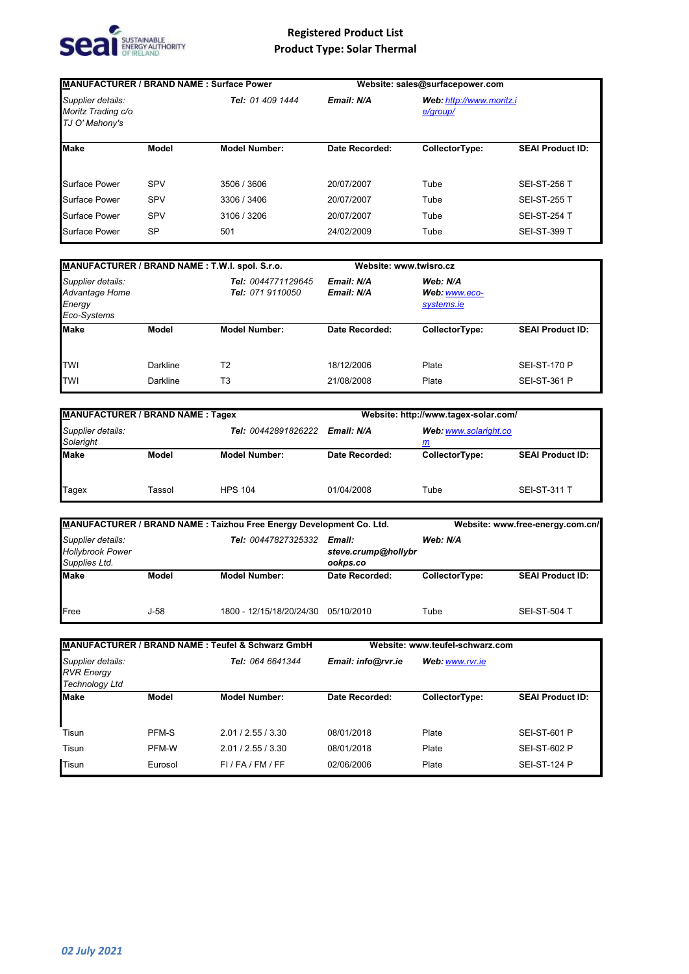

| <b>MANUFACTURER / BRAND NAME: Surface Power</b>           |              |                      | Website: sales@surfacepower.com                    |                |                         |
|-----------------------------------------------------------|--------------|----------------------|----------------------------------------------------|----------------|-------------------------|
| Supplier details:<br>Moritz Trading c/o<br>TJ O' Mahony's |              | Tel: 01 409 1444     | Email: N/A<br>Web: http://www.moritz.i<br>e/group/ |                |                         |
| <b>Make</b>                                               | <b>Model</b> | <b>Model Number:</b> | Date Recorded:                                     | CollectorType: | <b>SEAI Product ID:</b> |
| <b>Surface Power</b>                                      | SPV          | 3506 / 3606          | 20/07/2007                                         | Tube           | <b>SEI-ST-256 T</b>     |
| <b>Surface Power</b>                                      | SPV          | 3306 / 3406          | 20/07/2007                                         | Tube           | <b>SEI-ST-255 T</b>     |
| <b>Surface Power</b>                                      | <b>SPV</b>   | 3106 / 3206          | 20/07/2007                                         | Tube           | <b>SEI-ST-254 T</b>     |
| <b>Surface Power</b>                                      | <b>SP</b>    | 501                  | 24/02/2009                                         | Tube           | <b>SEI-ST-399 T</b>     |

| MANUFACTURER / BRAND NAME : T.W.I. spol. S.r.o.              |          |                                        | Website: www.twisro.cz   |                                         |                         |
|--------------------------------------------------------------|----------|----------------------------------------|--------------------------|-----------------------------------------|-------------------------|
| Supplier details:<br>Advantage Home<br>Energy<br>Eco-Systems |          | Tel: 0044771129645<br>Tel: 071 9110050 | Email: N/A<br>Email: N/A | Web: N/A<br>Web: www.eco-<br>systems.ie |                         |
| <b>Make</b>                                                  | Model    | <b>Model Number:</b>                   | Date Recorded:           | CollectorType:                          | <b>SEAI Product ID:</b> |
| <b>TWI</b>                                                   | Darkline | T <sub>2</sub>                         | 18/12/2006               | Plate                                   | <b>SEI-ST-170 P</b>     |
| <b>TWI</b>                                                   | Darkline | T <sub>3</sub>                         | 21/08/2008               | Plate                                   | <b>SEI-ST-361 P</b>     |

| <b>MANUFACTURER / BRAND NAME: Tagex</b>               |        |                      | Website: http://www.tagex-solar.com/ |                |                         |
|-------------------------------------------------------|--------|----------------------|--------------------------------------|----------------|-------------------------|
| Supplier details:<br>Tel: 00442891826222<br>Solaright |        | Email: N/A           | Web: www.solaright.co<br>m           |                |                         |
| <b>Make</b>                                           | Model  | <b>Model Number:</b> | Date Recorded:                       | CollectorType: | <b>SEAI Product ID:</b> |
| <b>Tagex</b>                                          | Tassol | <b>HPS 104</b>       | 01/04/2008                           | Tube           | <b>SEI-ST-311 T</b>     |

|                                                               |        | MANUFACTURER / BRAND NAME: Taizhou Free Energy Development Co. Ltd. |                                           | Website: www.free-energy.com.cn/ |                         |  |
|---------------------------------------------------------------|--------|---------------------------------------------------------------------|-------------------------------------------|----------------------------------|-------------------------|--|
| Supplier details:<br><b>Hollybrook Power</b><br>Supplies Ltd. |        | Tel: 00447827325332                                                 | Email:<br>steve.crump@hollybr<br>ookps.co | Web: N/A                         |                         |  |
| <b>Make</b>                                                   | Model  | <b>Model Number:</b>                                                | Date Recorded:                            | CollectorType:                   | <b>SEAI Product ID:</b> |  |
| Free                                                          | $J-58$ | 1800 - 12/15/18/20/24/30                                            | 05/10/2010                                | Tube                             | <b>SEI-ST-504 T</b>     |  |

| MANUFACTURER / BRAND NAME : Teufel & Schwarz GmbH               |         |                           | Website: www.teufel-schwarz.com |                 |                         |
|-----------------------------------------------------------------|---------|---------------------------|---------------------------------|-----------------|-------------------------|
| Supplier details:<br><b>RVR Energy</b><br><b>Technology Ltd</b> |         | Tel: 064 6641344          | Email: info@rvr.ie              | Web: www.rvr.ie |                         |
| <b>Make</b>                                                     | Model   | <b>Model Number:</b>      | <b>Date Recorded:</b>           | CollectorType:  | <b>SEAI Product ID:</b> |
| Tisun                                                           | PFM-S   | 2.01 / 2.55 / 3.30        | 08/01/2018                      | Plate           | SEI-ST-601 P            |
| Tisun                                                           | PFM-W   | 2.01 / 2.55 / 3.30        | 08/01/2018                      | Plate           | <b>SEI-ST-602 P</b>     |
| Tisun                                                           | Eurosol | $FI$ / $FA$ / $FM$ / $FF$ | 02/06/2006                      | Plate           | <b>SEI-ST-124 P</b>     |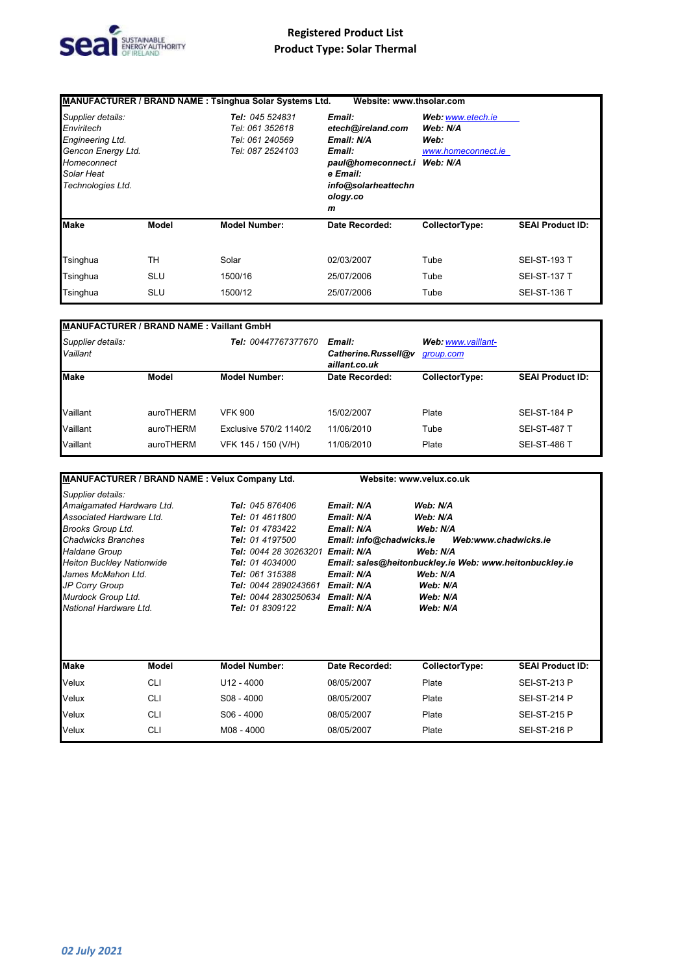

|                                                                                                                             |            | MANUFACTURER / BRAND NAME : Tsinghua Solar Systems Ltd.                   | Website: www.thsolar.com                                                                                                               |                                                             |                         |
|-----------------------------------------------------------------------------------------------------------------------------|------------|---------------------------------------------------------------------------|----------------------------------------------------------------------------------------------------------------------------------------|-------------------------------------------------------------|-------------------------|
| Supplier details:<br>Enviritech<br>Engineering Ltd.<br>Gencon Energy Ltd.<br>Homeconnect<br>Solar Heat<br>Technologies Ltd. |            | Tel: 045 524831<br>Tel: 061 352618<br>Tel: 061 240569<br>Tel: 087 2524103 | Email:<br>etech@ireland.com<br>Email: N/A<br>Email:<br>paul@homeconnect.i Web: N/A<br>e Email:<br>info@solarheattechn<br>ology.co<br>m | Web: www.etech.je<br>Web: N/A<br>Web:<br>www.homeconnect.ie |                         |
| <b>Make</b>                                                                                                                 | Model      | <b>Model Number:</b>                                                      | Date Recorded:                                                                                                                         | CollectorType:                                              | <b>SEAI Product ID:</b> |
| Tsinghua                                                                                                                    | TН         | Solar                                                                     | 02/03/2007                                                                                                                             | Tube                                                        | <b>SEI-ST-193 T</b>     |
| Tsinghua                                                                                                                    | <b>SLU</b> | 1500/16                                                                   | 25/07/2006                                                                                                                             | Tube                                                        | <b>SEI-ST-137 T</b>     |
| Tsinghua                                                                                                                    | <b>SLU</b> | 1500/12                                                                   | 25/07/2006                                                                                                                             | Tube                                                        | <b>SEI-ST-136 T</b>     |

|--|

| Supplier details:<br>Vaillant |           | Tel: 00447767377670    | Email:<br>Catherine.Russell@v<br>aillant.co.uk | Web: www.vaillant-<br>group.com |                         |
|-------------------------------|-----------|------------------------|------------------------------------------------|---------------------------------|-------------------------|
| <b>Make</b>                   | Model     | <b>Model Number:</b>   | Date Recorded:                                 | CollectorType:                  | <b>SEAI Product ID:</b> |
| Vaillant                      | auroTHERM | <b>VFK 900</b>         | 15/02/2007                                     | Plate                           | <b>SEI-ST-184 P</b>     |
| Vaillant                      | auroTHERM | Exclusive 570/2 1140/2 | 11/06/2010                                     | Tube                            | <b>SEI-ST-487 T</b>     |
| Vaillant                      | auroTHERM | VFK 145 / 150 (V/H)    | 11/06/2010                                     | Plate                           | <b>SEI-ST-486 T</b>     |

| MANUFACTURER / BRAND NAME : Velux Company Ltd.       |            |                             |                          | Website: www.velux.co.uk                                |                         |
|------------------------------------------------------|------------|-----------------------------|--------------------------|---------------------------------------------------------|-------------------------|
| Supplier details:                                    |            |                             |                          |                                                         |                         |
| Amalgamated Hardware Ltd.                            |            | Tel: 045 876406             | Email: N/A               | Web: N/A                                                |                         |
| Associated Hardware Ltd.                             |            | Tel: 01 4611800             | Email: N/A               | Web: N/A                                                |                         |
| <b>Brooks Group Ltd.</b>                             |            | Tel: 01 4783422             | Email: N/A               | Web: N/A                                                |                         |
| <b>Chadwicks Branches</b>                            |            | Tel: 01 4197500             | Email: info@chadwicks.ie |                                                         | Web:www.chadwicks.ie    |
| <b>Haldane Group</b><br><b>Tel: 0044 28 30263201</b> |            | Email: N/A                  | Web: N/A                 |                                                         |                         |
| <b>Heiton Buckley Nationwide</b>                     |            | <b>Tel: 01 4034000</b>      |                          | Email: sales@heitonbuckley.ie Web: www.heitonbuckley.ie |                         |
| James McMahon Ltd.<br>Tel: 061 315388                |            |                             | Email: N/A               | Web: N/A                                                |                         |
| <b>JP Corry Group</b>                                |            | <b>Tel: 0044 2890243661</b> | Email: N/A               | Web: N/A                                                |                         |
| Murdock Group Ltd.                                   |            | <b>Tel: 0044 2830250634</b> | Email: N/A               | Web: N/A                                                |                         |
| National Hardware Ltd.                               |            | Tel: 01 8309122             | Email: N/A               | Web: N/A                                                |                         |
| <b>Make</b>                                          | Model      | <b>Model Number:</b>        | Date Recorded:           | CollectorType:                                          | <b>SEAI Product ID:</b> |
|                                                      |            |                             |                          |                                                         |                         |
| Velux                                                | <b>CLI</b> | $U12 - 4000$                | 08/05/2007               | Plate                                                   | <b>SEI-ST-213 P</b>     |
| Velux                                                | <b>CLI</b> | $S08 - 4000$                | 08/05/2007               | Plate                                                   | <b>SEI-ST-214 P</b>     |
| Velux                                                | <b>CLI</b> | $S06 - 4000$                | 08/05/2007               | Plate                                                   | <b>SEI-ST-215 P</b>     |
| Velux                                                | <b>CLI</b> | M08 - 4000                  | 08/05/2007               | Plate                                                   | <b>SEI-ST-216 P</b>     |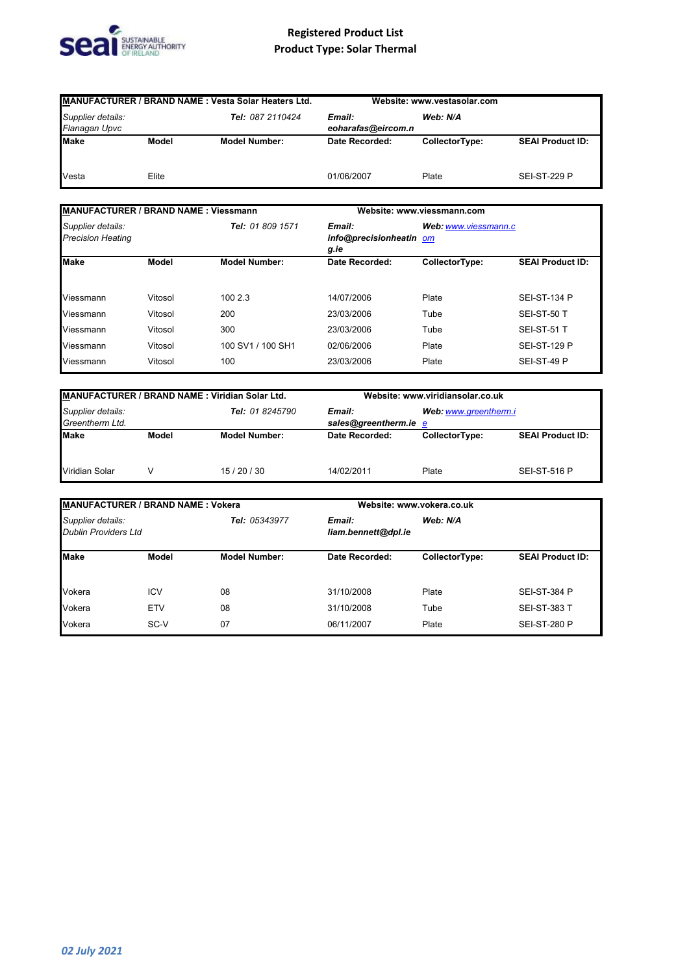

| MANUFACTURER / BRAND NAME : Vesta Solar Heaters Ltd.   |       |                                          | Website: www.vestasolar.com |                |                         |
|--------------------------------------------------------|-------|------------------------------------------|-----------------------------|----------------|-------------------------|
| Supplier details:<br>Tel: 087 2110424<br>Flanagan Upvc |       | Web: N/A<br>Email:<br>eoharafas@eircom.n |                             |                |                         |
| <b>Make</b>                                            | Model | <b>Model Number:</b>                     | Date Recorded:              | CollectorType: | <b>SEAI Product ID:</b> |
| Vesta                                                  | Elite |                                          | 01/06/2007                  | Plate          | <b>SEI-ST-229 P</b>     |

| MANUFACTURER / BRAND NAME: Viessmann          |         |                      | Website: www.viessmann.com                |                      |                         |
|-----------------------------------------------|---------|----------------------|-------------------------------------------|----------------------|-------------------------|
| Supplier details:<br><b>Precision Heating</b> |         | Tel: 01 809 1571     | Email:<br>info@precisionheatin om<br>g.ie | Web: www.viessmann.c |                         |
| <b>Make</b>                                   | Model   | <b>Model Number:</b> | Date Recorded:                            | CollectorType:       | <b>SEAI Product ID:</b> |
| Viessmann                                     | Vitosol | 100 2.3              | 14/07/2006                                | Plate                | <b>SEI-ST-134 P</b>     |
| Viessmann                                     | Vitosol | 200                  | 23/03/2006                                | Tube                 | SEI-ST-50 T             |
| Viessmann                                     | Vitosol | 300                  | 23/03/2006                                | Tube                 | SEI-ST-51 T             |
| Viessmann                                     | Vitosol | 100 SV1 / 100 SH1    | 02/06/2006                                | Plate                | <b>SEI-ST-129 P</b>     |
| Viessmann                                     | Vitosol | 100                  | 23/03/2006                                | Plate                | SEI-ST-49 P             |

| MANUFACTURER / BRAND NAME : Viridian Solar Ltd.         |       |                                 | Website: www.viridiansolar.co.uk |                |                         |
|---------------------------------------------------------|-------|---------------------------------|----------------------------------|----------------|-------------------------|
| Supplier details:<br>Tel: 01 8245790<br>Greentherm Ltd. |       | Email:<br>sales@greentherm.ie e | Web: www.greentherm.i            |                |                         |
| <b>Make</b>                                             | Model | <b>Model Number:</b>            | Date Recorded:                   | CollectorType: | <b>SEAI Product ID:</b> |
| Viridian Solar                                          |       | 15/20/30                        | 14/02/2011                       | Plate          | <b>SEI-ST-516 P</b>     |

| MANUFACTURER / BRAND NAME: Vokera                |            |                      |                                           | Website: www.vokera.co.uk |                         |  |
|--------------------------------------------------|------------|----------------------|-------------------------------------------|---------------------------|-------------------------|--|
| Supplier details:<br><b>Dublin Providers Ltd</b> |            | Tel: 05343977        | Web: N/A<br>Email:<br>liam.bennett@dpl.ie |                           |                         |  |
| <b>Make</b>                                      | Model      | <b>Model Number:</b> | Date Recorded:                            | CollectorType:            | <b>SEAI Product ID:</b> |  |
| Vokera                                           | <b>ICV</b> | 08                   | 31/10/2008                                | Plate                     | <b>SEI-ST-384 P</b>     |  |
| Vokera                                           | <b>ETV</b> | 08                   | 31/10/2008                                | Tube                      | <b>SEI-ST-383 T</b>     |  |
| Vokera                                           | SC-V       | 07                   | 06/11/2007                                | Plate                     | <b>SEI-ST-280 P</b>     |  |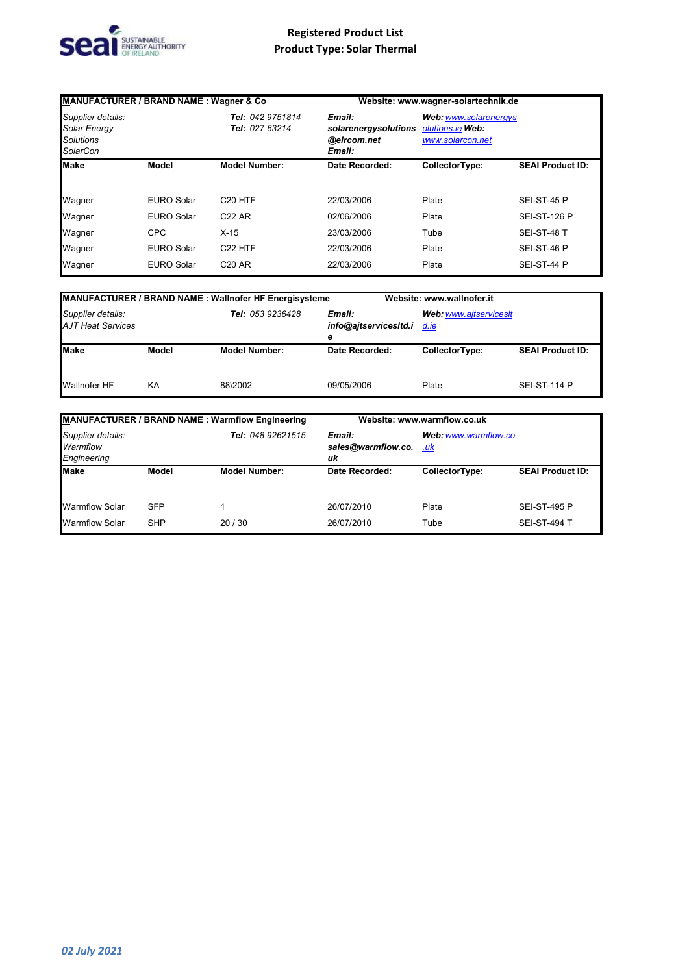

| <b>MANUFACTURER / BRAND NAME: Wagner &amp; Co</b>                        |                   |                                    |                                                         | Website: www.wagner-solartechnik.de                           |                         |
|--------------------------------------------------------------------------|-------------------|------------------------------------|---------------------------------------------------------|---------------------------------------------------------------|-------------------------|
| Supplier details:<br><b>Solar Energy</b><br><b>Solutions</b><br>SolarCon |                   | Tel: 042 9751814<br>Tel: 027 63214 | Email:<br>solarenergysolutions<br>@eircom.net<br>Email: | Web: www.solarenergys<br>olutions.ie Web:<br>www.solarcon.net |                         |
| <b>Make</b>                                                              | Model             | <b>Model Number:</b>               | Date Recorded:                                          | CollectorType:                                                | <b>SEAI Product ID:</b> |
|                                                                          |                   |                                    |                                                         |                                                               |                         |
| Wagner                                                                   | <b>EURO Solar</b> | C <sub>20</sub> HTF                | 22/03/2006                                              | Plate                                                         | SEI-ST-45 P             |
| Wagner                                                                   | <b>EURO Solar</b> | C <sub>22</sub> AR                 | 02/06/2006                                              | Plate                                                         | <b>SEI-ST-126 P</b>     |
| Wagner                                                                   | <b>CPC</b>        | $X-15$                             | 23/03/2006                                              | Tube                                                          | SEI-ST-48 T             |
| Wagner                                                                   | <b>EURO Solar</b> | C <sub>22</sub> HTF                | 22/03/2006                                              | Plate                                                         | SEI-ST-46 P             |
| Wagner                                                                   | <b>EURO Solar</b> | C <sub>20</sub> AR                 | 22/03/2006                                              | Plate                                                         | SEI-ST-44 P             |

|                                               |       | <b>MANUFACTURER / BRAND NAME: Wallnofer HF Energisysteme</b> |                                      | Website: www.wallnofer.it      |                         |
|-----------------------------------------------|-------|--------------------------------------------------------------|--------------------------------------|--------------------------------|-------------------------|
| Supplier details:<br><b>AJT Heat Services</b> |       | <b>Tel: 053 9236428</b>                                      | Email:<br>info@ajtservicesItd.i<br>е | Web: www.aitservicesIt<br>d.ie |                         |
| <b>Make</b>                                   | Model | <b>Model Number:</b>                                         | Date Recorded:                       | CollectorType:                 | <b>SEAI Product ID:</b> |
| Wallnofer HF                                  | KА    | 88\2002                                                      | 09/05/2006                           | Plate                          | <b>SEI-ST-114 P</b>     |

| MANUFACTURER / BRAND NAME : Warmflow Engineering |            |                      | Website: www.warmflow.co.uk        |                             |                         |
|--------------------------------------------------|------------|----------------------|------------------------------------|-----------------------------|-------------------------|
| Supplier details:<br>Warmflow<br>Engineering     |            | Tel: 048 92621515    | Email:<br>sales@warmflow.co.<br>uk | Web: www.warmflow.co<br>.uk |                         |
| <b>Make</b>                                      | Model      | <b>Model Number:</b> | Date Recorded:                     | CollectorType:              | <b>SEAI Product ID:</b> |
| <b>Warmflow Solar</b>                            | <b>SFP</b> |                      | 26/07/2010                         | Plate                       | <b>SEI-ST-495 P</b>     |
| <b>Warmflow Solar</b>                            | <b>SHP</b> | 20/30                | 26/07/2010                         | Tube                        | <b>SEI-ST-494 T</b>     |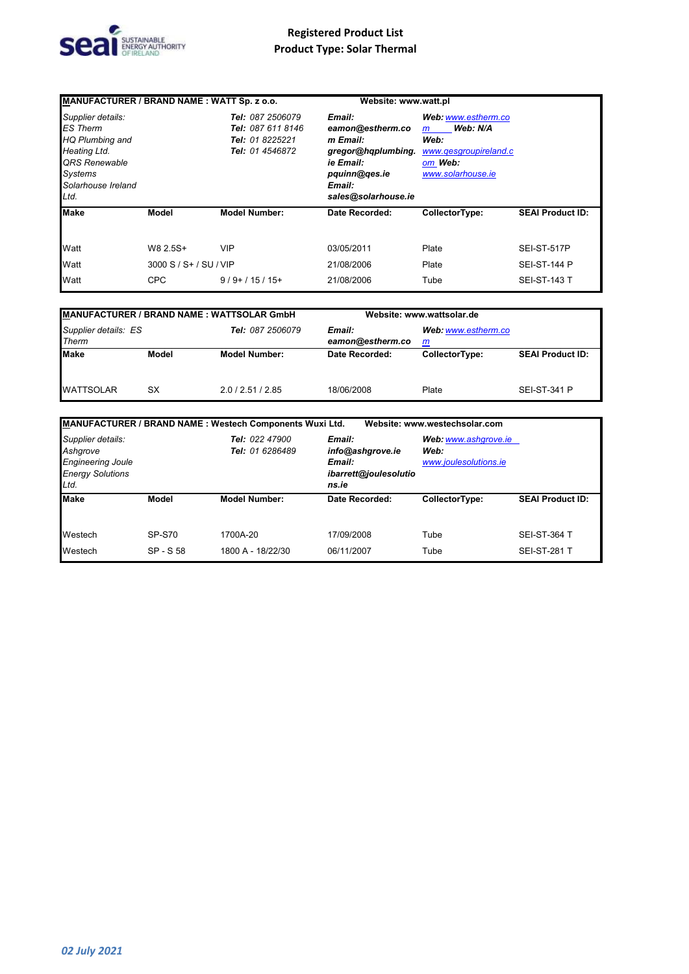

| MANUFACTURER / BRAND NAME: WATT Sp. z o.o.                                                                                               |                        |                                                                             | Website: www.watt.pl                                                                                                        |                                                                                                       |                         |
|------------------------------------------------------------------------------------------------------------------------------------------|------------------------|-----------------------------------------------------------------------------|-----------------------------------------------------------------------------------------------------------------------------|-------------------------------------------------------------------------------------------------------|-------------------------|
| Supplier details:<br><b>ES</b> Therm<br>HQ Plumbing and<br>Heating Ltd.<br>QRS Renewable<br><b>Systems</b><br>Solarhouse Ireland<br>Ltd. |                        | Tel: 087 2506079<br>Tel: 087 611 8146<br>Tel: 01 8225221<br>Tel: 01 4546872 | Email:<br>eamon@estherm.co<br>m Email:<br>gregor@hqplumbing.<br>ie Email:<br>pquinn@ges.ie<br>Email:<br>sales@solarhouse.ie | Web: www.estherm.co<br>Web: N/A<br>m<br>Web:<br>www.gesgroupireland.c<br>om Web:<br>www.solarhouse.ie |                         |
| <b>Make</b>                                                                                                                              | Model                  | <b>Model Number:</b>                                                        | Date Recorded:                                                                                                              | CollectorType:                                                                                        | <b>SEAI Product ID:</b> |
| Watt                                                                                                                                     | W8 2.5S+               | VIP                                                                         | 03/05/2011                                                                                                                  | Plate                                                                                                 | SEI-ST-517P             |
| Watt                                                                                                                                     | 3000 S / S+ / SU / VIP |                                                                             | 21/08/2006                                                                                                                  | Plate                                                                                                 | <b>SEI-ST-144 P</b>     |
| Watt                                                                                                                                     | <b>CPC</b>             | $9/9+/15/15+$                                                               | 21/08/2006                                                                                                                  | Tube                                                                                                  | <b>SEI-ST-143 T</b>     |

| <b>MANUFACTURER / BRAND NAME : WATTSOLAR GmbH</b> |       |                            |                          | Website: www.wattsolar.de |                         |
|---------------------------------------------------|-------|----------------------------|--------------------------|---------------------------|-------------------------|
| Supplier details: ES<br>Tel: 087 2506079<br>Therm |       | Email:<br>eamon@estherm.co | Web: www.estherm.co<br>m |                           |                         |
| Make                                              | Model | <b>Model Number:</b>       | Date Recorded:           | CollectorType:            | <b>SEAI Product ID:</b> |
| <b>WATTSOLAR</b>                                  | SX    | 2.0/2.51/2.85              | 18/06/2008               | Plate                     | <b>SEI-ST-341 P</b>     |

|                                                                                              |                            | MANUFACTURER / BRAND NAME : Westech Components Wuxi Ltd. |                                                                        | Website: www.westechsolar.com                         |                                            |
|----------------------------------------------------------------------------------------------|----------------------------|----------------------------------------------------------|------------------------------------------------------------------------|-------------------------------------------------------|--------------------------------------------|
| Supplier details:<br>Ashgrove<br><b>Engineering Joule</b><br><b>Energy Solutions</b><br>Ltd. |                            | Tel: 022 47900<br>Tel: 01 6286489                        | Email:<br>info@ashqrove.ie<br>Email:<br>ibarrett@joulesolutio<br>ns.ie | Web: www.ashgrove.ie<br>Web:<br>www.joulesolutions.ie |                                            |
| <b>Make</b>                                                                                  | Model                      | <b>Model Number:</b>                                     | Date Recorded:                                                         | CollectorType:                                        | <b>SEAI Product ID:</b>                    |
| Westech<br>Westech                                                                           | <b>SP-S70</b><br>SP - S 58 | 1700A-20<br>1800 A - 18/22/30                            | 17/09/2008<br>06/11/2007                                               | Tube<br>Tube                                          | <b>SEI-ST-364 T</b><br><b>SEI-ST-281 T</b> |
|                                                                                              |                            |                                                          |                                                                        |                                                       |                                            |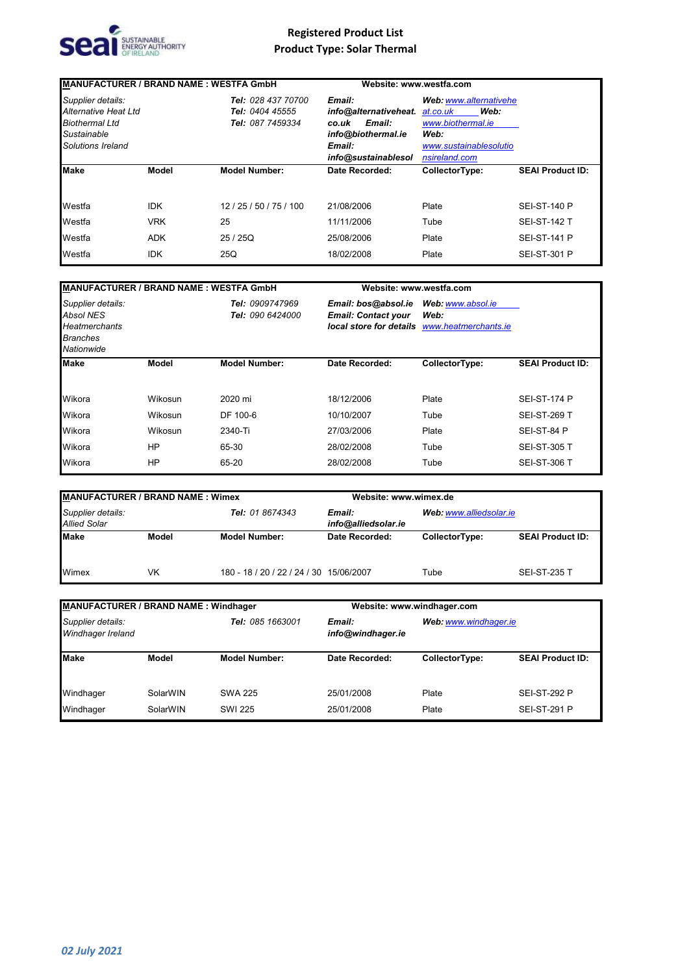

| <b>MANUFACTURER / BRAND NAME: WESTFA GmbH</b>                                                          |            |                                                           | Website: www.westfa.com                                                                                   |                                                                                                                    |                         |
|--------------------------------------------------------------------------------------------------------|------------|-----------------------------------------------------------|-----------------------------------------------------------------------------------------------------------|--------------------------------------------------------------------------------------------------------------------|-------------------------|
| Supplier details:<br>Alternative Heat Ltd<br><b>Biothermal Ltd</b><br>Sustainable<br>Solutions Ireland |            | Tel: 028 437 70700<br>Tel: 0404 45555<br>Tel: 087 7459334 | Email:<br>info@alternativeheat.<br>Email:<br>co.uk<br>info@biothermal.ie<br>Email:<br>info@sustainablesol | Web: www.alternativehe<br>Web:<br>at.co.uk<br>www.biothermal.ie<br>Web:<br>www.sustainablesolutio<br>nsireland.com |                         |
| <b>Make</b>                                                                                            | Model      | <b>Model Number:</b>                                      | Date Recorded:                                                                                            | CollectorType:                                                                                                     | <b>SEAI Product ID:</b> |
| Westfa                                                                                                 | <b>IDK</b> | 12/25/50/75/100                                           | 21/08/2006                                                                                                | Plate                                                                                                              | <b>SEI-ST-140 P</b>     |
| Westfa                                                                                                 | <b>VRK</b> | 25                                                        | 11/11/2006                                                                                                | Tube                                                                                                               | <b>SEI-ST-142 T</b>     |
| Westfa                                                                                                 | <b>ADK</b> | 25/25Q                                                    | 25/08/2006                                                                                                | Plate                                                                                                              | <b>SEI-ST-141 P</b>     |
| Westfa                                                                                                 | <b>IDK</b> | 25Q                                                       | 18/02/2008                                                                                                | Plate                                                                                                              | <b>SEI-ST-301 P</b>     |

| <b>MANUFACTURER / BRAND NAME: WESTFA GmbH</b>                                                  |         |                                     |                                                   | Website: www.westfa.com                                                   |                         |  |
|------------------------------------------------------------------------------------------------|---------|-------------------------------------|---------------------------------------------------|---------------------------------------------------------------------------|-------------------------|--|
| Supplier details:<br><b>Absol NES</b><br><b>Heatmerchants</b><br><b>Branches</b><br>Nationwide |         | Tel: 0909747969<br>Tel: 090 6424000 | Email: bos@absol.ie<br><b>Email: Contact your</b> | Web: www.absol.ie<br>Web:<br>local store for details www.heatmerchants.ie |                         |  |
| <b>Make</b>                                                                                    | Model   | <b>Model Number:</b>                | Date Recorded:                                    | CollectorType:                                                            | <b>SEAI Product ID:</b> |  |
| Wikora                                                                                         | Wikosun | 2020 mi                             | 18/12/2006                                        | Plate                                                                     | <b>SEI-ST-174 P</b>     |  |
| Wikora                                                                                         | Wikosun | DF 100-6                            | 10/10/2007                                        | Tube                                                                      | <b>SEI-ST-269 T</b>     |  |
| Wikora                                                                                         | Wikosun | 2340-Ti                             | 27/03/2006                                        | Plate                                                                     | SEI-ST-84 P             |  |
| Wikora                                                                                         | HP      | 65-30                               | 28/02/2008                                        | Tube                                                                      | <b>SEI-ST-305 T</b>     |  |
| Wikora                                                                                         | ΗP      | 65-20                               | 28/02/2008                                        | Tube                                                                      | <b>SEI-ST-306 T</b>     |  |

| <b>MANUFACTURER / BRAND NAME: Wimex</b>                     |       |                                                          | Website: www.wimex.de |                |                         |
|-------------------------------------------------------------|-------|----------------------------------------------------------|-----------------------|----------------|-------------------------|
| Supplier details:<br>Tel: 01 8674343<br><b>Allied Solar</b> |       | Web: www.alliedsolar.ie<br>Email:<br>info@alliedsolar.ie |                       |                |                         |
| <b>Make</b>                                                 | Model | <b>Model Number:</b>                                     | Date Recorded:        | CollectorType: | <b>SEAI Product ID:</b> |
| Wimex                                                       | VK    | 180 - 18 / 20 / 22 / 24 / 30 15/06/2007                  |                       | Tube           | <b>SEI-ST-235 T</b>     |

| <b>MANUFACTURER / BRAND NAME: Windhager</b> |                  |                      | Website: www.windhager.com  |                       |                         |
|---------------------------------------------|------------------|----------------------|-----------------------------|-----------------------|-------------------------|
| Supplier details:<br>Windhager Ireland      | Tel: 085 1663001 |                      | Email:<br>info@windhager.ie | Web: www.windhager.ie |                         |
| <b>Make</b>                                 | <b>Model</b>     | <b>Model Number:</b> | Date Recorded:              | CollectorType:        | <b>SEAI Product ID:</b> |
| Windhager                                   | SolarWIN         | <b>SWA 225</b>       | 25/01/2008                  | Plate                 | <b>SEI-ST-292 P</b>     |
| Windhager                                   | SolarWIN         | <b>SWI 225</b>       | 25/01/2008                  | Plate                 | <b>SEI-ST-291 P</b>     |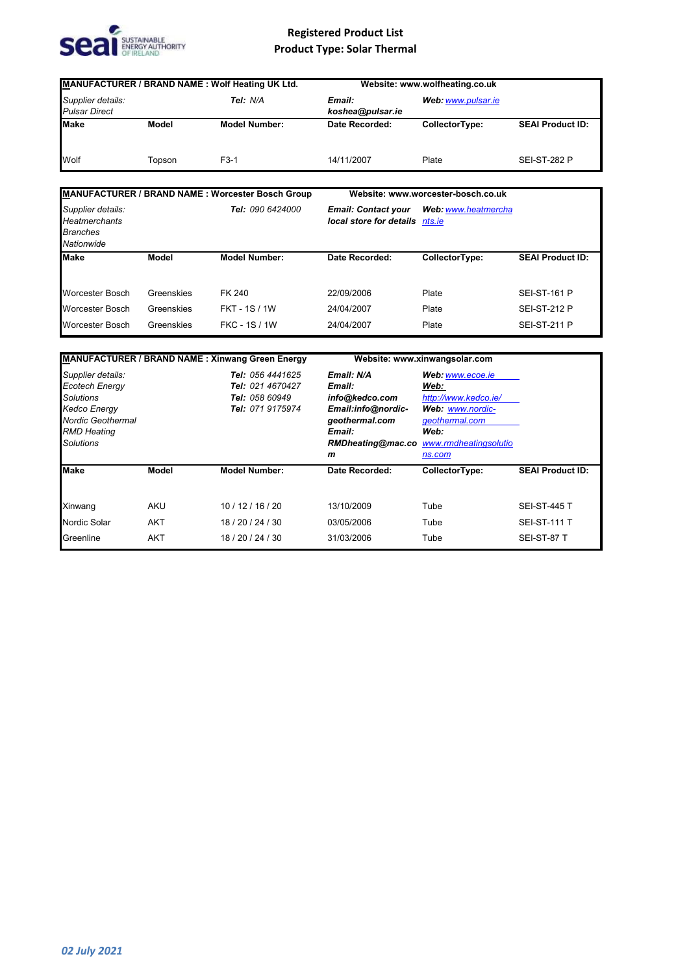

| MANUFACTURER / BRAND NAME: Wolf Heating UK Ltd.                            |                  |                                                         |                                                              | Website: www.wolfheating.co.uk     |                         |  |
|----------------------------------------------------------------------------|------------------|---------------------------------------------------------|--------------------------------------------------------------|------------------------------------|-------------------------|--|
| Supplier details:<br><b>Pulsar Direct</b>                                  |                  | Tel: N/A                                                | Email:<br>koshea@pulsar.ie                                   | Web: www.pulsar.ie                 |                         |  |
| <b>Make</b>                                                                | Model            | <b>Model Number:</b>                                    | Date Recorded:                                               | CollectorType:                     | <b>SEAI Product ID:</b> |  |
| Wolf                                                                       | Topson           | $F3-1$                                                  | 14/11/2007                                                   | Plate                              | <b>SEI-ST-282 P</b>     |  |
|                                                                            |                  | <b>MANUFACTURER / BRAND NAME: Worcester Bosch Group</b> |                                                              | Website: www.worcester-bosch.co.uk |                         |  |
| Supplier details:<br><b>Heatmerchants</b><br><b>Branches</b><br>Nationwide | Tel: 090 6424000 |                                                         | <b>Email: Contact your</b><br>local store for details nts.ie | Web: www.heatmercha                |                         |  |
| <b>Make</b>                                                                | Model            | <b>Model Number:</b>                                    | Date Recorded:                                               | CollectorType:                     | <b>SEAI Product ID:</b> |  |
| <b>Worcester Bosch</b>                                                     | Greenskies       | <b>FK 240</b>                                           | 22/09/2006                                                   | Plate                              | <b>SEI-ST-161 P</b>     |  |
| Worcester Bosch                                                            | Greenskies       | <b>FKT - 1S / 1W</b>                                    | 24/04/2007                                                   | Plate                              | <b>SEI-ST-212 P</b>     |  |
| Worcester Bosch                                                            | Greenskies       | <b>FKC - 1S / 1W</b>                                    | 24/04/2007                                                   | Plate                              | <b>SEI-ST-211 P</b>     |  |
|                                                                            |                  |                                                         |                                                              |                                    |                         |  |
| <b>MANUFACTURER / BRAND NAME: Xinwang Green Energy</b>                     |                  |                                                         | Website: www.xinwangsolar.com                                |                                    |                         |  |

| Supplier details:<br><b>Ecotech Energy</b><br>Solutions<br><b>Kedco Energy</b> |            | Tel: 056 4441625                                       | Email: N/A         | Web: www.ecoe.ie      |                         |  |
|--------------------------------------------------------------------------------|------------|--------------------------------------------------------|--------------------|-----------------------|-------------------------|--|
|                                                                                |            | Tel: 021 4670427<br>Tel: 058 60949<br>Tel: 071 9175974 | Email:             | Web:                  |                         |  |
|                                                                                |            |                                                        | info@kedco.com     | http://www.kedco.ie/  |                         |  |
|                                                                                |            |                                                        | Email:info@nordic- | Web: www.nordic-      |                         |  |
| <b>Nordic Geothermal</b>                                                       |            |                                                        | geothermal.com     | geothermal.com        |                         |  |
| <b>RMD Heating</b>                                                             |            |                                                        | Email:             | Web:                  |                         |  |
| <b>Solutions</b>                                                               |            |                                                        | RMDheating@mac.co  | www.rmdheatingsolutio |                         |  |
|                                                                                |            |                                                        | m                  | ns.com                |                         |  |
| <b>Make</b>                                                                    | Model      | <b>Model Number:</b>                                   | Date Recorded:     | CollectorType:        | <b>SEAI Product ID:</b> |  |
| Xinwang                                                                        | <b>AKU</b> | 10/12/16/20                                            | 13/10/2009         | Tube                  | <b>SEI-ST-445 T</b>     |  |
| Nordic Solar                                                                   | <b>AKT</b> | 18/20/24/30                                            | 03/05/2006         | Tube                  | <b>SEI-ST-111 T</b>     |  |
| Greenline                                                                      | <b>AKT</b> | 18 / 20 / 24 / 30                                      | 31/03/2006         | Tube                  | SEI-ST-87 T             |  |